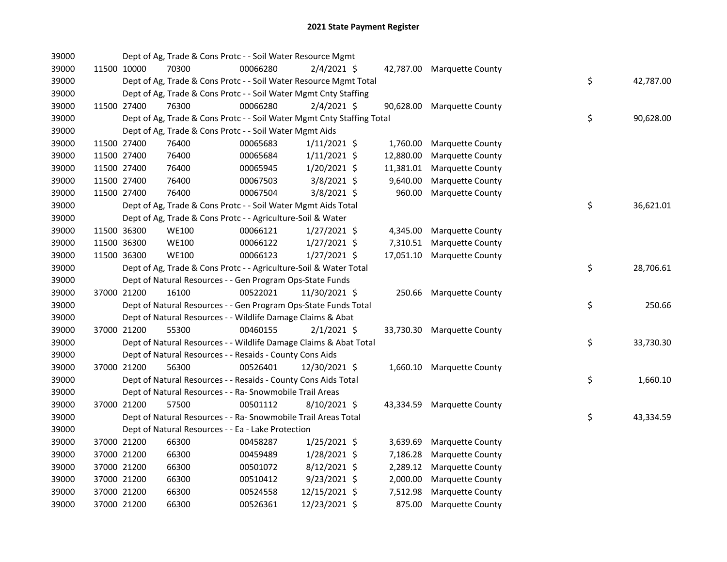| 39000 |             | Dept of Ag, Trade & Cons Protc - - Soil Water Resource Mgmt            |          |                |           |                            |    |           |
|-------|-------------|------------------------------------------------------------------------|----------|----------------|-----------|----------------------------|----|-----------|
| 39000 | 11500 10000 | 70300                                                                  | 00066280 | $2/4/2021$ \$  |           | 42,787.00 Marquette County |    |           |
| 39000 |             | Dept of Ag, Trade & Cons Protc - - Soil Water Resource Mgmt Total      |          |                |           |                            | \$ | 42,787.00 |
| 39000 |             | Dept of Ag, Trade & Cons Protc - - Soil Water Mgmt Cnty Staffing       |          |                |           |                            |    |           |
| 39000 | 11500 27400 | 76300                                                                  | 00066280 | $2/4/2021$ \$  | 90,628.00 | Marquette County           |    |           |
| 39000 |             | Dept of Ag, Trade & Cons Protc - - Soil Water Mgmt Cnty Staffing Total |          |                |           |                            | \$ | 90,628.00 |
| 39000 |             | Dept of Ag, Trade & Cons Protc - - Soil Water Mgmt Aids                |          |                |           |                            |    |           |
| 39000 | 11500 27400 | 76400                                                                  | 00065683 | $1/11/2021$ \$ | 1,760.00  | <b>Marquette County</b>    |    |           |
| 39000 | 11500 27400 | 76400                                                                  | 00065684 | $1/11/2021$ \$ | 12,880.00 | Marquette County           |    |           |
| 39000 | 11500 27400 | 76400                                                                  | 00065945 | 1/20/2021 \$   | 11,381.01 | <b>Marquette County</b>    |    |           |
| 39000 | 11500 27400 | 76400                                                                  | 00067503 | 3/8/2021 \$    | 9,640.00  | Marquette County           |    |           |
| 39000 | 11500 27400 | 76400                                                                  | 00067504 | 3/8/2021 \$    | 960.00    | Marquette County           |    |           |
| 39000 |             | Dept of Ag, Trade & Cons Protc - - Soil Water Mgmt Aids Total          |          |                |           |                            | \$ | 36,621.01 |
| 39000 |             | Dept of Ag, Trade & Cons Protc - - Agriculture-Soil & Water            |          |                |           |                            |    |           |
| 39000 | 11500 36300 | <b>WE100</b>                                                           | 00066121 | $1/27/2021$ \$ |           | 4,345.00 Marquette County  |    |           |
| 39000 | 11500 36300 | <b>WE100</b>                                                           | 00066122 | $1/27/2021$ \$ | 7,310.51  | Marquette County           |    |           |
| 39000 | 11500 36300 | <b>WE100</b>                                                           | 00066123 | $1/27/2021$ \$ |           | 17,051.10 Marquette County |    |           |
| 39000 |             | Dept of Ag, Trade & Cons Protc - - Agriculture-Soil & Water Total      |          |                |           |                            | \$ | 28,706.61 |
| 39000 |             | Dept of Natural Resources - - Gen Program Ops-State Funds              |          |                |           |                            |    |           |
| 39000 | 37000 21200 | 16100                                                                  | 00522021 | 11/30/2021 \$  |           | 250.66 Marquette County    |    |           |
| 39000 |             | Dept of Natural Resources - - Gen Program Ops-State Funds Total        |          |                |           |                            | \$ | 250.66    |
| 39000 |             | Dept of Natural Resources - - Wildlife Damage Claims & Abat            |          |                |           |                            |    |           |
| 39000 | 37000 21200 | 55300                                                                  | 00460155 | $2/1/2021$ \$  |           | 33,730.30 Marquette County |    |           |
| 39000 |             | Dept of Natural Resources - - Wildlife Damage Claims & Abat Total      |          |                |           |                            | \$ | 33,730.30 |
| 39000 |             | Dept of Natural Resources - - Resaids - County Cons Aids               |          |                |           |                            |    |           |
| 39000 | 37000 21200 | 56300                                                                  | 00526401 | 12/30/2021 \$  |           | 1,660.10 Marquette County  |    |           |
| 39000 |             | Dept of Natural Resources - - Resaids - County Cons Aids Total         |          |                |           |                            | \$ | 1,660.10  |
| 39000 |             | Dept of Natural Resources - - Ra- Snowmobile Trail Areas               |          |                |           |                            |    |           |
| 39000 | 37000 21200 | 57500                                                                  | 00501112 | $8/10/2021$ \$ |           | 43,334.59 Marquette County |    |           |
| 39000 |             | Dept of Natural Resources - - Ra- Snowmobile Trail Areas Total         |          |                |           |                            | \$ | 43,334.59 |
| 39000 |             | Dept of Natural Resources - - Ea - Lake Protection                     |          |                |           |                            |    |           |
| 39000 | 37000 21200 | 66300                                                                  | 00458287 | $1/25/2021$ \$ | 3,639.69  | Marquette County           |    |           |
| 39000 | 37000 21200 | 66300                                                                  | 00459489 | 1/28/2021 \$   | 7,186.28  | <b>Marquette County</b>    |    |           |
| 39000 | 37000 21200 | 66300                                                                  | 00501072 | $8/12/2021$ \$ | 2,289.12  | Marquette County           |    |           |
| 39000 | 37000 21200 | 66300                                                                  | 00510412 | $9/23/2021$ \$ | 2,000.00  | Marquette County           |    |           |
| 39000 | 37000 21200 | 66300                                                                  | 00524558 | 12/15/2021 \$  | 7,512.98  | <b>Marquette County</b>    |    |           |
| 39000 | 37000 21200 | 66300                                                                  | 00526361 | 12/23/2021 \$  | 875.00    | <b>Marquette County</b>    |    |           |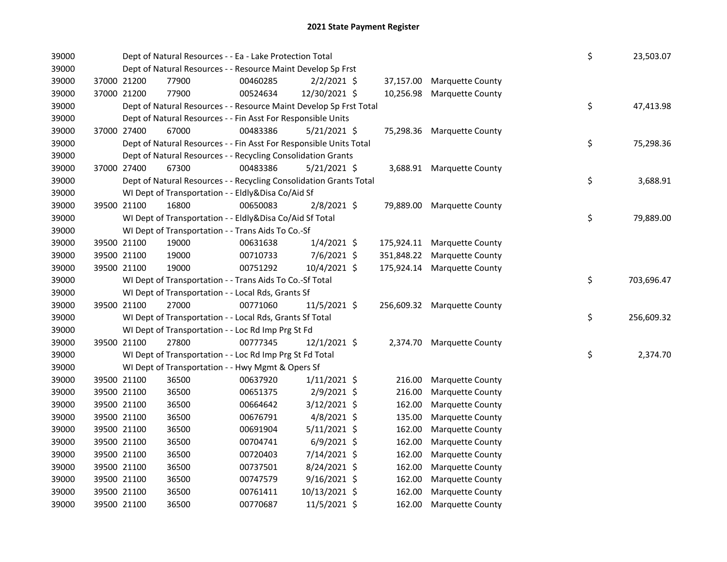| 39000 |             |             | Dept of Natural Resources - - Ea - Lake Protection Total           |          |                |            |                             | \$ | 23,503.07  |
|-------|-------------|-------------|--------------------------------------------------------------------|----------|----------------|------------|-----------------------------|----|------------|
| 39000 |             |             | Dept of Natural Resources - - Resource Maint Develop Sp Frst       |          |                |            |                             |    |            |
| 39000 |             | 37000 21200 | 77900                                                              | 00460285 | $2/2/2021$ \$  | 37,157.00  | <b>Marquette County</b>     |    |            |
| 39000 |             | 37000 21200 | 77900                                                              | 00524634 | 12/30/2021 \$  | 10,256.98  | <b>Marquette County</b>     |    |            |
| 39000 |             |             | Dept of Natural Resources - - Resource Maint Develop Sp Frst Total |          |                |            |                             | \$ | 47,413.98  |
| 39000 |             |             | Dept of Natural Resources - - Fin Asst For Responsible Units       |          |                |            |                             |    |            |
| 39000 |             | 37000 27400 | 67000                                                              | 00483386 | $5/21/2021$ \$ |            | 75,298.36 Marquette County  |    |            |
| 39000 |             |             | Dept of Natural Resources - - Fin Asst For Responsible Units Total |          |                |            |                             | \$ | 75,298.36  |
| 39000 |             |             | Dept of Natural Resources - - Recycling Consolidation Grants       |          |                |            |                             |    |            |
| 39000 |             | 37000 27400 | 67300                                                              | 00483386 | $5/21/2021$ \$ |            | 3,688.91 Marquette County   |    |            |
| 39000 |             |             | Dept of Natural Resources - - Recycling Consolidation Grants Total |          |                |            |                             | \$ | 3,688.91   |
| 39000 |             |             | WI Dept of Transportation - - Eldly&Disa Co/Aid Sf                 |          |                |            |                             |    |            |
| 39000 |             | 39500 21100 | 16800                                                              | 00650083 | $2/8/2021$ \$  | 79,889.00  | <b>Marquette County</b>     |    |            |
| 39000 |             |             | WI Dept of Transportation - - Eldly&Disa Co/Aid Sf Total           |          |                |            |                             | \$ | 79,889.00  |
| 39000 |             |             | WI Dept of Transportation - - Trans Aids To Co.-Sf                 |          |                |            |                             |    |            |
| 39000 |             | 39500 21100 | 19000                                                              | 00631638 | $1/4/2021$ \$  | 175,924.11 | <b>Marquette County</b>     |    |            |
| 39000 |             | 39500 21100 | 19000                                                              | 00710733 | $7/6/2021$ \$  | 351,848.22 | Marquette County            |    |            |
| 39000 |             | 39500 21100 | 19000                                                              | 00751292 | 10/4/2021 \$   | 175,924.14 | <b>Marquette County</b>     |    |            |
| 39000 |             |             | WI Dept of Transportation - - Trans Aids To Co.-Sf Total           |          |                |            |                             | \$ | 703,696.47 |
| 39000 |             |             | WI Dept of Transportation - - Local Rds, Grants Sf                 |          |                |            |                             |    |            |
| 39000 |             | 39500 21100 | 27000                                                              | 00771060 | 11/5/2021 \$   |            | 256,609.32 Marquette County |    |            |
| 39000 |             |             | WI Dept of Transportation - - Local Rds, Grants Sf Total           |          |                |            |                             | \$ | 256,609.32 |
| 39000 |             |             | WI Dept of Transportation - - Loc Rd Imp Prg St Fd                 |          |                |            |                             |    |            |
| 39000 |             | 39500 21100 | 27800                                                              | 00777345 | 12/1/2021 \$   |            | 2,374.70 Marquette County   |    |            |
| 39000 |             |             | WI Dept of Transportation - - Loc Rd Imp Prg St Fd Total           |          |                |            |                             | \$ | 2,374.70   |
| 39000 |             |             | WI Dept of Transportation - - Hwy Mgmt & Opers Sf                  |          |                |            |                             |    |            |
| 39000 |             | 39500 21100 | 36500                                                              | 00637920 | $1/11/2021$ \$ | 216.00     | <b>Marquette County</b>     |    |            |
| 39000 |             | 39500 21100 | 36500                                                              | 00651375 | 2/9/2021 \$    | 216.00     | <b>Marquette County</b>     |    |            |
| 39000 |             | 39500 21100 | 36500                                                              | 00664642 | 3/12/2021 \$   | 162.00     | <b>Marquette County</b>     |    |            |
| 39000 |             | 39500 21100 | 36500                                                              | 00676791 | $4/8/2021$ \$  | 135.00     | Marquette County            |    |            |
| 39000 |             | 39500 21100 | 36500                                                              | 00691904 | $5/11/2021$ \$ | 162.00     | Marquette County            |    |            |
| 39000 |             | 39500 21100 | 36500                                                              | 00704741 | $6/9/2021$ \$  | 162.00     | <b>Marquette County</b>     |    |            |
| 39000 |             | 39500 21100 | 36500                                                              | 00720403 | 7/14/2021 \$   | 162.00     | <b>Marquette County</b>     |    |            |
| 39000 |             | 39500 21100 | 36500                                                              | 00737501 | 8/24/2021 \$   | 162.00     | <b>Marquette County</b>     |    |            |
| 39000 |             | 39500 21100 | 36500                                                              | 00747579 | 9/16/2021 \$   | 162.00     | Marquette County            |    |            |
| 39000 |             | 39500 21100 | 36500                                                              | 00761411 | 10/13/2021 \$  | 162.00     | Marquette County            |    |            |
| 39000 | 39500 21100 |             | 36500                                                              | 00770687 | 11/5/2021 \$   | 162.00     | <b>Marquette County</b>     |    |            |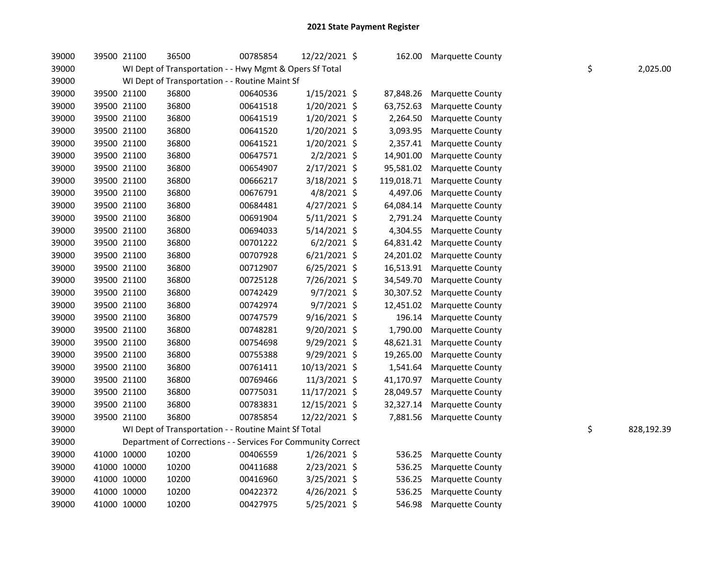| 39000 | 39500 21100 | 36500                                                        | 00785854 | 12/22/2021 \$  |            | 162.00 Marquette County   |    |            |
|-------|-------------|--------------------------------------------------------------|----------|----------------|------------|---------------------------|----|------------|
| 39000 |             | WI Dept of Transportation - - Hwy Mgmt & Opers Sf Total      |          |                |            |                           | \$ | 2,025.00   |
| 39000 |             | WI Dept of Transportation - - Routine Maint Sf               |          |                |            |                           |    |            |
| 39000 | 39500 21100 | 36800                                                        | 00640536 | $1/15/2021$ \$ | 87,848.26  | Marquette County          |    |            |
| 39000 | 39500 21100 | 36800                                                        | 00641518 | 1/20/2021 \$   | 63,752.63  | Marquette County          |    |            |
| 39000 | 39500 21100 | 36800                                                        | 00641519 | 1/20/2021 \$   | 2,264.50   | Marquette County          |    |            |
| 39000 | 39500 21100 | 36800                                                        | 00641520 | 1/20/2021 \$   | 3,093.95   | <b>Marquette County</b>   |    |            |
| 39000 | 39500 21100 | 36800                                                        | 00641521 | 1/20/2021 \$   | 2,357.41   | Marquette County          |    |            |
| 39000 | 39500 21100 | 36800                                                        | 00647571 | $2/2/2021$ \$  | 14,901.00  | Marquette County          |    |            |
| 39000 | 39500 21100 | 36800                                                        | 00654907 | 2/17/2021 \$   | 95,581.02  | <b>Marquette County</b>   |    |            |
| 39000 | 39500 21100 | 36800                                                        | 00666217 | 3/18/2021 \$   | 119,018.71 | <b>Marquette County</b>   |    |            |
| 39000 | 39500 21100 | 36800                                                        | 00676791 | 4/8/2021 \$    | 4,497.06   | <b>Marquette County</b>   |    |            |
| 39000 | 39500 21100 | 36800                                                        | 00684481 | 4/27/2021 \$   | 64,084.14  | <b>Marquette County</b>   |    |            |
| 39000 | 39500 21100 | 36800                                                        | 00691904 | 5/11/2021 \$   | 2,791.24   | <b>Marquette County</b>   |    |            |
| 39000 | 39500 21100 | 36800                                                        | 00694033 | 5/14/2021 \$   | 4,304.55   | <b>Marquette County</b>   |    |            |
| 39000 | 39500 21100 | 36800                                                        | 00701222 | $6/2/2021$ \$  | 64,831.42  | Marquette County          |    |            |
| 39000 | 39500 21100 | 36800                                                        | 00707928 | $6/21/2021$ \$ | 24,201.02  | Marquette County          |    |            |
| 39000 | 39500 21100 | 36800                                                        | 00712907 | $6/25/2021$ \$ | 16,513.91  | Marquette County          |    |            |
| 39000 | 39500 21100 | 36800                                                        | 00725128 | 7/26/2021 \$   | 34,549.70  | Marquette County          |    |            |
| 39000 | 39500 21100 | 36800                                                        | 00742429 | $9/7/2021$ \$  | 30,307.52  | Marquette County          |    |            |
| 39000 | 39500 21100 | 36800                                                        | 00742974 | 9/7/2021 \$    | 12,451.02  | Marquette County          |    |            |
| 39000 | 39500 21100 | 36800                                                        | 00747579 | $9/16/2021$ \$ | 196.14     | Marquette County          |    |            |
| 39000 | 39500 21100 | 36800                                                        | 00748281 | 9/20/2021 \$   | 1,790.00   | Marquette County          |    |            |
| 39000 | 39500 21100 | 36800                                                        | 00754698 | 9/29/2021 \$   | 48,621.31  | <b>Marquette County</b>   |    |            |
| 39000 | 39500 21100 | 36800                                                        | 00755388 | 9/29/2021 \$   | 19,265.00  | <b>Marquette County</b>   |    |            |
| 39000 | 39500 21100 | 36800                                                        | 00761411 | 10/13/2021 \$  | 1,541.64   | <b>Marquette County</b>   |    |            |
| 39000 | 39500 21100 | 36800                                                        | 00769466 | 11/3/2021 \$   | 41,170.97  | <b>Marquette County</b>   |    |            |
| 39000 | 39500 21100 | 36800                                                        | 00775031 | 11/17/2021 \$  | 28,049.57  | <b>Marquette County</b>   |    |            |
| 39000 | 39500 21100 | 36800                                                        | 00783831 | 12/15/2021 \$  | 32,327.14  | Marquette County          |    |            |
| 39000 | 39500 21100 | 36800                                                        | 00785854 | 12/22/2021 \$  |            | 7,881.56 Marquette County |    |            |
| 39000 |             | WI Dept of Transportation - - Routine Maint Sf Total         |          |                |            |                           | \$ | 828,192.39 |
| 39000 |             | Department of Corrections - - Services For Community Correct |          |                |            |                           |    |            |
| 39000 | 41000 10000 | 10200                                                        | 00406559 | $1/26/2021$ \$ | 536.25     | Marquette County          |    |            |
| 39000 | 41000 10000 | 10200                                                        | 00411688 | 2/23/2021 \$   | 536.25     | Marquette County          |    |            |
| 39000 | 41000 10000 | 10200                                                        | 00416960 | 3/25/2021 \$   | 536.25     | Marquette County          |    |            |
| 39000 | 41000 10000 | 10200                                                        | 00422372 | 4/26/2021 \$   | 536.25     | Marquette County          |    |            |
| 39000 | 41000 10000 | 10200                                                        | 00427975 | $5/25/2021$ \$ | 546.98     | Marquette County          |    |            |
|       |             |                                                              |          |                |            |                           |    |            |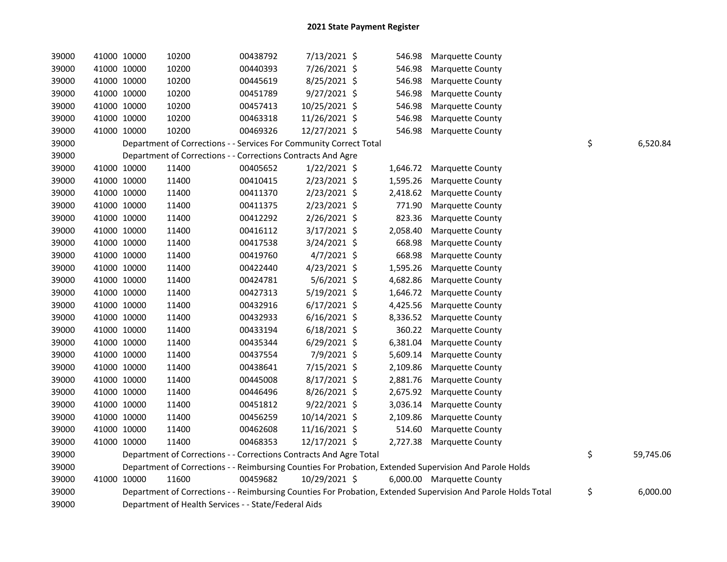| 39000 | 41000 10000 | 10200                                                              | 00438792 | 7/13/2021 \$   | 546.98   | <b>Marquette County</b>                                                                                       |                 |
|-------|-------------|--------------------------------------------------------------------|----------|----------------|----------|---------------------------------------------------------------------------------------------------------------|-----------------|
| 39000 | 41000 10000 | 10200                                                              | 00440393 | 7/26/2021 \$   | 546.98   | <b>Marquette County</b>                                                                                       |                 |
| 39000 | 41000 10000 | 10200                                                              | 00445619 | 8/25/2021 \$   | 546.98   | Marquette County                                                                                              |                 |
| 39000 | 41000 10000 | 10200                                                              | 00451789 | $9/27/2021$ \$ | 546.98   | Marquette County                                                                                              |                 |
| 39000 | 41000 10000 | 10200                                                              | 00457413 | 10/25/2021 \$  | 546.98   | Marquette County                                                                                              |                 |
| 39000 | 41000 10000 | 10200                                                              | 00463318 | 11/26/2021 \$  | 546.98   | Marquette County                                                                                              |                 |
| 39000 | 41000 10000 | 10200                                                              | 00469326 | 12/27/2021 \$  | 546.98   | <b>Marquette County</b>                                                                                       |                 |
| 39000 |             | Department of Corrections - - Services For Community Correct Total |          |                |          |                                                                                                               | \$<br>6,520.84  |
| 39000 |             | Department of Corrections - - Corrections Contracts And Agre       |          |                |          |                                                                                                               |                 |
| 39000 | 41000 10000 | 11400                                                              | 00405652 | $1/22/2021$ \$ | 1,646.72 | Marquette County                                                                                              |                 |
| 39000 | 41000 10000 | 11400                                                              | 00410415 | $2/23/2021$ \$ | 1,595.26 | Marquette County                                                                                              |                 |
| 39000 | 41000 10000 | 11400                                                              | 00411370 | 2/23/2021 \$   | 2,418.62 | Marquette County                                                                                              |                 |
| 39000 | 41000 10000 | 11400                                                              | 00411375 | 2/23/2021 \$   | 771.90   | Marquette County                                                                                              |                 |
| 39000 | 41000 10000 | 11400                                                              | 00412292 | 2/26/2021 \$   | 823.36   | <b>Marquette County</b>                                                                                       |                 |
| 39000 | 41000 10000 | 11400                                                              | 00416112 | 3/17/2021 \$   | 2,058.40 | Marquette County                                                                                              |                 |
| 39000 | 41000 10000 | 11400                                                              | 00417538 | 3/24/2021 \$   | 668.98   | <b>Marquette County</b>                                                                                       |                 |
| 39000 | 41000 10000 | 11400                                                              | 00419760 | $4/7/2021$ \$  | 668.98   | <b>Marquette County</b>                                                                                       |                 |
| 39000 | 41000 10000 | 11400                                                              | 00422440 | 4/23/2021 \$   | 1,595.26 | Marquette County                                                                                              |                 |
| 39000 | 41000 10000 | 11400                                                              | 00424781 | $5/6/2021$ \$  | 4,682.86 | Marquette County                                                                                              |                 |
| 39000 | 41000 10000 | 11400                                                              | 00427313 | 5/19/2021 \$   | 1,646.72 | Marquette County                                                                                              |                 |
| 39000 | 41000 10000 | 11400                                                              | 00432916 | $6/17/2021$ \$ | 4,425.56 | Marquette County                                                                                              |                 |
| 39000 | 41000 10000 | 11400                                                              | 00432933 | $6/16/2021$ \$ | 8,336.52 | Marquette County                                                                                              |                 |
| 39000 | 41000 10000 | 11400                                                              | 00433194 | $6/18/2021$ \$ | 360.22   | Marquette County                                                                                              |                 |
| 39000 | 41000 10000 | 11400                                                              | 00435344 | 6/29/2021 \$   | 6,381.04 | <b>Marquette County</b>                                                                                       |                 |
| 39000 | 41000 10000 | 11400                                                              | 00437554 | 7/9/2021 \$    | 5,609.14 | <b>Marquette County</b>                                                                                       |                 |
| 39000 | 41000 10000 | 11400                                                              | 00438641 | 7/15/2021 \$   | 2,109.86 | <b>Marquette County</b>                                                                                       |                 |
| 39000 | 41000 10000 | 11400                                                              | 00445008 | 8/17/2021 \$   | 2,881.76 | <b>Marquette County</b>                                                                                       |                 |
| 39000 | 41000 10000 | 11400                                                              | 00446496 | 8/26/2021 \$   | 2,675.92 | <b>Marquette County</b>                                                                                       |                 |
| 39000 | 41000 10000 | 11400                                                              | 00451812 | $9/22/2021$ \$ | 3,036.14 | <b>Marquette County</b>                                                                                       |                 |
| 39000 | 41000 10000 | 11400                                                              | 00456259 | 10/14/2021 \$  | 2,109.86 | Marquette County                                                                                              |                 |
| 39000 | 41000 10000 | 11400                                                              | 00462608 | 11/16/2021 \$  | 514.60   | <b>Marquette County</b>                                                                                       |                 |
| 39000 | 41000 10000 | 11400                                                              | 00468353 | 12/17/2021 \$  | 2,727.38 | <b>Marquette County</b>                                                                                       |                 |
| 39000 |             | Department of Corrections - - Corrections Contracts And Agre Total |          |                |          |                                                                                                               | \$<br>59,745.06 |
| 39000 |             |                                                                    |          |                |          | Department of Corrections - - Reimbursing Counties For Probation, Extended Supervision And Parole Holds       |                 |
| 39000 | 41000 10000 | 11600                                                              | 00459682 | 10/29/2021 \$  |          | 6,000.00 Marquette County                                                                                     |                 |
| 39000 |             |                                                                    |          |                |          | Department of Corrections - - Reimbursing Counties For Probation, Extended Supervision And Parole Holds Total | \$<br>6,000.00  |
| 39000 |             | Department of Health Services - - State/Federal Aids               |          |                |          |                                                                                                               |                 |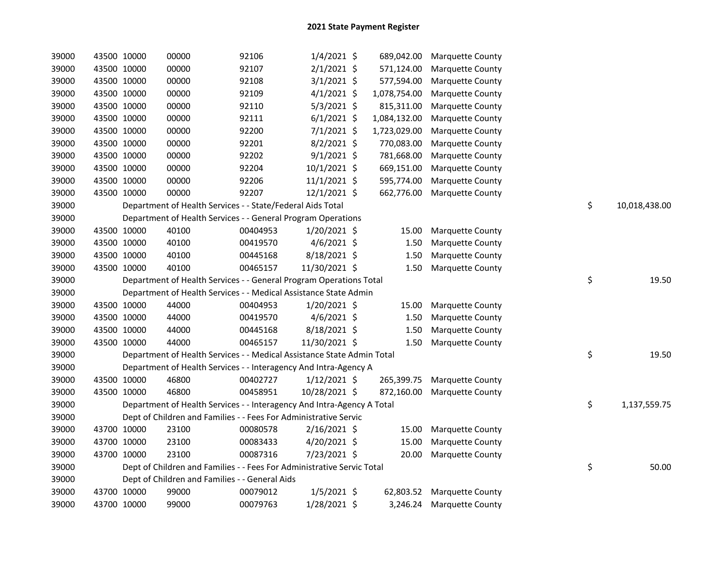| 39000 |             | 43500 10000 | 00000                                                                  | 92106    | $1/4/2021$ \$  | 689,042.00   | <b>Marquette County</b> |                     |
|-------|-------------|-------------|------------------------------------------------------------------------|----------|----------------|--------------|-------------------------|---------------------|
| 39000 |             | 43500 10000 | 00000                                                                  | 92107    | $2/1/2021$ \$  | 571,124.00   | <b>Marquette County</b> |                     |
| 39000 |             | 43500 10000 | 00000                                                                  | 92108    | $3/1/2021$ \$  | 577,594.00   | Marquette County        |                     |
| 39000 |             | 43500 10000 | 00000                                                                  | 92109    | $4/1/2021$ \$  | 1,078,754.00 | Marquette County        |                     |
| 39000 |             | 43500 10000 | 00000                                                                  | 92110    | $5/3/2021$ \$  | 815,311.00   | Marquette County        |                     |
| 39000 |             | 43500 10000 | 00000                                                                  | 92111    | $6/1/2021$ \$  | 1,084,132.00 | <b>Marquette County</b> |                     |
| 39000 |             | 43500 10000 | 00000                                                                  | 92200    | 7/1/2021 \$    | 1,723,029.00 | <b>Marquette County</b> |                     |
| 39000 |             | 43500 10000 | 00000                                                                  | 92201    | 8/2/2021 \$    | 770,083.00   | Marquette County        |                     |
| 39000 |             | 43500 10000 | 00000                                                                  | 92202    | $9/1/2021$ \$  | 781,668.00   | Marquette County        |                     |
| 39000 |             | 43500 10000 | 00000                                                                  | 92204    | 10/1/2021 \$   | 669,151.00   | Marquette County        |                     |
| 39000 |             | 43500 10000 | 00000                                                                  | 92206    | 11/1/2021 \$   | 595,774.00   | Marquette County        |                     |
| 39000 | 43500 10000 |             | 00000                                                                  | 92207    | $12/1/2021$ \$ | 662,776.00   | Marquette County        |                     |
| 39000 |             |             | Department of Health Services - - State/Federal Aids Total             |          |                |              |                         | \$<br>10,018,438.00 |
| 39000 |             |             | Department of Health Services - - General Program Operations           |          |                |              |                         |                     |
| 39000 |             | 43500 10000 | 40100                                                                  | 00404953 | $1/20/2021$ \$ | 15.00        | Marquette County        |                     |
| 39000 |             | 43500 10000 | 40100                                                                  | 00419570 | $4/6/2021$ \$  | 1.50         | Marquette County        |                     |
| 39000 |             | 43500 10000 | 40100                                                                  | 00445168 | 8/18/2021 \$   | 1.50         | Marquette County        |                     |
| 39000 |             | 43500 10000 | 40100                                                                  | 00465157 | 11/30/2021 \$  | 1.50         | Marquette County        |                     |
| 39000 |             |             | Department of Health Services - - General Program Operations Total     |          |                |              |                         | \$<br>19.50         |
| 39000 |             |             | Department of Health Services - - Medical Assistance State Admin       |          |                |              |                         |                     |
| 39000 | 43500 10000 |             | 44000                                                                  | 00404953 | $1/20/2021$ \$ | 15.00        | Marquette County        |                     |
| 39000 |             | 43500 10000 | 44000                                                                  | 00419570 | $4/6/2021$ \$  | 1.50         | Marquette County        |                     |
| 39000 |             | 43500 10000 | 44000                                                                  | 00445168 | 8/18/2021 \$   | 1.50         | Marquette County        |                     |
| 39000 |             | 43500 10000 | 44000                                                                  | 00465157 | 11/30/2021 \$  | 1.50         | Marquette County        |                     |
| 39000 |             |             | Department of Health Services - - Medical Assistance State Admin Total |          |                |              |                         | \$<br>19.50         |
| 39000 |             |             | Department of Health Services - - Interagency And Intra-Agency A       |          |                |              |                         |                     |
| 39000 |             | 43500 10000 | 46800                                                                  | 00402727 | $1/12/2021$ \$ | 265,399.75   | <b>Marquette County</b> |                     |
| 39000 |             | 43500 10000 | 46800                                                                  | 00458951 | 10/28/2021 \$  | 872,160.00   | <b>Marquette County</b> |                     |
| 39000 |             |             | Department of Health Services - - Interagency And Intra-Agency A Total |          |                |              |                         | \$<br>1,137,559.75  |
| 39000 |             |             | Dept of Children and Families - - Fees For Administrative Servic       |          |                |              |                         |                     |
| 39000 |             | 43700 10000 | 23100                                                                  | 00080578 | $2/16/2021$ \$ | 15.00        | Marquette County        |                     |
| 39000 |             | 43700 10000 | 23100                                                                  | 00083433 | 4/20/2021 \$   | 15.00        | Marquette County        |                     |
| 39000 |             | 43700 10000 | 23100                                                                  | 00087316 | 7/23/2021 \$   | 20.00        | Marquette County        |                     |
| 39000 |             |             | Dept of Children and Families - - Fees For Administrative Servic Total |          |                |              |                         | \$<br>50.00         |
| 39000 |             |             | Dept of Children and Families - - General Aids                         |          |                |              |                         |                     |
| 39000 |             | 43700 10000 | 99000                                                                  | 00079012 | $1/5/2021$ \$  | 62,803.52    | <b>Marquette County</b> |                     |
| 39000 |             | 43700 10000 | 99000                                                                  | 00079763 | 1/28/2021 \$   | 3,246.24     | <b>Marquette County</b> |                     |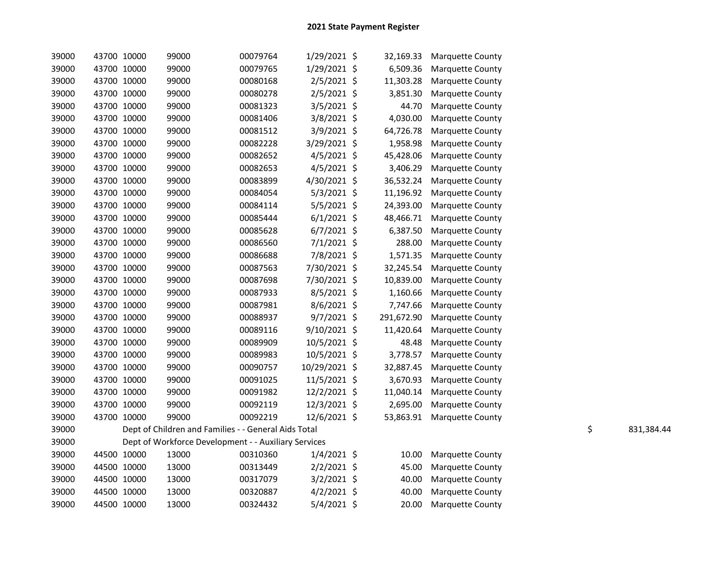| 39000 | 43700 10000 | 99000                                                | 00079764 | 1/29/2021 \$  | 32,169.33  | <b>Marquette County</b> |    |            |
|-------|-------------|------------------------------------------------------|----------|---------------|------------|-------------------------|----|------------|
| 39000 | 43700 10000 | 99000                                                | 00079765 | 1/29/2021 \$  | 6,509.36   | Marquette County        |    |            |
| 39000 | 43700 10000 | 99000                                                | 00080168 | 2/5/2021 \$   | 11,303.28  | <b>Marquette County</b> |    |            |
| 39000 | 43700 10000 | 99000                                                | 00080278 | 2/5/2021 \$   | 3,851.30   | <b>Marquette County</b> |    |            |
| 39000 | 43700 10000 | 99000                                                | 00081323 | 3/5/2021 \$   | 44.70      | <b>Marquette County</b> |    |            |
| 39000 | 43700 10000 | 99000                                                | 00081406 | 3/8/2021 \$   | 4,030.00   | Marquette County        |    |            |
| 39000 | 43700 10000 | 99000                                                | 00081512 | 3/9/2021 \$   | 64,726.78  | Marquette County        |    |            |
| 39000 | 43700 10000 | 99000                                                | 00082228 | 3/29/2021 \$  | 1,958.98   | Marquette County        |    |            |
| 39000 | 43700 10000 | 99000                                                | 00082652 | 4/5/2021 \$   | 45,428.06  | Marquette County        |    |            |
| 39000 | 43700 10000 | 99000                                                | 00082653 | 4/5/2021 \$   | 3,406.29   | Marquette County        |    |            |
| 39000 | 43700 10000 | 99000                                                | 00083899 | 4/30/2021 \$  | 36,532.24  | <b>Marquette County</b> |    |            |
| 39000 | 43700 10000 | 99000                                                | 00084054 | $5/3/2021$ \$ | 11,196.92  | Marquette County        |    |            |
| 39000 | 43700 10000 | 99000                                                | 00084114 | 5/5/2021 \$   | 24,393.00  | <b>Marquette County</b> |    |            |
| 39000 | 43700 10000 | 99000                                                | 00085444 | $6/1/2021$ \$ | 48,466.71  | Marquette County        |    |            |
| 39000 | 43700 10000 | 99000                                                | 00085628 | $6/7/2021$ \$ | 6,387.50   | Marquette County        |    |            |
| 39000 | 43700 10000 | 99000                                                | 00086560 | 7/1/2021 \$   | 288.00     | Marquette County        |    |            |
| 39000 | 43700 10000 | 99000                                                | 00086688 | 7/8/2021 \$   | 1,571.35   | <b>Marquette County</b> |    |            |
| 39000 | 43700 10000 | 99000                                                | 00087563 | 7/30/2021 \$  | 32,245.54  | <b>Marquette County</b> |    |            |
| 39000 | 43700 10000 | 99000                                                | 00087698 | 7/30/2021 \$  | 10,839.00  | <b>Marquette County</b> |    |            |
| 39000 | 43700 10000 | 99000                                                | 00087933 | 8/5/2021 \$   | 1,160.66   | <b>Marquette County</b> |    |            |
| 39000 | 43700 10000 | 99000                                                | 00087981 | 8/6/2021 \$   | 7,747.66   | <b>Marquette County</b> |    |            |
| 39000 | 43700 10000 | 99000                                                | 00088937 | $9/7/2021$ \$ | 291,672.90 | <b>Marquette County</b> |    |            |
| 39000 | 43700 10000 | 99000                                                | 00089116 | 9/10/2021 \$  | 11,420.64  | Marquette County        |    |            |
| 39000 | 43700 10000 | 99000                                                | 00089909 | 10/5/2021 \$  | 48.48      | Marquette County        |    |            |
| 39000 | 43700 10000 | 99000                                                | 00089983 | 10/5/2021 \$  | 3,778.57   | <b>Marquette County</b> |    |            |
| 39000 | 43700 10000 | 99000                                                | 00090757 | 10/29/2021 \$ | 32,887.45  | <b>Marquette County</b> |    |            |
| 39000 | 43700 10000 | 99000                                                | 00091025 | 11/5/2021 \$  | 3,670.93   | Marquette County        |    |            |
| 39000 | 43700 10000 | 99000                                                | 00091982 | 12/2/2021 \$  | 11,040.14  | Marquette County        |    |            |
| 39000 | 43700 10000 | 99000                                                | 00092119 | 12/3/2021 \$  | 2,695.00   | Marquette County        |    |            |
| 39000 | 43700 10000 | 99000                                                | 00092219 | 12/6/2021 \$  | 53,863.91  | <b>Marquette County</b> |    |            |
| 39000 |             | Dept of Children and Families - - General Aids Total |          |               |            |                         | \$ | 831,384.44 |
| 39000 |             | Dept of Workforce Development - - Auxiliary Services |          |               |            |                         |    |            |
| 39000 | 44500 10000 | 13000                                                | 00310360 | $1/4/2021$ \$ | 10.00      | <b>Marquette County</b> |    |            |
| 39000 | 44500 10000 | 13000                                                | 00313449 | $2/2/2021$ \$ | 45.00      | Marquette County        |    |            |
| 39000 | 44500 10000 | 13000                                                | 00317079 | 3/2/2021 \$   | 40.00      | Marquette County        |    |            |
| 39000 | 44500 10000 | 13000                                                | 00320887 | $4/2/2021$ \$ | 40.00      | Marquette County        |    |            |
| 39000 | 44500 10000 | 13000                                                | 00324432 | $5/4/2021$ \$ | 20.00      | Marquette County        |    |            |
|       |             |                                                      |          |               |            |                         |    |            |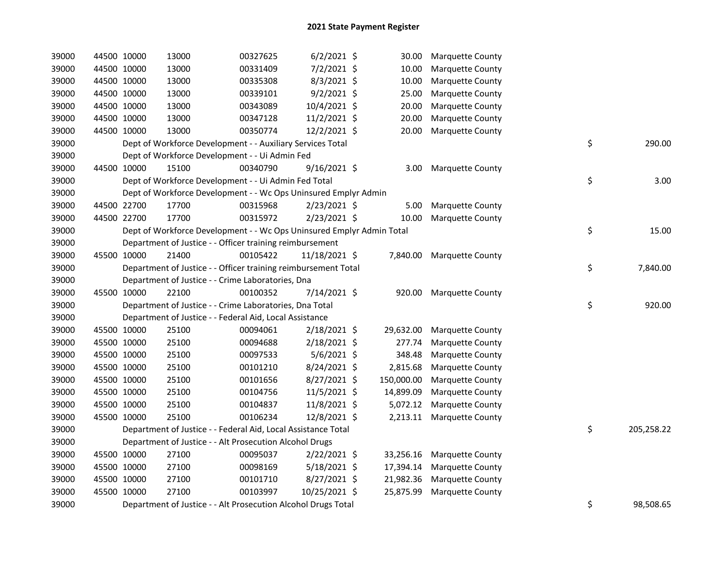| 39000 | 44500 10000 |             | 13000                                                                 | 00327625 | $6/2/2021$ \$  | 30.00      | <b>Marquette County</b>   |    |            |
|-------|-------------|-------------|-----------------------------------------------------------------------|----------|----------------|------------|---------------------------|----|------------|
| 39000 |             | 44500 10000 | 13000                                                                 | 00331409 | 7/2/2021 \$    | 10.00      | Marquette County          |    |            |
| 39000 |             | 44500 10000 | 13000                                                                 | 00335308 | 8/3/2021 \$    | 10.00      | Marquette County          |    |            |
| 39000 | 44500 10000 |             | 13000                                                                 | 00339101 | $9/2/2021$ \$  | 25.00      | Marquette County          |    |            |
| 39000 | 44500 10000 |             | 13000                                                                 | 00343089 | 10/4/2021 \$   | 20.00      | Marquette County          |    |            |
| 39000 | 44500 10000 |             | 13000                                                                 | 00347128 | $11/2/2021$ \$ | 20.00      | Marquette County          |    |            |
| 39000 | 44500 10000 |             | 13000                                                                 | 00350774 | 12/2/2021 \$   | 20.00      | Marquette County          |    |            |
| 39000 |             |             | Dept of Workforce Development - - Auxiliary Services Total            |          |                |            |                           | \$ | 290.00     |
| 39000 |             |             | Dept of Workforce Development - - Ui Admin Fed                        |          |                |            |                           |    |            |
| 39000 |             | 44500 10000 | 15100                                                                 | 00340790 | 9/16/2021 \$   | 3.00       | <b>Marquette County</b>   |    |            |
| 39000 |             |             | Dept of Workforce Development - - Ui Admin Fed Total                  |          |                |            |                           | \$ | 3.00       |
| 39000 |             |             | Dept of Workforce Development - - Wc Ops Uninsured Emplyr Admin       |          |                |            |                           |    |            |
| 39000 |             | 44500 22700 | 17700                                                                 | 00315968 | $2/23/2021$ \$ | 5.00       | Marquette County          |    |            |
| 39000 |             | 44500 22700 | 17700                                                                 | 00315972 | 2/23/2021 \$   | 10.00      | Marquette County          |    |            |
| 39000 |             |             | Dept of Workforce Development - - Wc Ops Uninsured Emplyr Admin Total |          |                |            |                           | \$ | 15.00      |
| 39000 |             |             | Department of Justice - - Officer training reimbursement              |          |                |            |                           |    |            |
| 39000 | 45500 10000 |             | 21400                                                                 | 00105422 | 11/18/2021 \$  | 7,840.00   | <b>Marquette County</b>   |    |            |
| 39000 |             |             | Department of Justice - - Officer training reimbursement Total        |          |                |            |                           | \$ | 7,840.00   |
| 39000 |             |             | Department of Justice - - Crime Laboratories, Dna                     |          |                |            |                           |    |            |
| 39000 |             | 45500 10000 | 22100                                                                 | 00100352 | 7/14/2021 \$   | 920.00     | Marquette County          |    |            |
| 39000 |             |             | Department of Justice - - Crime Laboratories, Dna Total               |          |                |            |                           | \$ | 920.00     |
| 39000 |             |             | Department of Justice - - Federal Aid, Local Assistance               |          |                |            |                           |    |            |
| 39000 |             | 45500 10000 | 25100                                                                 | 00094061 | $2/18/2021$ \$ | 29,632.00  | Marquette County          |    |            |
| 39000 |             | 45500 10000 | 25100                                                                 | 00094688 | 2/18/2021 \$   | 277.74     | Marquette County          |    |            |
| 39000 |             | 45500 10000 | 25100                                                                 | 00097533 | $5/6/2021$ \$  | 348.48     | Marquette County          |    |            |
| 39000 |             | 45500 10000 | 25100                                                                 | 00101210 | 8/24/2021 \$   | 2,815.68   | Marquette County          |    |            |
| 39000 | 45500 10000 |             | 25100                                                                 | 00101656 | 8/27/2021 \$   | 150,000.00 | Marquette County          |    |            |
| 39000 | 45500 10000 |             | 25100                                                                 | 00104756 | 11/5/2021 \$   | 14,899.09  | Marquette County          |    |            |
| 39000 | 45500 10000 |             | 25100                                                                 | 00104837 | 11/8/2021 \$   | 5,072.12   | <b>Marquette County</b>   |    |            |
| 39000 |             | 45500 10000 | 25100                                                                 | 00106234 | 12/8/2021 \$   |            | 2,213.11 Marquette County |    |            |
| 39000 |             |             | Department of Justice - - Federal Aid, Local Assistance Total         |          |                |            |                           | \$ | 205,258.22 |
| 39000 |             |             | Department of Justice - - Alt Prosecution Alcohol Drugs               |          |                |            |                           |    |            |
| 39000 |             | 45500 10000 | 27100                                                                 | 00095037 | $2/22/2021$ \$ | 33,256.16  | <b>Marquette County</b>   |    |            |
| 39000 |             | 45500 10000 | 27100                                                                 | 00098169 | $5/18/2021$ \$ | 17,394.14  | Marquette County          |    |            |
| 39000 | 45500 10000 |             | 27100                                                                 | 00101710 | 8/27/2021 \$   | 21,982.36  | <b>Marquette County</b>   |    |            |
| 39000 | 45500 10000 |             | 27100                                                                 | 00103997 | 10/25/2021 \$  | 25,875.99  | <b>Marquette County</b>   |    |            |
| 39000 |             |             | Department of Justice - - Alt Prosecution Alcohol Drugs Total         |          |                |            |                           | \$ | 98,508.65  |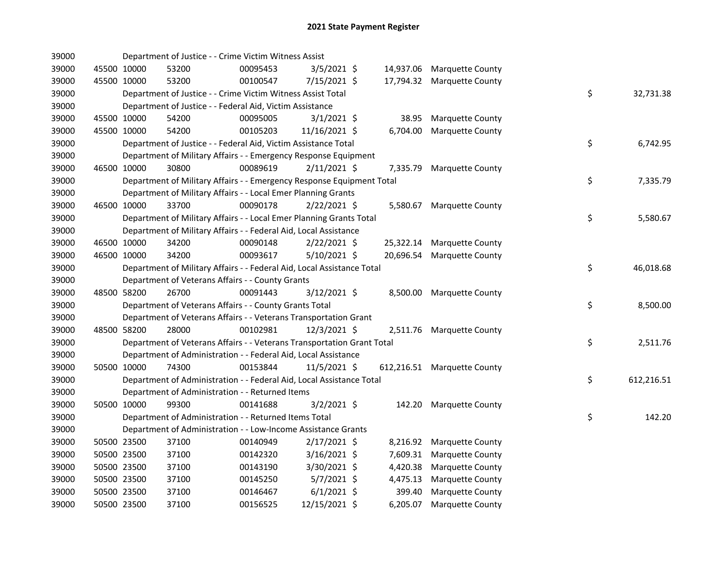| 39000 |             | Department of Justice - - Crime Victim Witness Assist                  |          |                |           |                             |    |            |
|-------|-------------|------------------------------------------------------------------------|----------|----------------|-----------|-----------------------------|----|------------|
| 39000 | 45500 10000 | 53200                                                                  | 00095453 | 3/5/2021 \$    |           | 14,937.06 Marquette County  |    |            |
| 39000 | 45500 10000 | 53200                                                                  | 00100547 | 7/15/2021 \$   |           | 17,794.32 Marquette County  |    |            |
| 39000 |             | Department of Justice - - Crime Victim Witness Assist Total            |          |                |           |                             | \$ | 32,731.38  |
| 39000 |             | Department of Justice - - Federal Aid, Victim Assistance               |          |                |           |                             |    |            |
| 39000 | 45500 10000 | 54200                                                                  | 00095005 | $3/1/2021$ \$  | 38.95     | <b>Marquette County</b>     |    |            |
| 39000 | 45500 10000 | 54200                                                                  | 00105203 | 11/16/2021 \$  | 6,704.00  | Marquette County            |    |            |
| 39000 |             | Department of Justice - - Federal Aid, Victim Assistance Total         |          |                |           |                             | \$ | 6,742.95   |
| 39000 |             | Department of Military Affairs - - Emergency Response Equipment        |          |                |           |                             |    |            |
| 39000 | 46500 10000 | 30800                                                                  | 00089619 | $2/11/2021$ \$ | 7,335.79  | Marquette County            |    |            |
| 39000 |             | Department of Military Affairs - - Emergency Response Equipment Total  |          |                |           |                             | \$ | 7,335.79   |
| 39000 |             | Department of Military Affairs - - Local Emer Planning Grants          |          |                |           |                             |    |            |
| 39000 | 46500 10000 | 33700                                                                  | 00090178 | 2/22/2021 \$   |           | 5,580.67 Marquette County   |    |            |
| 39000 |             | Department of Military Affairs - - Local Emer Planning Grants Total    |          |                |           |                             | \$ | 5,580.67   |
| 39000 |             | Department of Military Affairs - - Federal Aid, Local Assistance       |          |                |           |                             |    |            |
| 39000 | 46500 10000 | 34200                                                                  | 00090148 | $2/22/2021$ \$ |           | 25,322.14 Marquette County  |    |            |
| 39000 | 46500 10000 | 34200                                                                  | 00093617 | $5/10/2021$ \$ | 20,696.54 | Marquette County            |    |            |
| 39000 |             | Department of Military Affairs - - Federal Aid, Local Assistance Total |          |                |           |                             | \$ | 46,018.68  |
| 39000 |             | Department of Veterans Affairs - - County Grants                       |          |                |           |                             |    |            |
| 39000 | 48500 58200 | 26700                                                                  | 00091443 | 3/12/2021 \$   |           | 8,500.00 Marquette County   |    |            |
| 39000 |             | Department of Veterans Affairs - - County Grants Total                 |          |                |           |                             | \$ | 8,500.00   |
| 39000 |             | Department of Veterans Affairs - - Veterans Transportation Grant       |          |                |           |                             |    |            |
| 39000 | 48500 58200 | 28000                                                                  | 00102981 | $12/3/2021$ \$ |           | 2,511.76 Marquette County   |    |            |
| 39000 |             | Department of Veterans Affairs - - Veterans Transportation Grant Total |          |                |           |                             | \$ | 2,511.76   |
| 39000 |             | Department of Administration - - Federal Aid, Local Assistance         |          |                |           |                             |    |            |
| 39000 | 50500 10000 | 74300                                                                  | 00153844 | $11/5/2021$ \$ |           | 612,216.51 Marquette County |    |            |
| 39000 |             | Department of Administration - - Federal Aid, Local Assistance Total   |          |                |           |                             | \$ | 612,216.51 |
| 39000 |             | Department of Administration - - Returned Items                        |          |                |           |                             |    |            |
| 39000 | 50500 10000 | 99300                                                                  | 00141688 | $3/2/2021$ \$  | 142.20    | <b>Marquette County</b>     |    |            |
| 39000 |             | Department of Administration - - Returned Items Total                  |          |                |           |                             | \$ | 142.20     |
| 39000 |             | Department of Administration - - Low-Income Assistance Grants          |          |                |           |                             |    |            |
| 39000 | 50500 23500 | 37100                                                                  | 00140949 | $2/17/2021$ \$ | 8,216.92  | <b>Marquette County</b>     |    |            |
| 39000 | 50500 23500 | 37100                                                                  | 00142320 | $3/16/2021$ \$ | 7,609.31  | <b>Marquette County</b>     |    |            |
| 39000 | 50500 23500 | 37100                                                                  | 00143190 | 3/30/2021 \$   | 4,420.38  | <b>Marquette County</b>     |    |            |
| 39000 | 50500 23500 | 37100                                                                  | 00145250 | $5/7/2021$ \$  | 4,475.13  | Marquette County            |    |            |
| 39000 | 50500 23500 | 37100                                                                  | 00146467 | $6/1/2021$ \$  | 399.40    | Marquette County            |    |            |
| 39000 | 50500 23500 | 37100                                                                  | 00156525 | 12/15/2021 \$  | 6,205.07  | Marquette County            |    |            |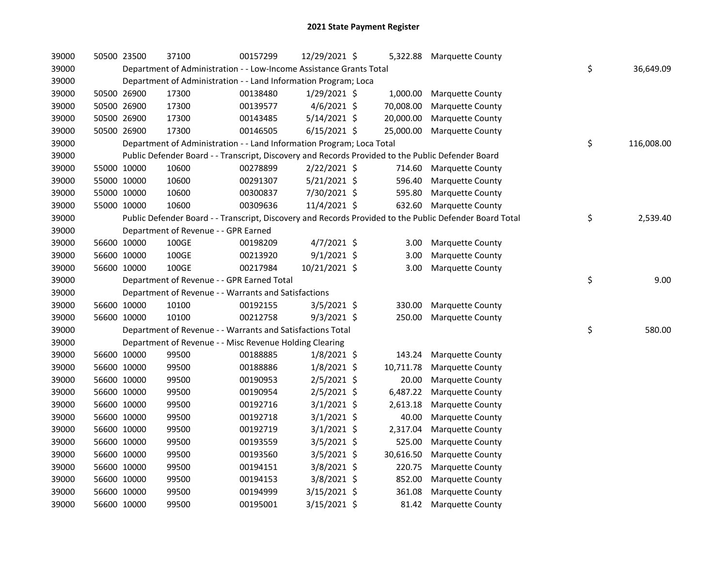| 39000 | 50500 23500 | 37100                                                                 | 00157299 | 12/29/2021 \$  |           | 5,322.88 Marquette County                                                                               |                  |
|-------|-------------|-----------------------------------------------------------------------|----------|----------------|-----------|---------------------------------------------------------------------------------------------------------|------------------|
| 39000 |             | Department of Administration - - Low-Income Assistance Grants Total   |          |                |           |                                                                                                         | \$<br>36,649.09  |
| 39000 |             | Department of Administration - - Land Information Program; Loca       |          |                |           |                                                                                                         |                  |
| 39000 | 50500 26900 | 17300                                                                 | 00138480 | $1/29/2021$ \$ | 1,000.00  | <b>Marquette County</b>                                                                                 |                  |
| 39000 | 50500 26900 | 17300                                                                 | 00139577 | 4/6/2021 \$    | 70,008.00 | Marquette County                                                                                        |                  |
| 39000 | 50500 26900 | 17300                                                                 | 00143485 | 5/14/2021 \$   | 20,000.00 | Marquette County                                                                                        |                  |
| 39000 | 50500 26900 | 17300                                                                 | 00146505 | $6/15/2021$ \$ | 25,000.00 | <b>Marquette County</b>                                                                                 |                  |
| 39000 |             | Department of Administration - - Land Information Program; Loca Total |          |                |           |                                                                                                         | \$<br>116,008.00 |
| 39000 |             |                                                                       |          |                |           | Public Defender Board - - Transcript, Discovery and Records Provided to the Public Defender Board       |                  |
| 39000 | 55000 10000 | 10600                                                                 | 00278899 | $2/22/2021$ \$ | 714.60    | <b>Marquette County</b>                                                                                 |                  |
| 39000 | 55000 10000 | 10600                                                                 | 00291307 | $5/21/2021$ \$ | 596.40    | <b>Marquette County</b>                                                                                 |                  |
| 39000 | 55000 10000 | 10600                                                                 | 00300837 | 7/30/2021 \$   | 595.80    | Marquette County                                                                                        |                  |
| 39000 | 55000 10000 | 10600                                                                 | 00309636 | 11/4/2021 \$   | 632.60    | <b>Marquette County</b>                                                                                 |                  |
| 39000 |             |                                                                       |          |                |           | Public Defender Board - - Transcript, Discovery and Records Provided to the Public Defender Board Total | \$<br>2,539.40   |
| 39000 |             | Department of Revenue - - GPR Earned                                  |          |                |           |                                                                                                         |                  |
| 39000 | 56600 10000 | 100GE                                                                 | 00198209 | $4/7/2021$ \$  | 3.00      | <b>Marquette County</b>                                                                                 |                  |
| 39000 | 56600 10000 | 100GE                                                                 | 00213920 | $9/1/2021$ \$  | 3.00      | Marquette County                                                                                        |                  |
| 39000 | 56600 10000 | 100GE                                                                 | 00217984 | 10/21/2021 \$  | 3.00      | <b>Marquette County</b>                                                                                 |                  |
| 39000 |             | Department of Revenue - - GPR Earned Total                            |          |                |           |                                                                                                         | \$<br>9.00       |
| 39000 |             | Department of Revenue - - Warrants and Satisfactions                  |          |                |           |                                                                                                         |                  |
| 39000 | 56600 10000 | 10100                                                                 | 00192155 | $3/5/2021$ \$  | 330.00    | Marquette County                                                                                        |                  |
| 39000 | 56600 10000 | 10100                                                                 | 00212758 | $9/3/2021$ \$  | 250.00    | Marquette County                                                                                        |                  |
| 39000 |             | Department of Revenue - - Warrants and Satisfactions Total            |          |                |           |                                                                                                         | \$<br>580.00     |
| 39000 |             | Department of Revenue - - Misc Revenue Holding Clearing               |          |                |           |                                                                                                         |                  |
| 39000 | 56600 10000 | 99500                                                                 | 00188885 | $1/8/2021$ \$  | 143.24    | Marquette County                                                                                        |                  |
| 39000 | 56600 10000 | 99500                                                                 | 00188886 | $1/8/2021$ \$  | 10,711.78 | Marquette County                                                                                        |                  |
| 39000 | 56600 10000 | 99500                                                                 | 00190953 | 2/5/2021 \$    | 20.00     | Marquette County                                                                                        |                  |
| 39000 | 56600 10000 | 99500                                                                 | 00190954 | $2/5/2021$ \$  | 6,487.22  | Marquette County                                                                                        |                  |
| 39000 | 56600 10000 | 99500                                                                 | 00192716 | $3/1/2021$ \$  | 2,613.18  | Marquette County                                                                                        |                  |
| 39000 | 56600 10000 | 99500                                                                 | 00192718 | $3/1/2021$ \$  | 40.00     | Marquette County                                                                                        |                  |
| 39000 | 56600 10000 | 99500                                                                 | 00192719 | $3/1/2021$ \$  | 2,317.04  | Marquette County                                                                                        |                  |
| 39000 | 56600 10000 | 99500                                                                 | 00193559 | 3/5/2021 \$    | 525.00    | Marquette County                                                                                        |                  |
| 39000 | 56600 10000 | 99500                                                                 | 00193560 | $3/5/2021$ \$  | 30,616.50 | Marquette County                                                                                        |                  |
| 39000 | 56600 10000 | 99500                                                                 | 00194151 | 3/8/2021 \$    | 220.75    | <b>Marquette County</b>                                                                                 |                  |
| 39000 | 56600 10000 | 99500                                                                 | 00194153 | 3/8/2021 \$    | 852.00    | Marquette County                                                                                        |                  |
| 39000 | 56600 10000 | 99500                                                                 | 00194999 | 3/15/2021 \$   | 361.08    | Marquette County                                                                                        |                  |
| 39000 | 56600 10000 | 99500                                                                 | 00195001 | 3/15/2021 \$   | 81.42     | <b>Marquette County</b>                                                                                 |                  |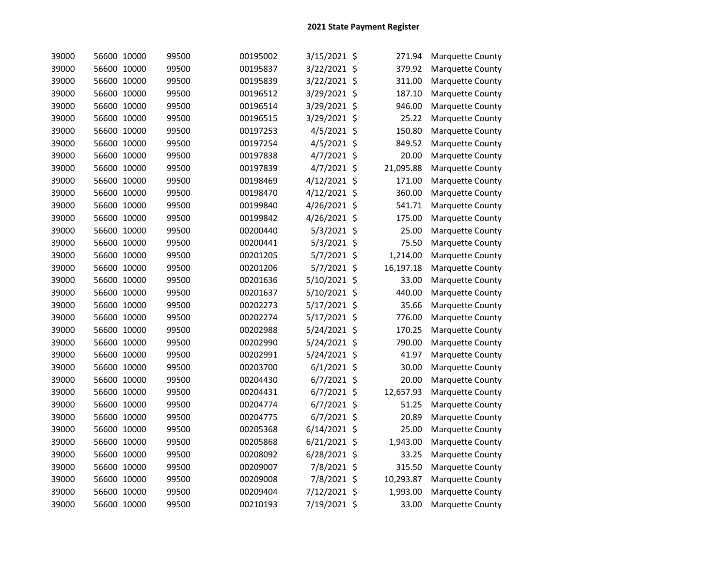| 39000 | 56600 10000 | 99500 | 00195002 | 3/15/2021 \$  | 271.94    | <b>Marquette County</b> |
|-------|-------------|-------|----------|---------------|-----------|-------------------------|
| 39000 | 56600 10000 | 99500 | 00195837 | 3/22/2021 \$  | 379.92    | Marquette County        |
| 39000 | 56600 10000 | 99500 | 00195839 | 3/22/2021 \$  | 311.00    | Marquette County        |
| 39000 | 56600 10000 | 99500 | 00196512 | 3/29/2021 \$  | 187.10    | Marquette County        |
| 39000 | 56600 10000 | 99500 | 00196514 | 3/29/2021 \$  | 946.00    | Marquette County        |
| 39000 | 56600 10000 | 99500 | 00196515 | 3/29/2021 \$  | 25.22     | Marquette County        |
| 39000 | 56600 10000 | 99500 | 00197253 | 4/5/2021 \$   | 150.80    | <b>Marquette County</b> |
| 39000 | 56600 10000 | 99500 | 00197254 | 4/5/2021 \$   | 849.52    | <b>Marquette County</b> |
| 39000 | 56600 10000 | 99500 | 00197838 | 4/7/2021 \$   | 20.00     | Marquette County        |
| 39000 | 56600 10000 | 99500 | 00197839 | $4/7/2021$ \$ | 21,095.88 | Marquette County        |
| 39000 | 56600 10000 | 99500 | 00198469 | 4/12/2021 \$  | 171.00    | <b>Marquette County</b> |
| 39000 | 56600 10000 | 99500 | 00198470 | 4/12/2021 \$  | 360.00    | <b>Marquette County</b> |
| 39000 | 56600 10000 | 99500 | 00199840 | 4/26/2021 \$  | 541.71    | Marquette County        |
| 39000 | 56600 10000 | 99500 | 00199842 | 4/26/2021 \$  | 175.00    | Marquette County        |
| 39000 | 56600 10000 | 99500 | 00200440 | 5/3/2021 \$   | 25.00     | Marquette County        |
| 39000 | 56600 10000 | 99500 | 00200441 | 5/3/2021 \$   | 75.50     | <b>Marquette County</b> |
| 39000 | 56600 10000 | 99500 | 00201205 | 5/7/2021 \$   | 1,214.00  | Marquette County        |
| 39000 | 56600 10000 | 99500 | 00201206 | 5/7/2021 \$   | 16,197.18 | Marquette County        |
| 39000 | 56600 10000 | 99500 | 00201636 | 5/10/2021 \$  | 33.00     | <b>Marquette County</b> |
| 39000 | 56600 10000 | 99500 | 00201637 | 5/10/2021 \$  | 440.00    | Marquette County        |
| 39000 | 56600 10000 | 99500 | 00202273 | 5/17/2021 \$  | 35.66     | Marquette County        |
| 39000 | 56600 10000 | 99500 | 00202274 | 5/17/2021 \$  | 776.00    | Marquette County        |
| 39000 | 56600 10000 | 99500 | 00202988 | 5/24/2021 \$  | 170.25    | Marquette County        |
| 39000 | 56600 10000 | 99500 | 00202990 | 5/24/2021 \$  | 790.00    | Marquette County        |
| 39000 | 56600 10000 | 99500 | 00202991 | 5/24/2021 \$  | 41.97     | Marquette County        |
| 39000 | 56600 10000 | 99500 | 00203700 | $6/1/2021$ \$ | 30.00     | Marquette County        |
| 39000 | 56600 10000 | 99500 | 00204430 | $6/7/2021$ \$ | 20.00     | <b>Marquette County</b> |
| 39000 | 56600 10000 | 99500 | 00204431 | 6/7/2021 \$   | 12,657.93 | Marquette County        |
| 39000 | 56600 10000 | 99500 | 00204774 | $6/7/2021$ \$ | 51.25     | Marquette County        |
| 39000 | 56600 10000 | 99500 | 00204775 | 6/7/2021 \$   | 20.89     | <b>Marquette County</b> |
| 39000 | 56600 10000 | 99500 | 00205368 | 6/14/2021 \$  | 25.00     | Marquette County        |
| 39000 | 56600 10000 | 99500 | 00205868 | 6/21/2021 \$  | 1,943.00  | <b>Marquette County</b> |
| 39000 | 56600 10000 | 99500 | 00208092 | 6/28/2021 \$  | 33.25     | <b>Marquette County</b> |
| 39000 | 56600 10000 | 99500 | 00209007 | 7/8/2021 \$   | 315.50    | <b>Marquette County</b> |
| 39000 | 56600 10000 | 99500 | 00209008 | 7/8/2021 \$   | 10,293.87 | Marquette County        |
| 39000 | 56600 10000 | 99500 | 00209404 | 7/12/2021 \$  | 1,993.00  | Marquette County        |
| 39000 | 56600 10000 | 99500 | 00210193 | 7/19/2021 \$  | 33.00     | <b>Marquette County</b> |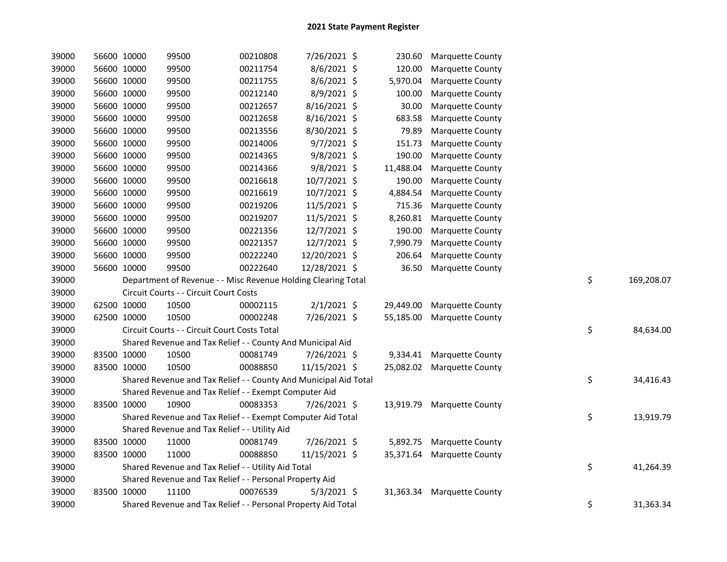| 39000 |             | 56600 10000 | 99500                                                            | 00210808 | 7/26/2021 \$  | 230.60    | <b>Marquette County</b>    |    |            |
|-------|-------------|-------------|------------------------------------------------------------------|----------|---------------|-----------|----------------------------|----|------------|
| 39000 |             | 56600 10000 | 99500                                                            | 00211754 | 8/6/2021 \$   | 120.00    | Marquette County           |    |            |
| 39000 |             | 56600 10000 | 99500                                                            | 00211755 | 8/6/2021 \$   | 5,970.04  | Marquette County           |    |            |
| 39000 | 56600 10000 |             | 99500                                                            | 00212140 | 8/9/2021 \$   | 100.00    | Marquette County           |    |            |
| 39000 | 56600 10000 |             | 99500                                                            | 00212657 | 8/16/2021 \$  | 30.00     | Marquette County           |    |            |
| 39000 | 56600 10000 |             | 99500                                                            | 00212658 | 8/16/2021 \$  | 683.58    | Marquette County           |    |            |
| 39000 | 56600 10000 |             | 99500                                                            | 00213556 | 8/30/2021 \$  | 79.89     | Marquette County           |    |            |
| 39000 |             | 56600 10000 | 99500                                                            | 00214006 | $9/7/2021$ \$ | 151.73    | Marquette County           |    |            |
| 39000 |             | 56600 10000 | 99500                                                            | 00214365 | $9/8/2021$ \$ | 190.00    | Marquette County           |    |            |
| 39000 |             | 56600 10000 | 99500                                                            | 00214366 | 9/8/2021 \$   | 11,488.04 | Marquette County           |    |            |
| 39000 |             | 56600 10000 | 99500                                                            | 00216618 | 10/7/2021 \$  | 190.00    | Marquette County           |    |            |
| 39000 |             | 56600 10000 | 99500                                                            | 00216619 | 10/7/2021 \$  | 4,884.54  | Marquette County           |    |            |
| 39000 |             | 56600 10000 | 99500                                                            | 00219206 | 11/5/2021 \$  | 715.36    | Marquette County           |    |            |
| 39000 |             | 56600 10000 | 99500                                                            | 00219207 | 11/5/2021 \$  | 8,260.81  | Marquette County           |    |            |
| 39000 |             | 56600 10000 | 99500                                                            | 00221356 | 12/7/2021 \$  | 190.00    | Marquette County           |    |            |
| 39000 |             | 56600 10000 | 99500                                                            | 00221357 | 12/7/2021 \$  | 7,990.79  | Marquette County           |    |            |
| 39000 | 56600 10000 |             | 99500                                                            | 00222240 | 12/20/2021 \$ | 206.64    | Marquette County           |    |            |
| 39000 | 56600 10000 |             | 99500                                                            | 00222640 | 12/28/2021 \$ | 36.50     | Marquette County           |    |            |
| 39000 |             |             | Department of Revenue - - Misc Revenue Holding Clearing Total    |          |               |           |                            | \$ | 169,208.07 |
| 39000 |             |             | Circuit Courts - - Circuit Court Costs                           |          |               |           |                            |    |            |
| 39000 |             | 62500 10000 | 10500                                                            | 00002115 | $2/1/2021$ \$ | 29,449.00 | Marquette County           |    |            |
| 39000 |             | 62500 10000 | 10500                                                            | 00002248 | 7/26/2021 \$  | 55,185.00 | Marquette County           |    |            |
| 39000 |             |             | Circuit Courts - - Circuit Court Costs Total                     |          |               |           |                            | \$ | 84,634.00  |
| 39000 |             |             | Shared Revenue and Tax Relief - - County And Municipal Aid       |          |               |           |                            |    |            |
| 39000 |             | 83500 10000 | 10500                                                            | 00081749 | 7/26/2021 \$  | 9,334.41  | <b>Marquette County</b>    |    |            |
| 39000 |             | 83500 10000 | 10500                                                            | 00088850 | 11/15/2021 \$ |           | 25,082.02 Marquette County |    |            |
| 39000 |             |             | Shared Revenue and Tax Relief - - County And Municipal Aid Total |          |               |           |                            | \$ | 34,416.43  |
| 39000 |             |             | Shared Revenue and Tax Relief - - Exempt Computer Aid            |          |               |           |                            |    |            |
| 39000 | 83500 10000 |             | 10900                                                            | 00083353 | 7/26/2021 \$  |           | 13,919.79 Marquette County |    |            |
| 39000 |             |             | Shared Revenue and Tax Relief - - Exempt Computer Aid Total      |          |               |           |                            | \$ | 13,919.79  |
| 39000 |             |             | Shared Revenue and Tax Relief - - Utility Aid                    |          |               |           |                            |    |            |
| 39000 |             | 83500 10000 | 11000                                                            | 00081749 | 7/26/2021 \$  |           | 5,892.75 Marquette County  |    |            |
| 39000 | 83500 10000 |             | 11000                                                            | 00088850 | 11/15/2021 \$ |           | 35,371.64 Marquette County |    |            |
| 39000 |             |             | Shared Revenue and Tax Relief - - Utility Aid Total              |          |               |           |                            | \$ | 41,264.39  |
| 39000 |             |             | Shared Revenue and Tax Relief - - Personal Property Aid          |          |               |           |                            |    |            |
| 39000 | 83500 10000 |             | 11100                                                            | 00076539 | $5/3/2021$ \$ | 31,363.34 | <b>Marquette County</b>    |    |            |
| 39000 |             |             | Shared Revenue and Tax Relief - - Personal Property Aid Total    |          |               |           |                            | \$ | 31,363.34  |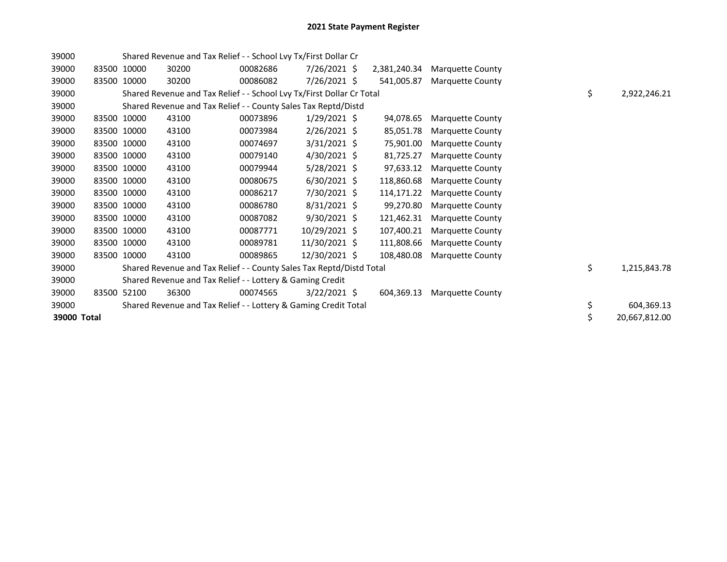| 39000       |             |             | Shared Revenue and Tax Relief - - School Lvy Tx/First Dollar Cr       |          |                |              |                         |    |               |
|-------------|-------------|-------------|-----------------------------------------------------------------------|----------|----------------|--------------|-------------------------|----|---------------|
| 39000       |             | 83500 10000 | 30200                                                                 | 00082686 | $7/26/2021$ \$ | 2,381,240.34 | <b>Marquette County</b> |    |               |
| 39000       | 83500       | 10000       | 30200                                                                 | 00086082 | $7/26/2021$ \$ | 541,005.87   | <b>Marquette County</b> |    |               |
| 39000       |             |             | Shared Revenue and Tax Relief - - School Lvy Tx/First Dollar Cr Total |          |                |              |                         | \$ | 2,922,246.21  |
| 39000       |             |             | Shared Revenue and Tax Relief - - County Sales Tax Reptd/Distd        |          |                |              |                         |    |               |
| 39000       |             | 83500 10000 | 43100                                                                 | 00073896 | $1/29/2021$ \$ | 94.078.65    | <b>Marquette County</b> |    |               |
| 39000       |             | 83500 10000 | 43100                                                                 | 00073984 | $2/26/2021$ \$ | 85,051.78    | <b>Marquette County</b> |    |               |
| 39000       |             | 83500 10000 | 43100                                                                 | 00074697 | $3/31/2021$ \$ | 75,901.00    | <b>Marquette County</b> |    |               |
| 39000       |             | 83500 10000 | 43100                                                                 | 00079140 | $4/30/2021$ \$ | 81,725.27    | <b>Marquette County</b> |    |               |
| 39000       | 83500 10000 |             | 43100                                                                 | 00079944 | $5/28/2021$ \$ | 97,633.12    | <b>Marquette County</b> |    |               |
| 39000       |             | 83500 10000 | 43100                                                                 | 00080675 | $6/30/2021$ \$ | 118,860.68   | Marquette County        |    |               |
| 39000       |             | 83500 10000 | 43100                                                                 | 00086217 | 7/30/2021 \$   | 114,171.22   | <b>Marquette County</b> |    |               |
| 39000       | 83500 10000 |             | 43100                                                                 | 00086780 | $8/31/2021$ \$ | 99,270.80    | <b>Marquette County</b> |    |               |
| 39000       |             | 83500 10000 | 43100                                                                 | 00087082 | $9/30/2021$ \$ | 121,462.31   | <b>Marquette County</b> |    |               |
| 39000       |             | 83500 10000 | 43100                                                                 | 00087771 | 10/29/2021 \$  | 107,400.21   | <b>Marquette County</b> |    |               |
| 39000       |             | 83500 10000 | 43100                                                                 | 00089781 | 11/30/2021 \$  | 111,808.66   | <b>Marquette County</b> |    |               |
| 39000       |             | 83500 10000 | 43100                                                                 | 00089865 | 12/30/2021 \$  | 108,480.08   | <b>Marquette County</b> |    |               |
| 39000       |             |             | Shared Revenue and Tax Relief - - County Sales Tax Reptd/Distd Total  |          |                |              |                         | \$ | 1,215,843.78  |
| 39000       |             |             | Shared Revenue and Tax Relief - - Lottery & Gaming Credit             |          |                |              |                         |    |               |
| 39000       |             | 83500 52100 | 36300                                                                 | 00074565 | $3/22/2021$ \$ | 604,369.13   | <b>Marquette County</b> |    |               |
| 39000       |             |             | Shared Revenue and Tax Relief - - Lottery & Gaming Credit Total       |          |                |              |                         | \$ | 604,369.13    |
| 39000 Total |             |             |                                                                       |          |                |              |                         | \$ | 20,667,812.00 |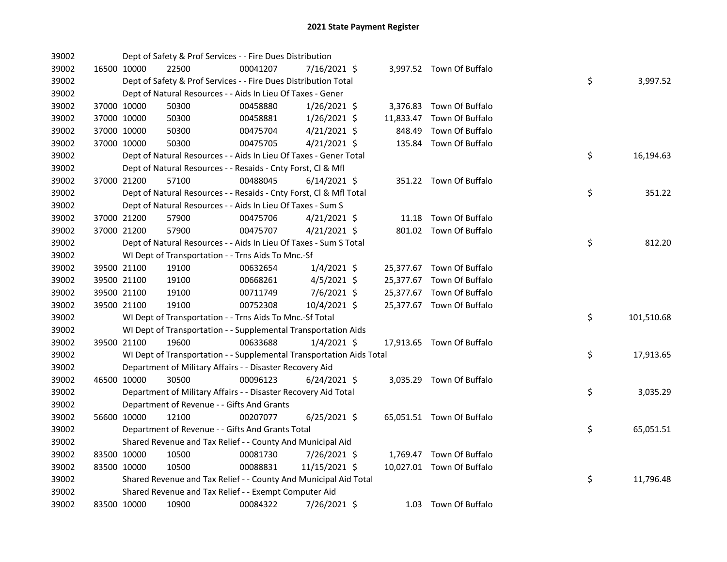| 39002 |             | Dept of Safety & Prof Services - - Fire Dues Distribution            |          |                |        |                           |    |            |
|-------|-------------|----------------------------------------------------------------------|----------|----------------|--------|---------------------------|----|------------|
| 39002 | 16500 10000 | 22500                                                                | 00041207 | 7/16/2021 \$   |        | 3,997.52 Town Of Buffalo  |    |            |
| 39002 |             | Dept of Safety & Prof Services - - Fire Dues Distribution Total      |          |                |        |                           | \$ | 3,997.52   |
| 39002 |             | Dept of Natural Resources - - Aids In Lieu Of Taxes - Gener          |          |                |        |                           |    |            |
| 39002 | 37000 10000 | 50300                                                                | 00458880 | $1/26/2021$ \$ |        | 3,376.83 Town Of Buffalo  |    |            |
| 39002 | 37000 10000 | 50300                                                                | 00458881 | $1/26/2021$ \$ |        | 11,833.47 Town Of Buffalo |    |            |
| 39002 | 37000 10000 | 50300                                                                | 00475704 | $4/21/2021$ \$ | 848.49 | Town Of Buffalo           |    |            |
| 39002 | 37000 10000 | 50300                                                                | 00475705 | $4/21/2021$ \$ |        | 135.84 Town Of Buffalo    |    |            |
| 39002 |             | Dept of Natural Resources - - Aids In Lieu Of Taxes - Gener Total    |          |                |        |                           | \$ | 16,194.63  |
| 39002 |             | Dept of Natural Resources - - Resaids - Cnty Forst, Cl & Mfl         |          |                |        |                           |    |            |
| 39002 | 37000 21200 | 57100                                                                | 00488045 | $6/14/2021$ \$ |        | 351.22 Town Of Buffalo    |    |            |
| 39002 |             | Dept of Natural Resources - - Resaids - Cnty Forst, Cl & Mfl Total   |          |                |        |                           | \$ | 351.22     |
| 39002 |             | Dept of Natural Resources - - Aids In Lieu Of Taxes - Sum S          |          |                |        |                           |    |            |
| 39002 | 37000 21200 | 57900                                                                | 00475706 | $4/21/2021$ \$ |        | 11.18 Town Of Buffalo     |    |            |
| 39002 | 37000 21200 | 57900                                                                | 00475707 | $4/21/2021$ \$ |        | 801.02 Town Of Buffalo    |    |            |
| 39002 |             | Dept of Natural Resources - - Aids In Lieu Of Taxes - Sum S Total    |          |                |        |                           | \$ | 812.20     |
| 39002 |             | WI Dept of Transportation - - Trns Aids To Mnc.-Sf                   |          |                |        |                           |    |            |
| 39002 | 39500 21100 | 19100                                                                | 00632654 | $1/4/2021$ \$  |        | 25,377.67 Town Of Buffalo |    |            |
| 39002 | 39500 21100 | 19100                                                                | 00668261 | 4/5/2021 \$    |        | 25,377.67 Town Of Buffalo |    |            |
| 39002 | 39500 21100 | 19100                                                                | 00711749 | 7/6/2021 \$    |        | 25,377.67 Town Of Buffalo |    |            |
| 39002 | 39500 21100 | 19100                                                                | 00752308 | 10/4/2021 \$   |        | 25,377.67 Town Of Buffalo |    |            |
| 39002 |             | WI Dept of Transportation - - Trns Aids To Mnc.-Sf Total             |          |                |        |                           | \$ | 101,510.68 |
| 39002 |             | WI Dept of Transportation - - Supplemental Transportation Aids       |          |                |        |                           |    |            |
| 39002 | 39500 21100 | 19600                                                                | 00633688 | $1/4/2021$ \$  |        | 17,913.65 Town Of Buffalo |    |            |
| 39002 |             | WI Dept of Transportation - - Supplemental Transportation Aids Total |          |                |        |                           | \$ | 17,913.65  |
| 39002 |             | Department of Military Affairs - - Disaster Recovery Aid             |          |                |        |                           |    |            |
| 39002 | 46500 10000 | 30500                                                                | 00096123 | $6/24/2021$ \$ |        | 3,035.29 Town Of Buffalo  |    |            |
| 39002 |             | Department of Military Affairs - - Disaster Recovery Aid Total       |          |                |        |                           | \$ | 3,035.29   |
| 39002 |             | Department of Revenue - - Gifts And Grants                           |          |                |        |                           |    |            |
| 39002 | 56600 10000 | 12100                                                                | 00207077 | $6/25/2021$ \$ |        | 65,051.51 Town Of Buffalo |    |            |
| 39002 |             | Department of Revenue - - Gifts And Grants Total                     |          |                |        |                           | \$ | 65,051.51  |
| 39002 |             | Shared Revenue and Tax Relief - - County And Municipal Aid           |          |                |        |                           |    |            |
| 39002 | 83500 10000 | 10500                                                                | 00081730 | $7/26/2021$ \$ |        | 1,769.47 Town Of Buffalo  |    |            |
| 39002 | 83500 10000 | 10500                                                                | 00088831 | 11/15/2021 \$  |        | 10,027.01 Town Of Buffalo |    |            |
| 39002 |             | Shared Revenue and Tax Relief - - County And Municipal Aid Total     |          |                |        |                           | \$ | 11,796.48  |
| 39002 |             | Shared Revenue and Tax Relief - - Exempt Computer Aid                |          |                |        |                           |    |            |
| 39002 | 83500 10000 | 10900                                                                | 00084322 | 7/26/2021 \$   |        | 1.03 Town Of Buffalo      |    |            |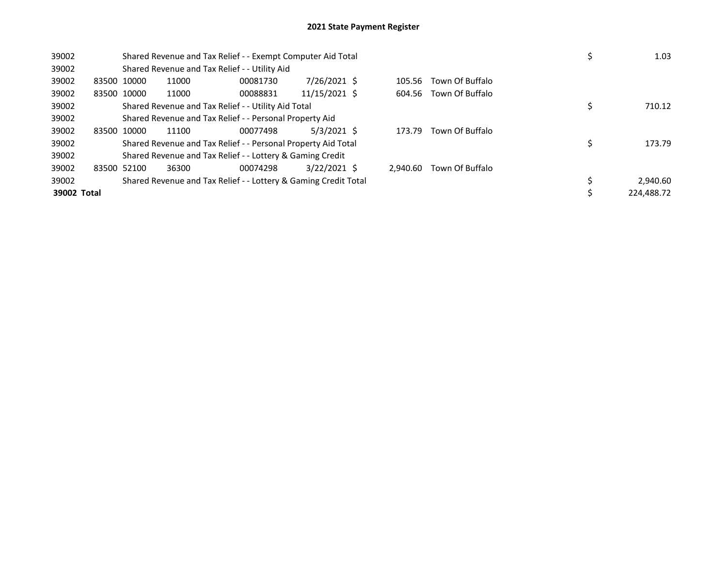| 39002       |             |       | Shared Revenue and Tax Relief - - Exempt Computer Aid Total     | 1.03           |          |                        |            |
|-------------|-------------|-------|-----------------------------------------------------------------|----------------|----------|------------------------|------------|
| 39002       |             |       | Shared Revenue and Tax Relief - - Utility Aid                   |                |          |                        |            |
| 39002       | 83500 10000 | 11000 | 00081730                                                        | 7/26/2021 \$   | 105.56   | Town Of Buffalo        |            |
| 39002       | 83500 10000 | 11000 | 00088831                                                        | 11/15/2021 \$  |          | 604.56 Town Of Buffalo |            |
| 39002       |             |       | Shared Revenue and Tax Relief - - Utility Aid Total             |                |          |                        | 710.12     |
| 39002       |             |       | Shared Revenue and Tax Relief - - Personal Property Aid         |                |          |                        |            |
| 39002       | 83500 10000 | 11100 |                                                                 |                |          |                        |            |
| 39002       |             |       | Shared Revenue and Tax Relief - - Personal Property Aid Total   |                |          |                        | 173.79     |
| 39002       |             |       | Shared Revenue and Tax Relief - - Lottery & Gaming Credit       |                |          |                        |            |
| 39002       | 83500 52100 | 36300 | 00074298                                                        | $3/22/2021$ \$ | 2.940.60 | Town Of Buffalo        |            |
| 39002       |             |       | Shared Revenue and Tax Relief - - Lottery & Gaming Credit Total |                |          |                        | 2,940.60   |
| 39002 Total |             |       |                                                                 |                |          |                        | 224.488.72 |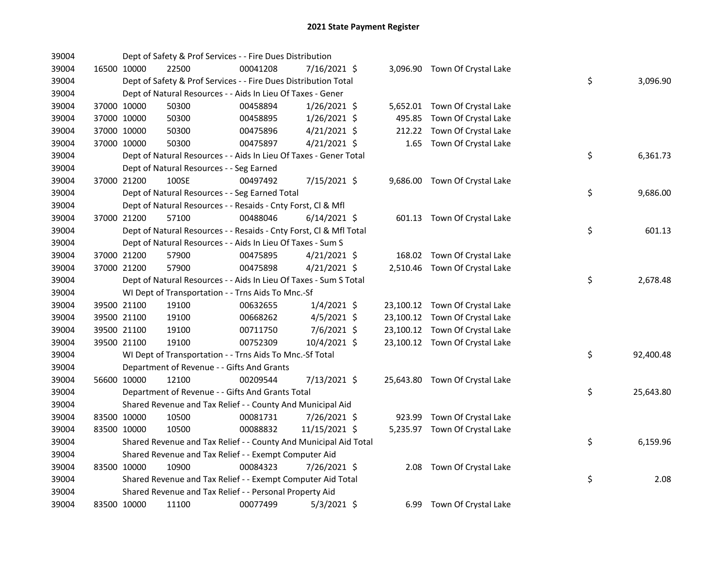| 39004 |             | Dept of Safety & Prof Services - - Fire Dues Distribution          |          |                |        |                                |    |           |
|-------|-------------|--------------------------------------------------------------------|----------|----------------|--------|--------------------------------|----|-----------|
| 39004 | 16500 10000 | 22500                                                              | 00041208 | 7/16/2021 \$   |        | 3,096.90 Town Of Crystal Lake  |    |           |
| 39004 |             | Dept of Safety & Prof Services - - Fire Dues Distribution Total    |          |                |        |                                | \$ | 3,096.90  |
| 39004 |             | Dept of Natural Resources - - Aids In Lieu Of Taxes - Gener        |          |                |        |                                |    |           |
| 39004 | 37000 10000 | 50300                                                              | 00458894 | $1/26/2021$ \$ |        | 5,652.01 Town Of Crystal Lake  |    |           |
| 39004 | 37000 10000 | 50300                                                              | 00458895 | $1/26/2021$ \$ |        | 495.85 Town Of Crystal Lake    |    |           |
| 39004 | 37000 10000 | 50300                                                              | 00475896 | $4/21/2021$ \$ | 212.22 | Town Of Crystal Lake           |    |           |
| 39004 | 37000 10000 | 50300                                                              | 00475897 | $4/21/2021$ \$ |        | 1.65 Town Of Crystal Lake      |    |           |
| 39004 |             | Dept of Natural Resources - - Aids In Lieu Of Taxes - Gener Total  |          |                |        |                                | \$ | 6,361.73  |
| 39004 |             | Dept of Natural Resources - - Seg Earned                           |          |                |        |                                |    |           |
| 39004 | 37000 21200 | 100SE                                                              | 00497492 | 7/15/2021 \$   |        | 9,686.00 Town Of Crystal Lake  |    |           |
| 39004 |             | Dept of Natural Resources - - Seg Earned Total                     |          |                |        |                                | \$ | 9,686.00  |
| 39004 |             | Dept of Natural Resources - - Resaids - Cnty Forst, Cl & Mfl       |          |                |        |                                |    |           |
| 39004 | 37000 21200 | 57100                                                              | 00488046 | $6/14/2021$ \$ |        | 601.13 Town Of Crystal Lake    |    |           |
| 39004 |             | Dept of Natural Resources - - Resaids - Cnty Forst, Cl & Mfl Total |          |                |        |                                | \$ | 601.13    |
| 39004 |             | Dept of Natural Resources - - Aids In Lieu Of Taxes - Sum S        |          |                |        |                                |    |           |
| 39004 | 37000 21200 | 57900                                                              | 00475895 | $4/21/2021$ \$ |        | 168.02 Town Of Crystal Lake    |    |           |
| 39004 | 37000 21200 | 57900                                                              | 00475898 | $4/21/2021$ \$ |        | 2,510.46 Town Of Crystal Lake  |    |           |
| 39004 |             | Dept of Natural Resources - - Aids In Lieu Of Taxes - Sum S Total  |          |                |        |                                | \$ | 2,678.48  |
| 39004 |             | WI Dept of Transportation - - Trns Aids To Mnc.-Sf                 |          |                |        |                                |    |           |
| 39004 | 39500 21100 | 19100                                                              | 00632655 | $1/4/2021$ \$  |        | 23,100.12 Town Of Crystal Lake |    |           |
| 39004 | 39500 21100 | 19100                                                              | 00668262 | $4/5/2021$ \$  |        | 23,100.12 Town Of Crystal Lake |    |           |
| 39004 | 39500 21100 | 19100                                                              | 00711750 | 7/6/2021 \$    |        | 23,100.12 Town Of Crystal Lake |    |           |
| 39004 | 39500 21100 | 19100                                                              | 00752309 | 10/4/2021 \$   |        | 23,100.12 Town Of Crystal Lake |    |           |
| 39004 |             | WI Dept of Transportation - - Trns Aids To Mnc .- Sf Total         |          |                |        |                                | \$ | 92,400.48 |
| 39004 |             | Department of Revenue - - Gifts And Grants                         |          |                |        |                                |    |           |
| 39004 | 56600 10000 | 12100                                                              | 00209544 | 7/13/2021 \$   |        | 25,643.80 Town Of Crystal Lake |    |           |
| 39004 |             | Department of Revenue - - Gifts And Grants Total                   |          |                |        |                                | \$ | 25,643.80 |
| 39004 |             | Shared Revenue and Tax Relief - - County And Municipal Aid         |          |                |        |                                |    |           |
| 39004 | 83500 10000 | 10500                                                              | 00081731 | 7/26/2021 \$   |        | 923.99 Town Of Crystal Lake    |    |           |
| 39004 | 83500 10000 | 10500                                                              | 00088832 | 11/15/2021 \$  |        | 5,235.97 Town Of Crystal Lake  |    |           |
| 39004 |             | Shared Revenue and Tax Relief - - County And Municipal Aid Total   |          |                |        |                                | \$ | 6,159.96  |
| 39004 |             | Shared Revenue and Tax Relief - - Exempt Computer Aid              |          |                |        |                                |    |           |
| 39004 | 83500 10000 | 10900                                                              | 00084323 | 7/26/2021 \$   |        | 2.08 Town Of Crystal Lake      |    |           |
| 39004 |             | Shared Revenue and Tax Relief - - Exempt Computer Aid Total        |          |                |        |                                | \$ | 2.08      |
| 39004 |             | Shared Revenue and Tax Relief - - Personal Property Aid            |          |                |        |                                |    |           |
| 39004 | 83500 10000 | 11100                                                              | 00077499 | $5/3/2021$ \$  |        | 6.99 Town Of Crystal Lake      |    |           |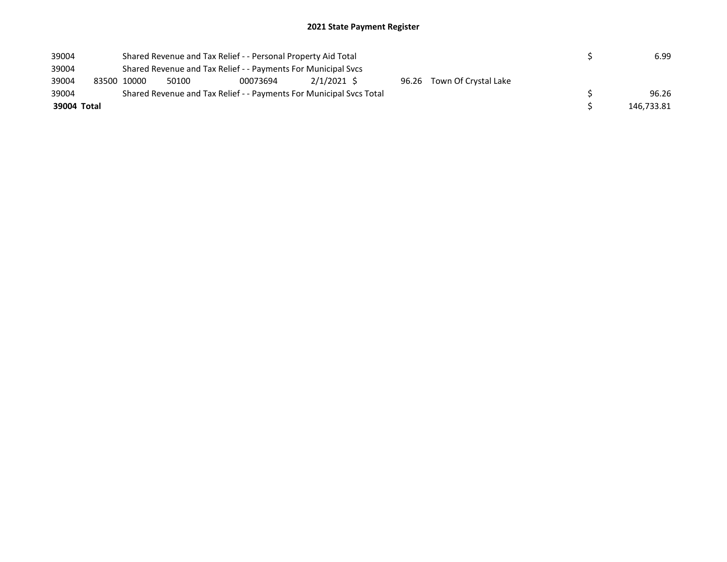| 39004       |                                                               |       | Shared Revenue and Tax Relief - - Personal Property Aid Total       |               |  | 6.99 |                            |  |            |  |
|-------------|---------------------------------------------------------------|-------|---------------------------------------------------------------------|---------------|--|------|----------------------------|--|------------|--|
| 39004       | Shared Revenue and Tax Relief - - Payments For Municipal Svcs |       |                                                                     |               |  |      |                            |  |            |  |
| 39004       | 83500 10000                                                   | 50100 | 00073694                                                            | $2/1/2021$ \$ |  |      | 96.26 Town Of Crystal Lake |  |            |  |
| 39004       |                                                               |       | Shared Revenue and Tax Relief - - Payments For Municipal Svcs Total |               |  |      |                            |  | 96.26      |  |
| 39004 Total |                                                               |       |                                                                     |               |  |      |                            |  | 146.733.81 |  |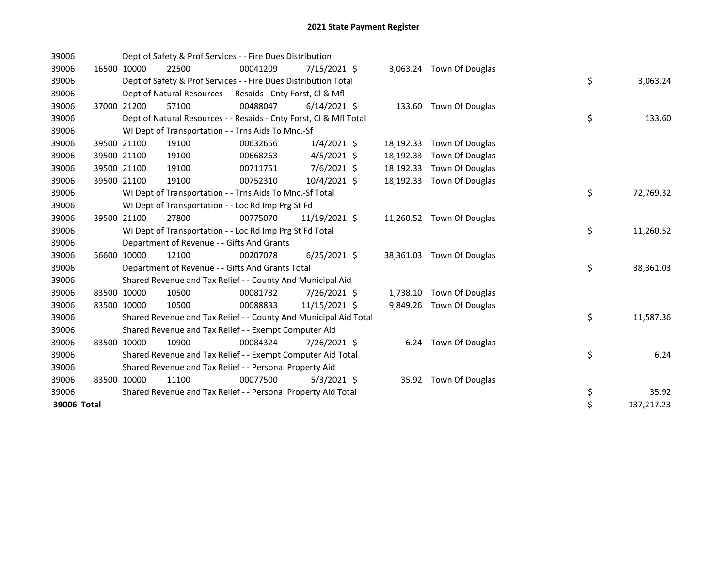| 39006       |             | Dept of Safety & Prof Services - - Fire Dues Distribution          |          |                |           |                           |    |            |
|-------------|-------------|--------------------------------------------------------------------|----------|----------------|-----------|---------------------------|----|------------|
| 39006       | 16500 10000 | 22500                                                              | 00041209 | 7/15/2021 \$   |           | 3,063.24 Town Of Douglas  |    |            |
| 39006       |             | Dept of Safety & Prof Services - - Fire Dues Distribution Total    |          |                |           |                           | \$ | 3,063.24   |
| 39006       |             | Dept of Natural Resources - - Resaids - Cnty Forst, CI & Mfl       |          |                |           |                           |    |            |
| 39006       | 37000 21200 | 57100                                                              | 00488047 | $6/14/2021$ \$ |           | 133.60 Town Of Douglas    |    |            |
| 39006       |             | Dept of Natural Resources - - Resaids - Cnty Forst, Cl & Mfl Total |          |                |           |                           | \$ | 133.60     |
| 39006       |             | WI Dept of Transportation - - Trns Aids To Mnc.-Sf                 |          |                |           |                           |    |            |
| 39006       | 39500 21100 | 19100                                                              | 00632656 | $1/4/2021$ \$  | 18,192.33 | Town Of Douglas           |    |            |
| 39006       | 39500 21100 | 19100                                                              | 00668263 | $4/5/2021$ \$  | 18,192.33 | Town Of Douglas           |    |            |
| 39006       | 39500 21100 | 19100                                                              | 00711751 | $7/6/2021$ \$  | 18,192.33 | Town Of Douglas           |    |            |
| 39006       | 39500 21100 | 19100                                                              | 00752310 | 10/4/2021 \$   | 18,192.33 | Town Of Douglas           |    |            |
| 39006       |             | WI Dept of Transportation - - Trns Aids To Mnc.-Sf Total           |          |                |           |                           | \$ | 72,769.32  |
| 39006       |             | WI Dept of Transportation - - Loc Rd Imp Prg St Fd                 |          |                |           |                           |    |            |
| 39006       | 39500 21100 | 27800                                                              | 00775070 | 11/19/2021 \$  |           | 11,260.52 Town Of Douglas |    |            |
| 39006       |             | WI Dept of Transportation - - Loc Rd Imp Prg St Fd Total           |          |                |           |                           | \$ | 11,260.52  |
| 39006       |             | Department of Revenue - - Gifts And Grants                         |          |                |           |                           |    |            |
| 39006       | 56600 10000 | 12100                                                              | 00207078 | $6/25/2021$ \$ | 38,361.03 | Town Of Douglas           |    |            |
| 39006       |             | Department of Revenue - - Gifts And Grants Total                   |          |                |           |                           | \$ | 38,361.03  |
| 39006       |             | Shared Revenue and Tax Relief - - County And Municipal Aid         |          |                |           |                           |    |            |
| 39006       | 83500 10000 | 10500                                                              | 00081732 | 7/26/2021 \$   | 1,738.10  | Town Of Douglas           |    |            |
| 39006       | 83500 10000 | 10500                                                              | 00088833 | 11/15/2021 \$  |           | 9,849.26 Town Of Douglas  |    |            |
| 39006       |             | Shared Revenue and Tax Relief - - County And Municipal Aid Total   |          |                |           |                           | \$ | 11,587.36  |
| 39006       |             | Shared Revenue and Tax Relief - - Exempt Computer Aid              |          |                |           |                           |    |            |
| 39006       | 83500 10000 | 10900                                                              | 00084324 | 7/26/2021 \$   |           | 6.24 Town Of Douglas      |    |            |
| 39006       |             | Shared Revenue and Tax Relief - - Exempt Computer Aid Total        |          |                |           |                           | \$ | 6.24       |
| 39006       |             | Shared Revenue and Tax Relief - - Personal Property Aid            |          |                |           |                           |    |            |
| 39006       | 83500 10000 | 11100                                                              | 00077500 | $5/3/2021$ \$  | 35.92     | Town Of Douglas           |    |            |
| 39006       |             | Shared Revenue and Tax Relief - - Personal Property Aid Total      |          |                |           |                           | \$ | 35.92      |
| 39006 Total |             |                                                                    |          |                |           |                           | \$ | 137,217.23 |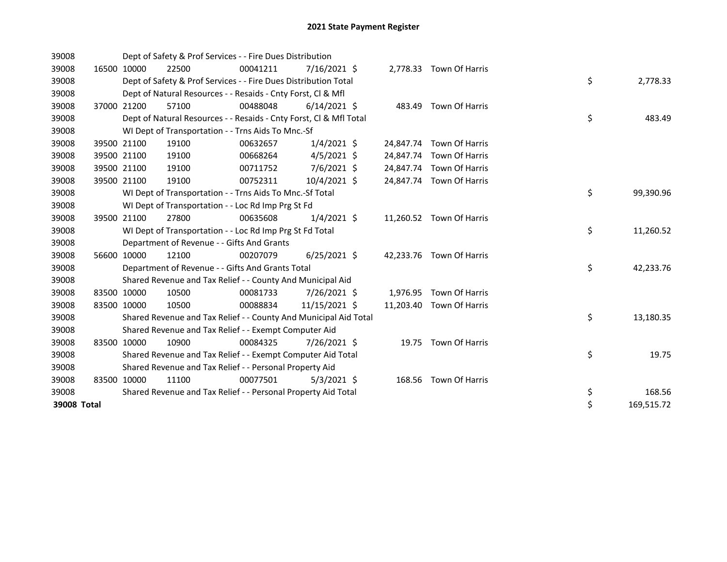| 39008       |             | Dept of Safety & Prof Services - - Fire Dues Distribution          |          |                |           |                          |    |            |
|-------------|-------------|--------------------------------------------------------------------|----------|----------------|-----------|--------------------------|----|------------|
| 39008       | 16500 10000 | 22500                                                              | 00041211 | 7/16/2021 \$   |           | 2,778.33 Town Of Harris  |    |            |
| 39008       |             | Dept of Safety & Prof Services - - Fire Dues Distribution Total    |          |                |           |                          | \$ | 2,778.33   |
| 39008       |             | Dept of Natural Resources - - Resaids - Cnty Forst, CI & Mfl       |          |                |           |                          |    |            |
| 39008       | 37000 21200 | 57100                                                              | 00488048 | $6/14/2021$ \$ |           | 483.49 Town Of Harris    |    |            |
| 39008       |             | Dept of Natural Resources - - Resaids - Cnty Forst, CI & Mfl Total |          |                |           |                          | \$ | 483.49     |
| 39008       |             | WI Dept of Transportation - - Trns Aids To Mnc.-Sf                 |          |                |           |                          |    |            |
| 39008       | 39500 21100 | 19100                                                              | 00632657 | $1/4/2021$ \$  | 24,847.74 | Town Of Harris           |    |            |
| 39008       | 39500 21100 | 19100                                                              | 00668264 | $4/5/2021$ \$  | 24,847.74 | Town Of Harris           |    |            |
| 39008       | 39500 21100 | 19100                                                              | 00711752 | 7/6/2021 \$    | 24,847.74 | Town Of Harris           |    |            |
| 39008       | 39500 21100 | 19100                                                              | 00752311 | 10/4/2021 \$   | 24,847.74 | Town Of Harris           |    |            |
| 39008       |             | WI Dept of Transportation - - Trns Aids To Mnc.-Sf Total           |          |                |           |                          | \$ | 99,390.96  |
| 39008       |             | WI Dept of Transportation - - Loc Rd Imp Prg St Fd                 |          |                |           |                          |    |            |
| 39008       | 39500 21100 | 27800                                                              | 00635608 | $1/4/2021$ \$  |           | 11,260.52 Town Of Harris |    |            |
| 39008       |             | WI Dept of Transportation - - Loc Rd Imp Prg St Fd Total           |          |                |           |                          | \$ | 11,260.52  |
| 39008       |             | Department of Revenue - - Gifts And Grants                         |          |                |           |                          |    |            |
| 39008       | 56600 10000 | 12100                                                              | 00207079 | $6/25/2021$ \$ | 42,233.76 | Town Of Harris           |    |            |
| 39008       |             | Department of Revenue - - Gifts And Grants Total                   |          |                |           |                          | \$ | 42,233.76  |
| 39008       |             | Shared Revenue and Tax Relief - - County And Municipal Aid         |          |                |           |                          |    |            |
| 39008       | 83500 10000 | 10500                                                              | 00081733 | 7/26/2021 \$   | 1,976.95  | Town Of Harris           |    |            |
| 39008       | 83500 10000 | 10500                                                              | 00088834 | 11/15/2021 \$  |           | 11,203.40 Town Of Harris |    |            |
| 39008       |             | Shared Revenue and Tax Relief - - County And Municipal Aid Total   |          |                |           |                          | \$ | 13,180.35  |
| 39008       |             | Shared Revenue and Tax Relief - - Exempt Computer Aid              |          |                |           |                          |    |            |
| 39008       | 83500 10000 | 10900                                                              | 00084325 | 7/26/2021 \$   |           | 19.75 Town Of Harris     |    |            |
| 39008       |             | Shared Revenue and Tax Relief - - Exempt Computer Aid Total        |          |                |           |                          | \$ | 19.75      |
| 39008       |             | Shared Revenue and Tax Relief - - Personal Property Aid            |          |                |           |                          |    |            |
| 39008       | 83500 10000 | 11100                                                              | 00077501 | $5/3/2021$ \$  | 168.56    | Town Of Harris           |    |            |
| 39008       |             | Shared Revenue and Tax Relief - - Personal Property Aid Total      |          |                |           |                          | \$ | 168.56     |
| 39008 Total |             |                                                                    |          |                |           |                          | \$ | 169,515.72 |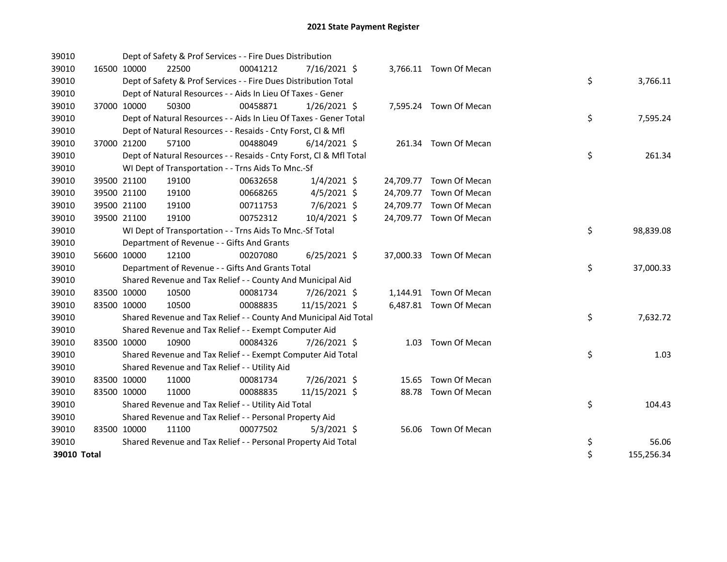| 39010       |             |             | Dept of Safety & Prof Services - - Fire Dues Distribution          |          |                |  |                         |    |            |
|-------------|-------------|-------------|--------------------------------------------------------------------|----------|----------------|--|-------------------------|----|------------|
| 39010       | 16500 10000 |             | 22500                                                              | 00041212 | 7/16/2021 \$   |  | 3,766.11 Town Of Mecan  |    |            |
| 39010       |             |             | Dept of Safety & Prof Services - - Fire Dues Distribution Total    |          |                |  |                         | \$ | 3,766.11   |
| 39010       |             |             | Dept of Natural Resources - - Aids In Lieu Of Taxes - Gener        |          |                |  |                         |    |            |
| 39010       |             | 37000 10000 | 50300                                                              | 00458871 | $1/26/2021$ \$ |  | 7,595.24 Town Of Mecan  |    |            |
| 39010       |             |             | Dept of Natural Resources - - Aids In Lieu Of Taxes - Gener Total  |          |                |  |                         | \$ | 7,595.24   |
| 39010       |             |             | Dept of Natural Resources - - Resaids - Cnty Forst, Cl & Mfl       |          |                |  |                         |    |            |
| 39010       | 37000 21200 |             | 57100                                                              | 00488049 | $6/14/2021$ \$ |  | 261.34 Town Of Mecan    |    |            |
| 39010       |             |             | Dept of Natural Resources - - Resaids - Cnty Forst, Cl & Mfl Total |          |                |  |                         | \$ | 261.34     |
| 39010       |             |             | WI Dept of Transportation - - Trns Aids To Mnc.-Sf                 |          |                |  |                         |    |            |
| 39010       |             | 39500 21100 | 19100                                                              | 00632658 | $1/4/2021$ \$  |  | 24,709.77 Town Of Mecan |    |            |
| 39010       | 39500 21100 |             | 19100                                                              | 00668265 | $4/5/2021$ \$  |  | 24,709.77 Town Of Mecan |    |            |
| 39010       | 39500 21100 |             | 19100                                                              | 00711753 | 7/6/2021 \$    |  | 24,709.77 Town Of Mecan |    |            |
| 39010       | 39500 21100 |             | 19100                                                              | 00752312 | 10/4/2021 \$   |  | 24,709.77 Town Of Mecan |    |            |
| 39010       |             |             | WI Dept of Transportation - - Trns Aids To Mnc.-Sf Total           |          |                |  |                         | \$ | 98,839.08  |
| 39010       |             |             | Department of Revenue - - Gifts And Grants                         |          |                |  |                         |    |            |
| 39010       | 56600 10000 |             | 12100                                                              | 00207080 | $6/25/2021$ \$ |  | 37,000.33 Town Of Mecan |    |            |
| 39010       |             |             | Department of Revenue - - Gifts And Grants Total                   |          |                |  |                         | \$ | 37,000.33  |
| 39010       |             |             | Shared Revenue and Tax Relief - - County And Municipal Aid         |          |                |  |                         |    |            |
| 39010       | 83500 10000 |             | 10500                                                              | 00081734 | 7/26/2021 \$   |  | 1,144.91 Town Of Mecan  |    |            |
| 39010       | 83500 10000 |             | 10500                                                              | 00088835 | 11/15/2021 \$  |  | 6,487.81 Town Of Mecan  |    |            |
| 39010       |             |             | Shared Revenue and Tax Relief - - County And Municipal Aid Total   |          |                |  |                         | \$ | 7,632.72   |
| 39010       |             |             | Shared Revenue and Tax Relief - - Exempt Computer Aid              |          |                |  |                         |    |            |
| 39010       | 83500 10000 |             | 10900                                                              | 00084326 | 7/26/2021 \$   |  | 1.03 Town Of Mecan      |    |            |
| 39010       |             |             | Shared Revenue and Tax Relief - - Exempt Computer Aid Total        |          |                |  |                         | \$ | 1.03       |
| 39010       |             |             | Shared Revenue and Tax Relief - - Utility Aid                      |          |                |  |                         |    |            |
| 39010       | 83500 10000 |             | 11000                                                              | 00081734 | 7/26/2021 \$   |  | 15.65 Town Of Mecan     |    |            |
| 39010       | 83500 10000 |             | 11000                                                              | 00088835 | 11/15/2021 \$  |  | 88.78 Town Of Mecan     |    |            |
| 39010       |             |             | Shared Revenue and Tax Relief - - Utility Aid Total                |          |                |  |                         | \$ | 104.43     |
| 39010       |             |             | Shared Revenue and Tax Relief - - Personal Property Aid            |          |                |  |                         |    |            |
| 39010       | 83500 10000 |             | 11100                                                              | 00077502 | $5/3/2021$ \$  |  | 56.06 Town Of Mecan     |    |            |
| 39010       |             |             | Shared Revenue and Tax Relief - - Personal Property Aid Total      |          |                |  |                         | \$ | 56.06      |
| 39010 Total |             |             |                                                                    |          |                |  |                         | \$ | 155,256.34 |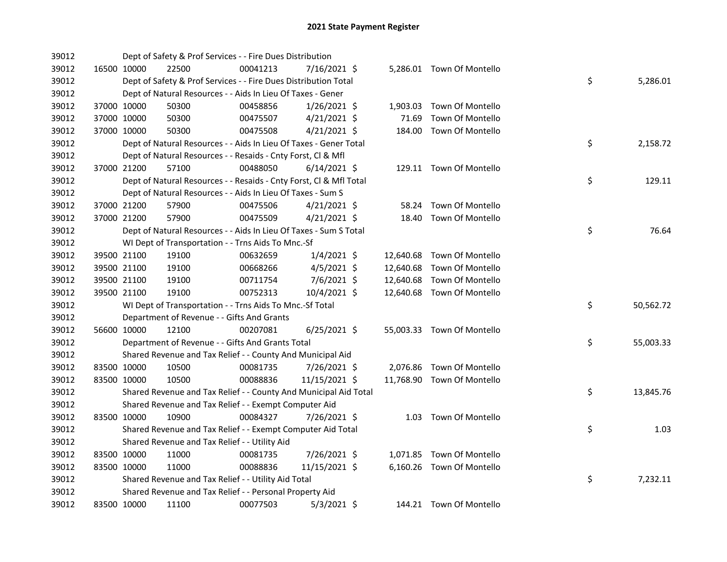| 39012 |             | Dept of Safety & Prof Services - - Fire Dues Distribution          |          |                |       |                            |    |           |
|-------|-------------|--------------------------------------------------------------------|----------|----------------|-------|----------------------------|----|-----------|
| 39012 | 16500 10000 | 22500                                                              | 00041213 | 7/16/2021 \$   |       | 5,286.01 Town Of Montello  |    |           |
| 39012 |             | Dept of Safety & Prof Services - - Fire Dues Distribution Total    |          |                |       |                            | \$ | 5,286.01  |
| 39012 |             | Dept of Natural Resources - - Aids In Lieu Of Taxes - Gener        |          |                |       |                            |    |           |
| 39012 | 37000 10000 | 50300                                                              | 00458856 | $1/26/2021$ \$ |       | 1,903.03 Town Of Montello  |    |           |
| 39012 | 37000 10000 | 50300                                                              | 00475507 | $4/21/2021$ \$ | 71.69 | Town Of Montello           |    |           |
| 39012 | 37000 10000 | 50300                                                              | 00475508 | $4/21/2021$ \$ |       | 184.00 Town Of Montello    |    |           |
| 39012 |             | Dept of Natural Resources - - Aids In Lieu Of Taxes - Gener Total  |          |                |       |                            | \$ | 2,158.72  |
| 39012 |             | Dept of Natural Resources - - Resaids - Cnty Forst, Cl & Mfl       |          |                |       |                            |    |           |
| 39012 | 37000 21200 | 57100                                                              | 00488050 | $6/14/2021$ \$ |       | 129.11 Town Of Montello    |    |           |
| 39012 |             | Dept of Natural Resources - - Resaids - Cnty Forst, Cl & Mfl Total |          |                |       |                            | \$ | 129.11    |
| 39012 |             | Dept of Natural Resources - - Aids In Lieu Of Taxes - Sum S        |          |                |       |                            |    |           |
| 39012 | 37000 21200 | 57900                                                              | 00475506 | $4/21/2021$ \$ |       | 58.24 Town Of Montello     |    |           |
| 39012 | 37000 21200 | 57900                                                              | 00475509 | $4/21/2021$ \$ |       | 18.40 Town Of Montello     |    |           |
| 39012 |             | Dept of Natural Resources - - Aids In Lieu Of Taxes - Sum S Total  |          |                |       |                            | \$ | 76.64     |
| 39012 |             | WI Dept of Transportation - - Trns Aids To Mnc.-Sf                 |          |                |       |                            |    |           |
| 39012 | 39500 21100 | 19100                                                              | 00632659 | $1/4/2021$ \$  |       | 12,640.68 Town Of Montello |    |           |
| 39012 | 39500 21100 | 19100                                                              | 00668266 | $4/5/2021$ \$  |       | 12,640.68 Town Of Montello |    |           |
| 39012 | 39500 21100 | 19100                                                              | 00711754 | 7/6/2021 \$    |       | 12,640.68 Town Of Montello |    |           |
| 39012 | 39500 21100 | 19100                                                              | 00752313 | 10/4/2021 \$   |       | 12,640.68 Town Of Montello |    |           |
| 39012 |             | WI Dept of Transportation - - Trns Aids To Mnc.-Sf Total           |          |                |       |                            | \$ | 50,562.72 |
| 39012 |             | Department of Revenue - - Gifts And Grants                         |          |                |       |                            |    |           |
| 39012 | 56600 10000 | 12100                                                              | 00207081 | $6/25/2021$ \$ |       | 55,003.33 Town Of Montello |    |           |
| 39012 |             | Department of Revenue - - Gifts And Grants Total                   |          |                |       |                            | \$ | 55,003.33 |
| 39012 |             | Shared Revenue and Tax Relief - - County And Municipal Aid         |          |                |       |                            |    |           |
| 39012 | 83500 10000 | 10500                                                              | 00081735 | 7/26/2021 \$   |       | 2,076.86 Town Of Montello  |    |           |
| 39012 | 83500 10000 | 10500                                                              | 00088836 | 11/15/2021 \$  |       | 11,768.90 Town Of Montello |    |           |
| 39012 |             | Shared Revenue and Tax Relief - - County And Municipal Aid Total   |          |                |       |                            | \$ | 13,845.76 |
| 39012 |             | Shared Revenue and Tax Relief - - Exempt Computer Aid              |          |                |       |                            |    |           |
| 39012 | 83500 10000 | 10900                                                              | 00084327 | 7/26/2021 \$   |       | 1.03 Town Of Montello      |    |           |
| 39012 |             | Shared Revenue and Tax Relief - - Exempt Computer Aid Total        |          |                |       |                            | \$ | 1.03      |
| 39012 |             | Shared Revenue and Tax Relief - - Utility Aid                      |          |                |       |                            |    |           |
| 39012 | 83500 10000 | 11000                                                              | 00081735 | 7/26/2021 \$   |       | 1,071.85 Town Of Montello  |    |           |
| 39012 | 83500 10000 | 11000                                                              | 00088836 | 11/15/2021 \$  |       | 6,160.26 Town Of Montello  |    |           |
| 39012 |             | Shared Revenue and Tax Relief - - Utility Aid Total                |          |                |       |                            | \$ | 7,232.11  |
| 39012 |             | Shared Revenue and Tax Relief - - Personal Property Aid            |          |                |       |                            |    |           |
| 39012 | 83500 10000 | 11100                                                              | 00077503 | $5/3/2021$ \$  |       | 144.21 Town Of Montello    |    |           |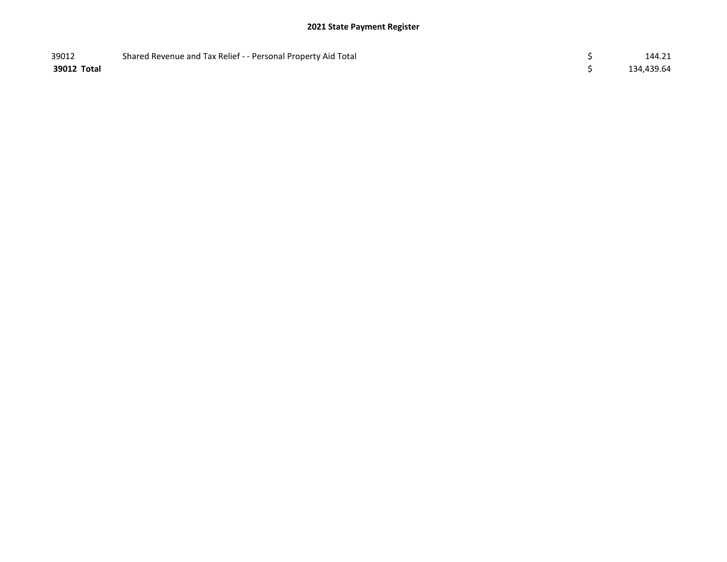| 39012       | Shared Revenue and Tax Relief - - Personal Property Aid Total | 144.21     |
|-------------|---------------------------------------------------------------|------------|
| 39012 Total |                                                               | 134,439.64 |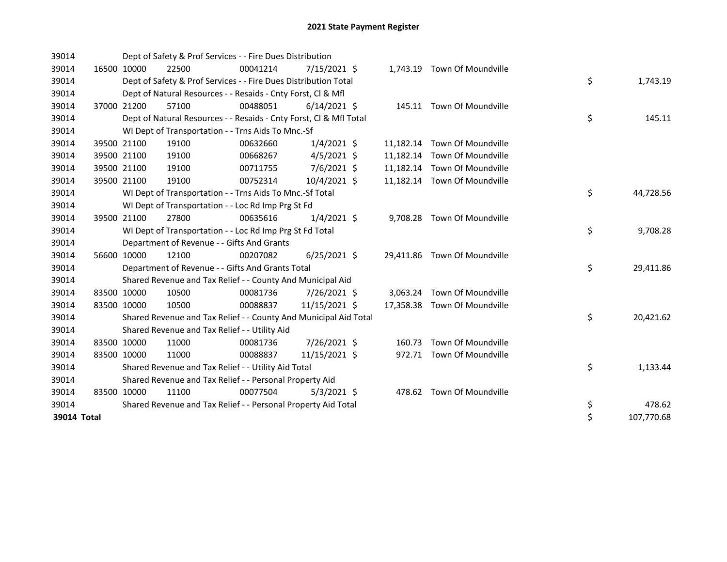| 39014       |             |             | Dept of Safety & Prof Services - - Fire Dues Distribution          |          |                |           |                              |                  |
|-------------|-------------|-------------|--------------------------------------------------------------------|----------|----------------|-----------|------------------------------|------------------|
| 39014       |             | 16500 10000 | 22500                                                              | 00041214 | $7/15/2021$ \$ |           | 1,743.19 Town Of Moundville  |                  |
| 39014       |             |             | Dept of Safety & Prof Services - - Fire Dues Distribution Total    |          |                |           |                              | \$<br>1,743.19   |
| 39014       |             |             | Dept of Natural Resources - - Resaids - Cnty Forst, Cl & Mfl       |          |                |           |                              |                  |
| 39014       |             | 37000 21200 | 57100                                                              | 00488051 | $6/14/2021$ \$ |           | 145.11 Town Of Moundville    |                  |
| 39014       |             |             | Dept of Natural Resources - - Resaids - Cnty Forst, CI & Mfl Total |          |                |           |                              | \$<br>145.11     |
| 39014       |             |             | WI Dept of Transportation - - Trns Aids To Mnc.-Sf                 |          |                |           |                              |                  |
| 39014       |             | 39500 21100 | 19100                                                              | 00632660 | $1/4/2021$ \$  |           | 11,182.14 Town Of Moundville |                  |
| 39014       |             | 39500 21100 | 19100                                                              | 00668267 | $4/5/2021$ \$  | 11,182.14 | Town Of Moundville           |                  |
| 39014       |             | 39500 21100 | 19100                                                              | 00711755 | 7/6/2021 \$    |           | 11,182.14 Town Of Moundville |                  |
| 39014       |             | 39500 21100 | 19100                                                              | 00752314 | 10/4/2021 \$   |           | 11,182.14 Town Of Moundville |                  |
| 39014       |             |             | WI Dept of Transportation - - Trns Aids To Mnc.-Sf Total           |          |                |           |                              | \$<br>44,728.56  |
| 39014       |             |             | WI Dept of Transportation - - Loc Rd Imp Prg St Fd                 |          |                |           |                              |                  |
| 39014       |             | 39500 21100 | 27800                                                              | 00635616 | $1/4/2021$ \$  |           | 9,708.28 Town Of Moundville  |                  |
| 39014       |             |             | WI Dept of Transportation - - Loc Rd Imp Prg St Fd Total           |          |                |           |                              | \$<br>9,708.28   |
| 39014       |             |             | Department of Revenue - - Gifts And Grants                         |          |                |           |                              |                  |
| 39014       |             | 56600 10000 | 12100                                                              | 00207082 | $6/25/2021$ \$ |           | 29,411.86 Town Of Moundville |                  |
| 39014       |             |             | Department of Revenue - - Gifts And Grants Total                   |          |                |           |                              | \$<br>29,411.86  |
| 39014       |             |             | Shared Revenue and Tax Relief - - County And Municipal Aid         |          |                |           |                              |                  |
| 39014       |             | 83500 10000 | 10500                                                              | 00081736 | 7/26/2021 \$   |           | 3,063.24 Town Of Moundville  |                  |
| 39014       | 83500 10000 |             | 10500                                                              | 00088837 | 11/15/2021 \$  | 17,358.38 | Town Of Moundville           |                  |
| 39014       |             |             | Shared Revenue and Tax Relief - - County And Municipal Aid Total   |          |                |           |                              | \$<br>20,421.62  |
| 39014       |             |             | Shared Revenue and Tax Relief - - Utility Aid                      |          |                |           |                              |                  |
| 39014       |             | 83500 10000 | 11000                                                              | 00081736 | 7/26/2021 \$   | 160.73    | Town Of Moundville           |                  |
| 39014       | 83500 10000 |             | 11000                                                              | 00088837 | 11/15/2021 \$  | 972.71    | Town Of Moundville           |                  |
| 39014       |             |             | Shared Revenue and Tax Relief - - Utility Aid Total                |          |                |           |                              | \$<br>1,133.44   |
| 39014       |             |             | Shared Revenue and Tax Relief - - Personal Property Aid            |          |                |           |                              |                  |
| 39014       |             | 83500 10000 | 11100                                                              | 00077504 | $5/3/2021$ \$  |           | 478.62 Town Of Moundville    |                  |
| 39014       |             |             | Shared Revenue and Tax Relief - - Personal Property Aid Total      |          |                |           |                              | \$<br>478.62     |
| 39014 Total |             |             |                                                                    |          |                |           |                              | \$<br>107,770.68 |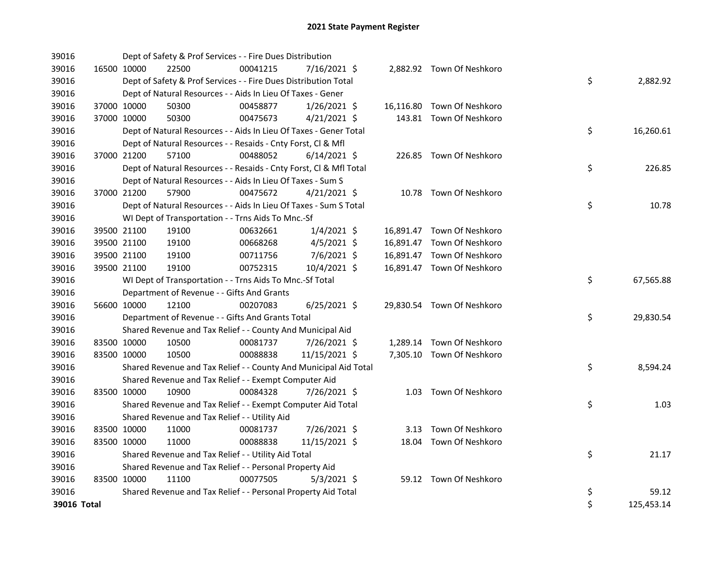| 39016       |             |             | Dept of Safety & Prof Services - - Fire Dues Distribution          |          |                |  |                            |    |            |
|-------------|-------------|-------------|--------------------------------------------------------------------|----------|----------------|--|----------------------------|----|------------|
| 39016       |             | 16500 10000 | 22500                                                              | 00041215 | 7/16/2021 \$   |  | 2,882.92 Town Of Neshkoro  |    |            |
| 39016       |             |             | Dept of Safety & Prof Services - - Fire Dues Distribution Total    |          |                |  |                            | \$ | 2,882.92   |
| 39016       |             |             | Dept of Natural Resources - - Aids In Lieu Of Taxes - Gener        |          |                |  |                            |    |            |
| 39016       |             | 37000 10000 | 50300                                                              | 00458877 | $1/26/2021$ \$ |  | 16,116.80 Town Of Neshkoro |    |            |
| 39016       |             | 37000 10000 | 50300                                                              | 00475673 | $4/21/2021$ \$ |  | 143.81 Town Of Neshkoro    |    |            |
| 39016       |             |             | Dept of Natural Resources - - Aids In Lieu Of Taxes - Gener Total  |          |                |  |                            | \$ | 16,260.61  |
| 39016       |             |             | Dept of Natural Resources - - Resaids - Cnty Forst, Cl & Mfl       |          |                |  |                            |    |            |
| 39016       |             | 37000 21200 | 57100                                                              | 00488052 | $6/14/2021$ \$ |  | 226.85 Town Of Neshkoro    |    |            |
| 39016       |             |             | Dept of Natural Resources - - Resaids - Cnty Forst, Cl & Mfl Total |          |                |  |                            | \$ | 226.85     |
| 39016       |             |             | Dept of Natural Resources - - Aids In Lieu Of Taxes - Sum S        |          |                |  |                            |    |            |
| 39016       |             | 37000 21200 | 57900                                                              | 00475672 | $4/21/2021$ \$ |  | 10.78 Town Of Neshkoro     |    |            |
| 39016       |             |             | Dept of Natural Resources - - Aids In Lieu Of Taxes - Sum S Total  |          |                |  |                            | \$ | 10.78      |
| 39016       |             |             | WI Dept of Transportation - - Trns Aids To Mnc.-Sf                 |          |                |  |                            |    |            |
| 39016       |             | 39500 21100 | 19100                                                              | 00632661 | $1/4/2021$ \$  |  | 16,891.47 Town Of Neshkoro |    |            |
| 39016       |             | 39500 21100 | 19100                                                              | 00668268 | $4/5/2021$ \$  |  | 16,891.47 Town Of Neshkoro |    |            |
| 39016       |             | 39500 21100 | 19100                                                              | 00711756 | 7/6/2021 \$    |  | 16,891.47 Town Of Neshkoro |    |            |
| 39016       |             | 39500 21100 | 19100                                                              | 00752315 | 10/4/2021 \$   |  | 16,891.47 Town Of Neshkoro |    |            |
| 39016       |             |             | WI Dept of Transportation - - Trns Aids To Mnc.-Sf Total           |          |                |  |                            | \$ | 67,565.88  |
| 39016       |             |             | Department of Revenue - - Gifts And Grants                         |          |                |  |                            |    |            |
| 39016       |             | 56600 10000 | 12100                                                              | 00207083 | $6/25/2021$ \$ |  | 29,830.54 Town Of Neshkoro |    |            |
| 39016       |             |             | Department of Revenue - - Gifts And Grants Total                   |          |                |  |                            | \$ | 29,830.54  |
| 39016       |             |             | Shared Revenue and Tax Relief - - County And Municipal Aid         |          |                |  |                            |    |            |
| 39016       |             | 83500 10000 | 10500                                                              | 00081737 | 7/26/2021 \$   |  | 1,289.14 Town Of Neshkoro  |    |            |
| 39016       | 83500 10000 |             | 10500                                                              | 00088838 | 11/15/2021 \$  |  | 7,305.10 Town Of Neshkoro  |    |            |
| 39016       |             |             | Shared Revenue and Tax Relief - - County And Municipal Aid Total   |          |                |  |                            | \$ | 8,594.24   |
| 39016       |             |             | Shared Revenue and Tax Relief - - Exempt Computer Aid              |          |                |  |                            |    |            |
| 39016       |             | 83500 10000 | 10900                                                              | 00084328 | 7/26/2021 \$   |  | 1.03 Town Of Neshkoro      |    |            |
| 39016       |             |             | Shared Revenue and Tax Relief - - Exempt Computer Aid Total        |          |                |  |                            | \$ | 1.03       |
| 39016       |             |             | Shared Revenue and Tax Relief - - Utility Aid                      |          |                |  |                            |    |            |
| 39016       |             | 83500 10000 | 11000                                                              | 00081737 | 7/26/2021 \$   |  | 3.13 Town Of Neshkoro      |    |            |
| 39016       |             | 83500 10000 | 11000                                                              | 00088838 | 11/15/2021 \$  |  | 18.04 Town Of Neshkoro     |    |            |
| 39016       |             |             | Shared Revenue and Tax Relief - - Utility Aid Total                |          |                |  |                            | \$ | 21.17      |
| 39016       |             |             | Shared Revenue and Tax Relief - - Personal Property Aid            |          |                |  |                            |    |            |
| 39016       | 83500 10000 |             | 11100                                                              | 00077505 | $5/3/2021$ \$  |  | 59.12 Town Of Neshkoro     |    |            |
| 39016       |             |             | Shared Revenue and Tax Relief - - Personal Property Aid Total      |          |                |  |                            | \$ | 59.12      |
| 39016 Total |             |             |                                                                    |          |                |  |                            | \$ | 125,453.14 |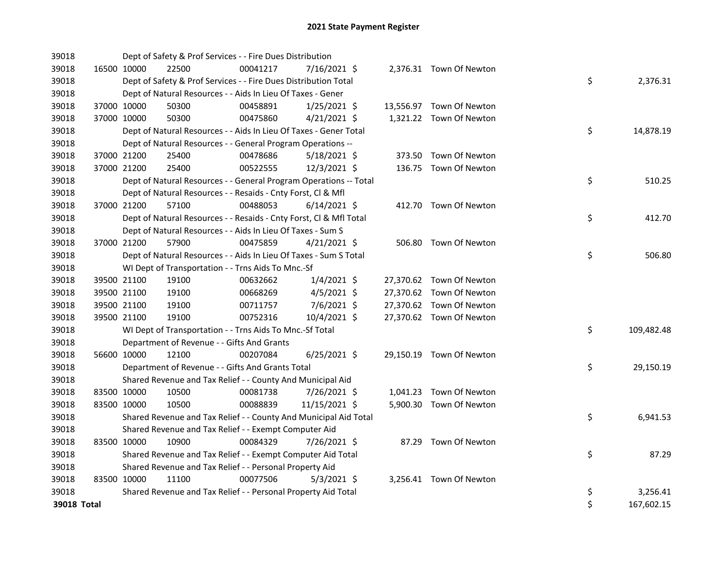| 39018       |             | Dept of Safety & Prof Services - - Fire Dues Distribution          |          |                |  |                          |    |            |
|-------------|-------------|--------------------------------------------------------------------|----------|----------------|--|--------------------------|----|------------|
| 39018       | 16500 10000 | 22500                                                              | 00041217 | 7/16/2021 \$   |  | 2,376.31 Town Of Newton  |    |            |
| 39018       |             | Dept of Safety & Prof Services - - Fire Dues Distribution Total    |          |                |  |                          | \$ | 2,376.31   |
| 39018       |             | Dept of Natural Resources - - Aids In Lieu Of Taxes - Gener        |          |                |  |                          |    |            |
| 39018       | 37000 10000 | 50300                                                              | 00458891 | $1/25/2021$ \$ |  | 13,556.97 Town Of Newton |    |            |
| 39018       | 37000 10000 | 50300                                                              | 00475860 | $4/21/2021$ \$ |  | 1,321.22 Town Of Newton  |    |            |
| 39018       |             | Dept of Natural Resources - - Aids In Lieu Of Taxes - Gener Total  |          |                |  |                          | \$ | 14,878.19  |
| 39018       |             | Dept of Natural Resources - - General Program Operations --        |          |                |  |                          |    |            |
| 39018       | 37000 21200 | 25400                                                              | 00478686 | $5/18/2021$ \$ |  | 373.50 Town Of Newton    |    |            |
| 39018       | 37000 21200 | 25400                                                              | 00522555 | 12/3/2021 \$   |  | 136.75 Town Of Newton    |    |            |
| 39018       |             | Dept of Natural Resources - - General Program Operations -- Total  |          |                |  |                          | \$ | 510.25     |
| 39018       |             | Dept of Natural Resources - - Resaids - Cnty Forst, Cl & Mfl       |          |                |  |                          |    |            |
| 39018       | 37000 21200 | 57100                                                              | 00488053 | $6/14/2021$ \$ |  | 412.70 Town Of Newton    |    |            |
| 39018       |             | Dept of Natural Resources - - Resaids - Cnty Forst, Cl & Mfl Total |          |                |  |                          | \$ | 412.70     |
| 39018       |             | Dept of Natural Resources - - Aids In Lieu Of Taxes - Sum S        |          |                |  |                          |    |            |
| 39018       | 37000 21200 | 57900                                                              | 00475859 | $4/21/2021$ \$ |  | 506.80 Town Of Newton    |    |            |
| 39018       |             | Dept of Natural Resources - - Aids In Lieu Of Taxes - Sum S Total  |          |                |  |                          | \$ | 506.80     |
| 39018       |             | WI Dept of Transportation - - Trns Aids To Mnc.-Sf                 |          |                |  |                          |    |            |
| 39018       | 39500 21100 | 19100                                                              | 00632662 | $1/4/2021$ \$  |  | 27,370.62 Town Of Newton |    |            |
| 39018       | 39500 21100 | 19100                                                              | 00668269 | $4/5/2021$ \$  |  | 27,370.62 Town Of Newton |    |            |
| 39018       | 39500 21100 | 19100                                                              | 00711757 | 7/6/2021 \$    |  | 27,370.62 Town Of Newton |    |            |
| 39018       | 39500 21100 | 19100                                                              | 00752316 | 10/4/2021 \$   |  | 27,370.62 Town Of Newton |    |            |
| 39018       |             | WI Dept of Transportation - - Trns Aids To Mnc.-Sf Total           |          |                |  |                          | \$ | 109,482.48 |
| 39018       |             | Department of Revenue - - Gifts And Grants                         |          |                |  |                          |    |            |
| 39018       | 56600 10000 | 12100                                                              | 00207084 | $6/25/2021$ \$ |  | 29,150.19 Town Of Newton |    |            |
| 39018       |             | Department of Revenue - - Gifts And Grants Total                   |          |                |  |                          | \$ | 29,150.19  |
| 39018       |             | Shared Revenue and Tax Relief - - County And Municipal Aid         |          |                |  |                          |    |            |
| 39018       | 83500 10000 | 10500                                                              | 00081738 | 7/26/2021 \$   |  | 1,041.23 Town Of Newton  |    |            |
| 39018       | 83500 10000 | 10500                                                              | 00088839 | 11/15/2021 \$  |  | 5,900.30 Town Of Newton  |    |            |
| 39018       |             | Shared Revenue and Tax Relief - - County And Municipal Aid Total   |          |                |  |                          | \$ | 6,941.53   |
| 39018       |             | Shared Revenue and Tax Relief - - Exempt Computer Aid              |          |                |  |                          |    |            |
| 39018       | 83500 10000 | 10900                                                              | 00084329 | 7/26/2021 \$   |  | 87.29 Town Of Newton     |    |            |
| 39018       |             | Shared Revenue and Tax Relief - - Exempt Computer Aid Total        |          |                |  |                          | \$ | 87.29      |
| 39018       |             | Shared Revenue and Tax Relief - - Personal Property Aid            |          |                |  |                          |    |            |
| 39018       | 83500 10000 | 11100                                                              | 00077506 | $5/3/2021$ \$  |  | 3,256.41 Town Of Newton  |    |            |
| 39018       |             | Shared Revenue and Tax Relief - - Personal Property Aid Total      |          |                |  |                          | \$ | 3,256.41   |
| 39018 Total |             |                                                                    |          |                |  |                          | \$ | 167,602.15 |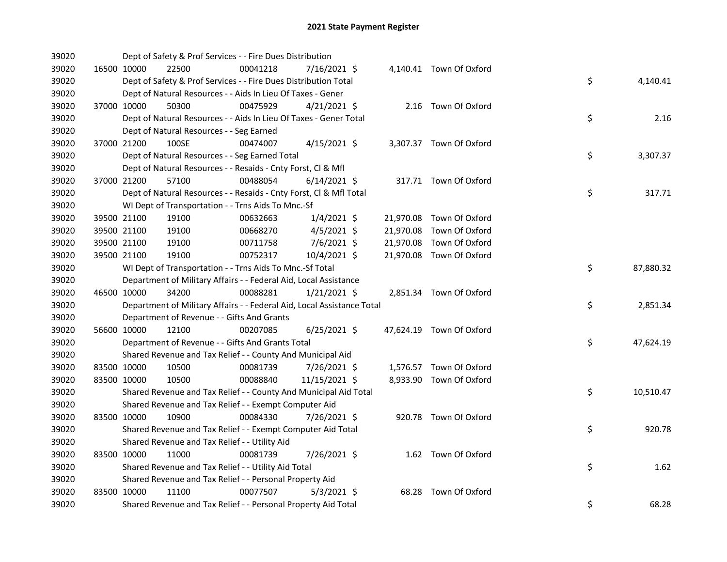| 39020 |                                               | Dept of Safety & Prof Services - - Fire Dues Distribution              |                |  |                          |    |           |
|-------|-----------------------------------------------|------------------------------------------------------------------------|----------------|--|--------------------------|----|-----------|
| 39020 | 16500 10000<br>22500                          | 00041218                                                               | 7/16/2021 \$   |  | 4,140.41 Town Of Oxford  |    |           |
| 39020 |                                               | Dept of Safety & Prof Services - - Fire Dues Distribution Total        |                |  |                          | \$ | 4,140.41  |
| 39020 |                                               | Dept of Natural Resources - - Aids In Lieu Of Taxes - Gener            |                |  |                          |    |           |
| 39020 | 37000 10000<br>50300                          | 00475929                                                               | $4/21/2021$ \$ |  | 2.16 Town Of Oxford      |    |           |
| 39020 |                                               | Dept of Natural Resources - - Aids In Lieu Of Taxes - Gener Total      |                |  |                          | \$ | 2.16      |
| 39020 | Dept of Natural Resources - - Seg Earned      |                                                                        |                |  |                          |    |           |
| 39020 | 37000 21200<br>100SE                          | 00474007                                                               | $4/15/2021$ \$ |  | 3,307.37 Town Of Oxford  |    |           |
| 39020 |                                               | Dept of Natural Resources - - Seg Earned Total                         |                |  |                          | \$ | 3,307.37  |
| 39020 |                                               | Dept of Natural Resources - - Resaids - Cnty Forst, Cl & Mfl           |                |  |                          |    |           |
| 39020 | 37000 21200<br>57100                          | 00488054                                                               | $6/14/2021$ \$ |  | 317.71 Town Of Oxford    |    |           |
| 39020 |                                               | Dept of Natural Resources - - Resaids - Cnty Forst, Cl & Mfl Total     |                |  |                          | \$ | 317.71    |
| 39020 |                                               | WI Dept of Transportation - - Trns Aids To Mnc.-Sf                     |                |  |                          |    |           |
| 39020 | 39500 21100<br>19100                          | 00632663                                                               | $1/4/2021$ \$  |  | 21,970.08 Town Of Oxford |    |           |
| 39020 | 39500 21100<br>19100                          | 00668270                                                               | $4/5/2021$ \$  |  | 21,970.08 Town Of Oxford |    |           |
| 39020 | 39500 21100<br>19100                          | 00711758                                                               | 7/6/2021 \$    |  | 21,970.08 Town Of Oxford |    |           |
| 39020 | 39500 21100<br>19100                          | 00752317                                                               | 10/4/2021 \$   |  | 21,970.08 Town Of Oxford |    |           |
| 39020 |                                               | WI Dept of Transportation - - Trns Aids To Mnc.-Sf Total               |                |  |                          | \$ | 87,880.32 |
| 39020 |                                               | Department of Military Affairs - - Federal Aid, Local Assistance       |                |  |                          |    |           |
| 39020 | 34200<br>46500 10000                          | 00088281                                                               | $1/21/2021$ \$ |  | 2,851.34 Town Of Oxford  |    |           |
| 39020 |                                               | Department of Military Affairs - - Federal Aid, Local Assistance Total |                |  |                          | \$ | 2,851.34  |
| 39020 | Department of Revenue - - Gifts And Grants    |                                                                        |                |  |                          |    |           |
| 39020 | 56600 10000<br>12100                          | 00207085                                                               | $6/25/2021$ \$ |  | 47,624.19 Town Of Oxford |    |           |
| 39020 |                                               | Department of Revenue - - Gifts And Grants Total                       |                |  |                          | \$ | 47,624.19 |
| 39020 |                                               | Shared Revenue and Tax Relief - - County And Municipal Aid             |                |  |                          |    |           |
| 39020 | 83500 10000<br>10500                          | 00081739                                                               | 7/26/2021 \$   |  | 1,576.57 Town Of Oxford  |    |           |
| 39020 | 83500 10000<br>10500                          | 00088840                                                               | 11/15/2021 \$  |  | 8,933.90 Town Of Oxford  |    |           |
| 39020 |                                               | Shared Revenue and Tax Relief - - County And Municipal Aid Total       |                |  |                          | \$ | 10,510.47 |
| 39020 |                                               | Shared Revenue and Tax Relief - - Exempt Computer Aid                  |                |  |                          |    |           |
| 39020 | 83500 10000<br>10900                          | 00084330                                                               | 7/26/2021 \$   |  | 920.78 Town Of Oxford    |    |           |
| 39020 |                                               | Shared Revenue and Tax Relief - - Exempt Computer Aid Total            |                |  |                          | \$ | 920.78    |
| 39020 | Shared Revenue and Tax Relief - - Utility Aid |                                                                        |                |  |                          |    |           |
| 39020 | 83500 10000<br>11000                          | 00081739                                                               | 7/26/2021 \$   |  | 1.62 Town Of Oxford      |    |           |
| 39020 |                                               | Shared Revenue and Tax Relief - - Utility Aid Total                    |                |  |                          | \$ | 1.62      |
| 39020 |                                               | Shared Revenue and Tax Relief - - Personal Property Aid                |                |  |                          |    |           |
| 39020 | 83500 10000<br>11100                          | 00077507                                                               | $5/3/2021$ \$  |  | 68.28 Town Of Oxford     |    |           |
| 39020 |                                               | Shared Revenue and Tax Relief - - Personal Property Aid Total          |                |  |                          | \$ | 68.28     |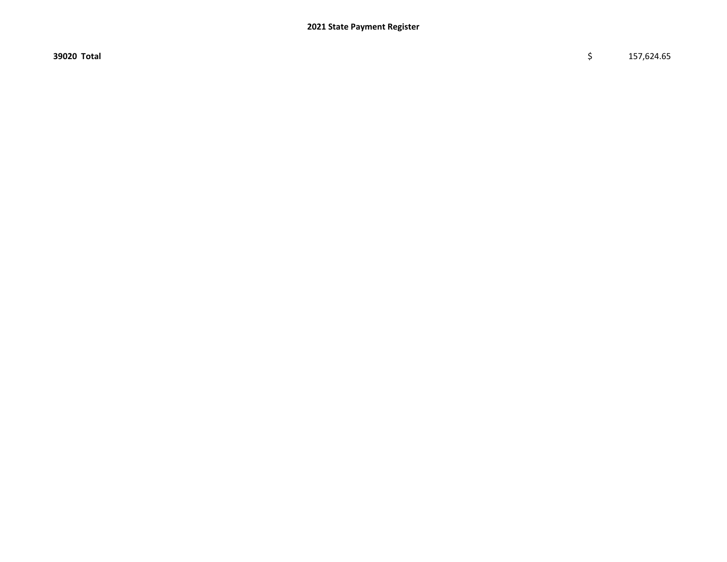$39020$  Total  $$ 157,624.65$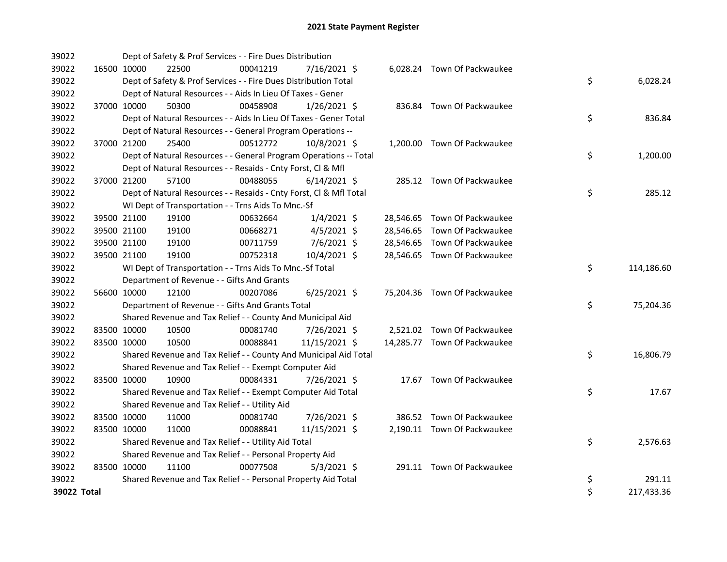| 39022       |             | Dept of Safety & Prof Services - - Fire Dues Distribution          |          |                |  |                              |    |            |
|-------------|-------------|--------------------------------------------------------------------|----------|----------------|--|------------------------------|----|------------|
| 39022       | 16500 10000 | 22500                                                              | 00041219 | 7/16/2021 \$   |  | 6,028.24 Town Of Packwaukee  |    |            |
| 39022       |             | Dept of Safety & Prof Services - - Fire Dues Distribution Total    |          |                |  |                              | \$ | 6,028.24   |
| 39022       |             | Dept of Natural Resources - - Aids In Lieu Of Taxes - Gener        |          |                |  |                              |    |            |
| 39022       | 37000 10000 | 50300                                                              | 00458908 | $1/26/2021$ \$ |  | 836.84 Town Of Packwaukee    |    |            |
| 39022       |             | Dept of Natural Resources - - Aids In Lieu Of Taxes - Gener Total  |          |                |  |                              | \$ | 836.84     |
| 39022       |             | Dept of Natural Resources - - General Program Operations --        |          |                |  |                              |    |            |
| 39022       | 37000 21200 | 25400                                                              | 00512772 | 10/8/2021 \$   |  | 1,200.00 Town Of Packwaukee  |    |            |
| 39022       |             | Dept of Natural Resources - - General Program Operations -- Total  |          |                |  |                              | \$ | 1,200.00   |
| 39022       |             | Dept of Natural Resources - - Resaids - Cnty Forst, Cl & Mfl       |          |                |  |                              |    |            |
| 39022       | 37000 21200 | 57100                                                              | 00488055 | $6/14/2021$ \$ |  | 285.12 Town Of Packwaukee    |    |            |
| 39022       |             | Dept of Natural Resources - - Resaids - Cnty Forst, Cl & Mfl Total |          |                |  |                              | \$ | 285.12     |
| 39022       |             | WI Dept of Transportation - - Trns Aids To Mnc.-Sf                 |          |                |  |                              |    |            |
| 39022       | 39500 21100 | 19100                                                              | 00632664 | $1/4/2021$ \$  |  | 28,546.65 Town Of Packwaukee |    |            |
| 39022       | 39500 21100 | 19100                                                              | 00668271 | $4/5/2021$ \$  |  | 28,546.65 Town Of Packwaukee |    |            |
| 39022       | 39500 21100 | 19100                                                              | 00711759 | 7/6/2021 \$    |  | 28,546.65 Town Of Packwaukee |    |            |
| 39022       | 39500 21100 | 19100                                                              | 00752318 | 10/4/2021 \$   |  | 28,546.65 Town Of Packwaukee |    |            |
| 39022       |             | WI Dept of Transportation - - Trns Aids To Mnc.-Sf Total           |          |                |  |                              | \$ | 114,186.60 |
| 39022       |             | Department of Revenue - - Gifts And Grants                         |          |                |  |                              |    |            |
| 39022       | 56600 10000 | 12100                                                              | 00207086 | $6/25/2021$ \$ |  | 75,204.36 Town Of Packwaukee |    |            |
| 39022       |             | Department of Revenue - - Gifts And Grants Total                   |          |                |  |                              | \$ | 75,204.36  |
| 39022       |             | Shared Revenue and Tax Relief - - County And Municipal Aid         |          |                |  |                              |    |            |
| 39022       | 83500 10000 | 10500                                                              | 00081740 | 7/26/2021 \$   |  | 2,521.02 Town Of Packwaukee  |    |            |
| 39022       | 83500 10000 | 10500                                                              | 00088841 | 11/15/2021 \$  |  | 14,285.77 Town Of Packwaukee |    |            |
| 39022       |             | Shared Revenue and Tax Relief - - County And Municipal Aid Total   |          |                |  |                              | \$ | 16,806.79  |
| 39022       |             | Shared Revenue and Tax Relief - - Exempt Computer Aid              |          |                |  |                              |    |            |
| 39022       | 83500 10000 | 10900                                                              | 00084331 | 7/26/2021 \$   |  | 17.67 Town Of Packwaukee     |    |            |
| 39022       |             | Shared Revenue and Tax Relief - - Exempt Computer Aid Total        |          |                |  |                              | \$ | 17.67      |
| 39022       |             | Shared Revenue and Tax Relief - - Utility Aid                      |          |                |  |                              |    |            |
| 39022       | 83500 10000 | 11000                                                              | 00081740 | 7/26/2021 \$   |  | 386.52 Town Of Packwaukee    |    |            |
| 39022       | 83500 10000 | 11000                                                              | 00088841 | 11/15/2021 \$  |  | 2,190.11 Town Of Packwaukee  |    |            |
| 39022       |             | Shared Revenue and Tax Relief - - Utility Aid Total                |          |                |  |                              | \$ | 2,576.63   |
| 39022       |             | Shared Revenue and Tax Relief - - Personal Property Aid            |          |                |  |                              |    |            |
| 39022       | 83500 10000 | 11100                                                              | 00077508 | $5/3/2021$ \$  |  | 291.11 Town Of Packwaukee    |    |            |
| 39022       |             | Shared Revenue and Tax Relief - - Personal Property Aid Total      |          |                |  |                              | \$ | 291.11     |
| 39022 Total |             |                                                                    |          |                |  |                              | \$ | 217,433.36 |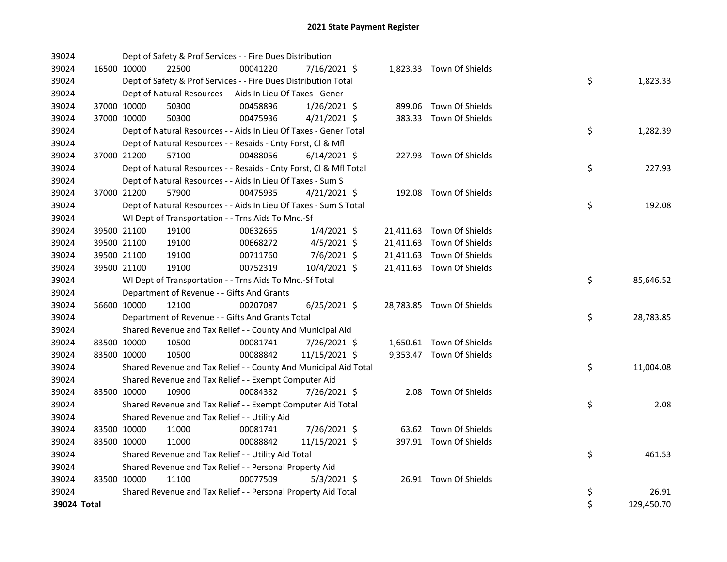| 39024       |             | Dept of Safety & Prof Services - - Fire Dues Distribution          |          |                |  |                           |    |            |
|-------------|-------------|--------------------------------------------------------------------|----------|----------------|--|---------------------------|----|------------|
| 39024       | 16500 10000 | 22500                                                              | 00041220 | 7/16/2021 \$   |  | 1,823.33 Town Of Shields  |    |            |
| 39024       |             | Dept of Safety & Prof Services - - Fire Dues Distribution Total    |          |                |  |                           | \$ | 1,823.33   |
| 39024       |             | Dept of Natural Resources - - Aids In Lieu Of Taxes - Gener        |          |                |  |                           |    |            |
| 39024       | 37000 10000 | 50300                                                              | 00458896 | $1/26/2021$ \$ |  | 899.06 Town Of Shields    |    |            |
| 39024       | 37000 10000 | 50300                                                              | 00475936 | $4/21/2021$ \$ |  | 383.33 Town Of Shields    |    |            |
| 39024       |             | Dept of Natural Resources - - Aids In Lieu Of Taxes - Gener Total  |          |                |  |                           | \$ | 1,282.39   |
| 39024       |             | Dept of Natural Resources - - Resaids - Cnty Forst, Cl & Mfl       |          |                |  |                           |    |            |
| 39024       | 37000 21200 | 57100                                                              | 00488056 | $6/14/2021$ \$ |  | 227.93 Town Of Shields    |    |            |
| 39024       |             | Dept of Natural Resources - - Resaids - Cnty Forst, Cl & Mfl Total |          |                |  |                           | \$ | 227.93     |
| 39024       |             | Dept of Natural Resources - - Aids In Lieu Of Taxes - Sum S        |          |                |  |                           |    |            |
| 39024       | 37000 21200 | 57900                                                              | 00475935 | $4/21/2021$ \$ |  | 192.08 Town Of Shields    |    |            |
| 39024       |             | Dept of Natural Resources - - Aids In Lieu Of Taxes - Sum S Total  |          |                |  |                           | \$ | 192.08     |
| 39024       |             | WI Dept of Transportation - - Trns Aids To Mnc.-Sf                 |          |                |  |                           |    |            |
| 39024       | 39500 21100 | 19100                                                              | 00632665 | $1/4/2021$ \$  |  | 21,411.63 Town Of Shields |    |            |
| 39024       | 39500 21100 | 19100                                                              | 00668272 | $4/5/2021$ \$  |  | 21,411.63 Town Of Shields |    |            |
| 39024       | 39500 21100 | 19100                                                              | 00711760 | 7/6/2021 \$    |  | 21,411.63 Town Of Shields |    |            |
| 39024       | 39500 21100 | 19100                                                              | 00752319 | 10/4/2021 \$   |  | 21,411.63 Town Of Shields |    |            |
| 39024       |             | WI Dept of Transportation - - Trns Aids To Mnc.-Sf Total           |          |                |  |                           | \$ | 85,646.52  |
| 39024       |             | Department of Revenue - - Gifts And Grants                         |          |                |  |                           |    |            |
| 39024       | 56600 10000 | 12100                                                              | 00207087 | $6/25/2021$ \$ |  | 28,783.85 Town Of Shields |    |            |
| 39024       |             | Department of Revenue - - Gifts And Grants Total                   |          |                |  |                           | \$ | 28,783.85  |
| 39024       |             | Shared Revenue and Tax Relief - - County And Municipal Aid         |          |                |  |                           |    |            |
| 39024       | 83500 10000 | 10500                                                              | 00081741 | 7/26/2021 \$   |  | 1,650.61 Town Of Shields  |    |            |
| 39024       | 83500 10000 | 10500                                                              | 00088842 | 11/15/2021 \$  |  | 9,353.47 Town Of Shields  |    |            |
| 39024       |             | Shared Revenue and Tax Relief - - County And Municipal Aid Total   |          |                |  |                           | \$ | 11,004.08  |
| 39024       |             | Shared Revenue and Tax Relief - - Exempt Computer Aid              |          |                |  |                           |    |            |
| 39024       | 83500 10000 | 10900                                                              | 00084332 | 7/26/2021 \$   |  | 2.08 Town Of Shields      |    |            |
| 39024       |             | Shared Revenue and Tax Relief - - Exempt Computer Aid Total        |          |                |  |                           | \$ | 2.08       |
| 39024       |             | Shared Revenue and Tax Relief - - Utility Aid                      |          |                |  |                           |    |            |
| 39024       | 83500 10000 | 11000                                                              | 00081741 | 7/26/2021 \$   |  | 63.62 Town Of Shields     |    |            |
| 39024       | 83500 10000 | 11000                                                              | 00088842 | 11/15/2021 \$  |  | 397.91 Town Of Shields    |    |            |
| 39024       |             | Shared Revenue and Tax Relief - - Utility Aid Total                |          |                |  |                           | \$ | 461.53     |
| 39024       |             | Shared Revenue and Tax Relief - - Personal Property Aid            |          |                |  |                           |    |            |
| 39024       | 83500 10000 | 11100                                                              | 00077509 | $5/3/2021$ \$  |  | 26.91 Town Of Shields     |    |            |
| 39024       |             | Shared Revenue and Tax Relief - - Personal Property Aid Total      |          |                |  |                           | \$ | 26.91      |
| 39024 Total |             |                                                                    |          |                |  |                           | \$ | 129,450.70 |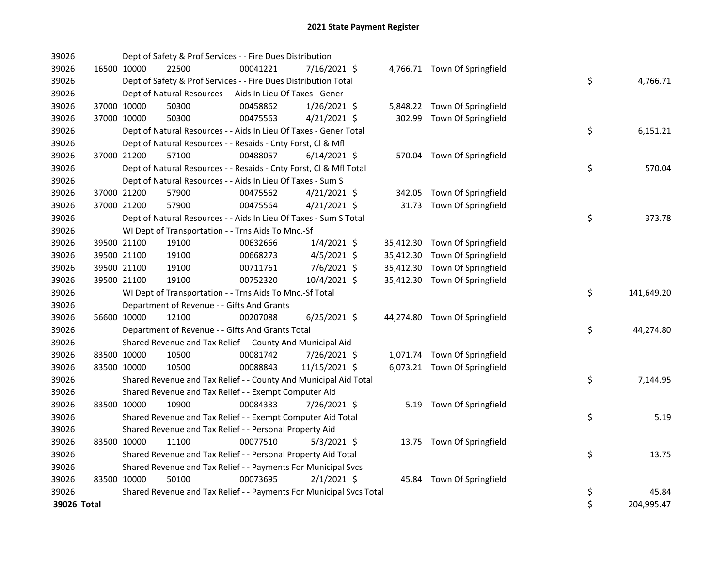| 39026       |             |             | Dept of Safety & Prof Services - - Fire Dues Distribution           |          |                |           |                               |    |            |
|-------------|-------------|-------------|---------------------------------------------------------------------|----------|----------------|-----------|-------------------------------|----|------------|
| 39026       |             | 16500 10000 | 22500                                                               | 00041221 | 7/16/2021 \$   |           | 4,766.71 Town Of Springfield  |    |            |
| 39026       |             |             | Dept of Safety & Prof Services - - Fire Dues Distribution Total     |          |                |           |                               | \$ | 4,766.71   |
| 39026       |             |             | Dept of Natural Resources - - Aids In Lieu Of Taxes - Gener         |          |                |           |                               |    |            |
| 39026       |             | 37000 10000 | 50300                                                               | 00458862 | $1/26/2021$ \$ |           | 5,848.22 Town Of Springfield  |    |            |
| 39026       |             | 37000 10000 | 50300                                                               | 00475563 | $4/21/2021$ \$ |           | 302.99 Town Of Springfield    |    |            |
| 39026       |             |             | Dept of Natural Resources - - Aids In Lieu Of Taxes - Gener Total   |          |                |           |                               | \$ | 6,151.21   |
| 39026       |             |             | Dept of Natural Resources - - Resaids - Cnty Forst, Cl & Mfl        |          |                |           |                               |    |            |
| 39026       |             | 37000 21200 | 57100                                                               | 00488057 | $6/14/2021$ \$ |           | 570.04 Town Of Springfield    |    |            |
| 39026       |             |             | Dept of Natural Resources - - Resaids - Cnty Forst, Cl & Mfl Total  |          |                |           |                               | \$ | 570.04     |
| 39026       |             |             | Dept of Natural Resources - - Aids In Lieu Of Taxes - Sum S         |          |                |           |                               |    |            |
| 39026       |             | 37000 21200 | 57900                                                               | 00475562 | $4/21/2021$ \$ | 342.05    | Town Of Springfield           |    |            |
| 39026       |             | 37000 21200 | 57900                                                               | 00475564 | $4/21/2021$ \$ | 31.73     | Town Of Springfield           |    |            |
| 39026       |             |             | Dept of Natural Resources - - Aids In Lieu Of Taxes - Sum S Total   |          |                |           |                               | \$ | 373.78     |
| 39026       |             |             | WI Dept of Transportation - - Trns Aids To Mnc.-Sf                  |          |                |           |                               |    |            |
| 39026       |             | 39500 21100 | 19100                                                               | 00632666 | $1/4/2021$ \$  |           | 35,412.30 Town Of Springfield |    |            |
| 39026       |             | 39500 21100 | 19100                                                               | 00668273 | $4/5/2021$ \$  | 35,412.30 | Town Of Springfield           |    |            |
| 39026       |             | 39500 21100 | 19100                                                               | 00711761 | 7/6/2021 \$    | 35,412.30 | Town Of Springfield           |    |            |
| 39026       |             | 39500 21100 | 19100                                                               | 00752320 | 10/4/2021 \$   |           | 35,412.30 Town Of Springfield |    |            |
| 39026       |             |             | WI Dept of Transportation - - Trns Aids To Mnc.-Sf Total            |          |                |           |                               | \$ | 141,649.20 |
| 39026       |             |             | Department of Revenue - - Gifts And Grants                          |          |                |           |                               |    |            |
| 39026       |             | 56600 10000 | 12100                                                               | 00207088 | $6/25/2021$ \$ |           | 44,274.80 Town Of Springfield |    |            |
| 39026       |             |             | Department of Revenue - - Gifts And Grants Total                    |          |                |           |                               | \$ | 44,274.80  |
| 39026       |             |             | Shared Revenue and Tax Relief - - County And Municipal Aid          |          |                |           |                               |    |            |
| 39026       | 83500 10000 |             | 10500                                                               | 00081742 | 7/26/2021 \$   |           | 1,071.74 Town Of Springfield  |    |            |
| 39026       | 83500 10000 |             | 10500                                                               | 00088843 | 11/15/2021 \$  |           | 6,073.21 Town Of Springfield  |    |            |
| 39026       |             |             | Shared Revenue and Tax Relief - - County And Municipal Aid Total    |          |                |           |                               | \$ | 7,144.95   |
| 39026       |             |             | Shared Revenue and Tax Relief - - Exempt Computer Aid               |          |                |           |                               |    |            |
| 39026       |             | 83500 10000 | 10900                                                               | 00084333 | 7/26/2021 \$   | 5.19      | Town Of Springfield           |    |            |
| 39026       |             |             | Shared Revenue and Tax Relief - - Exempt Computer Aid Total         |          |                |           |                               | \$ | 5.19       |
| 39026       |             |             | Shared Revenue and Tax Relief - - Personal Property Aid             |          |                |           |                               |    |            |
| 39026       |             | 83500 10000 | 11100                                                               | 00077510 | $5/3/2021$ \$  |           | 13.75 Town Of Springfield     |    |            |
| 39026       |             |             | Shared Revenue and Tax Relief - - Personal Property Aid Total       |          |                |           |                               | \$ | 13.75      |
| 39026       |             |             | Shared Revenue and Tax Relief - - Payments For Municipal Svcs       |          |                |           |                               |    |            |
| 39026       | 83500 10000 |             | 50100                                                               | 00073695 | $2/1/2021$ \$  |           | 45.84 Town Of Springfield     |    |            |
| 39026       |             |             | Shared Revenue and Tax Relief - - Payments For Municipal Svcs Total |          |                |           |                               | \$ | 45.84      |
| 39026 Total |             |             |                                                                     |          |                |           |                               | \$ | 204,995.47 |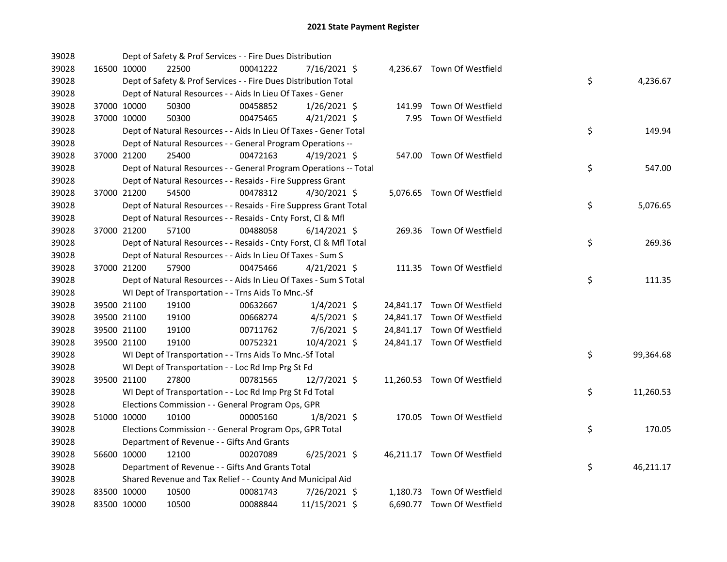| 39028 |             |             | Dept of Safety & Prof Services - - Fire Dues Distribution          |          |                |  |                             |    |           |
|-------|-------------|-------------|--------------------------------------------------------------------|----------|----------------|--|-----------------------------|----|-----------|
| 39028 |             | 16500 10000 | 22500                                                              | 00041222 | 7/16/2021 \$   |  | 4,236.67 Town Of Westfield  |    |           |
| 39028 |             |             | Dept of Safety & Prof Services - - Fire Dues Distribution Total    |          |                |  |                             | \$ | 4,236.67  |
| 39028 |             |             | Dept of Natural Resources - - Aids In Lieu Of Taxes - Gener        |          |                |  |                             |    |           |
| 39028 |             | 37000 10000 | 50300                                                              | 00458852 | $1/26/2021$ \$ |  | 141.99 Town Of Westfield    |    |           |
| 39028 |             | 37000 10000 | 50300                                                              | 00475465 | $4/21/2021$ \$ |  | 7.95 Town Of Westfield      |    |           |
| 39028 |             |             | Dept of Natural Resources - - Aids In Lieu Of Taxes - Gener Total  |          |                |  |                             | \$ | 149.94    |
| 39028 |             |             | Dept of Natural Resources - - General Program Operations --        |          |                |  |                             |    |           |
| 39028 | 37000 21200 |             | 25400                                                              | 00472163 | $4/19/2021$ \$ |  | 547.00 Town Of Westfield    |    |           |
| 39028 |             |             | Dept of Natural Resources - - General Program Operations -- Total  |          |                |  |                             | \$ | 547.00    |
| 39028 |             |             | Dept of Natural Resources - - Resaids - Fire Suppress Grant        |          |                |  |                             |    |           |
| 39028 |             | 37000 21200 | 54500                                                              | 00478312 | 4/30/2021 \$   |  | 5,076.65 Town Of Westfield  |    |           |
| 39028 |             |             | Dept of Natural Resources - - Resaids - Fire Suppress Grant Total  |          |                |  |                             | \$ | 5,076.65  |
| 39028 |             |             | Dept of Natural Resources - - Resaids - Cnty Forst, Cl & Mfl       |          |                |  |                             |    |           |
| 39028 |             | 37000 21200 | 57100                                                              | 00488058 | $6/14/2021$ \$ |  | 269.36 Town Of Westfield    |    |           |
| 39028 |             |             | Dept of Natural Resources - - Resaids - Cnty Forst, Cl & Mfl Total |          |                |  |                             | \$ | 269.36    |
| 39028 |             |             | Dept of Natural Resources - - Aids In Lieu Of Taxes - Sum S        |          |                |  |                             |    |           |
| 39028 | 37000 21200 |             | 57900                                                              | 00475466 | $4/21/2021$ \$ |  | 111.35 Town Of Westfield    |    |           |
| 39028 |             |             | Dept of Natural Resources - - Aids In Lieu Of Taxes - Sum S Total  |          |                |  |                             | \$ | 111.35    |
| 39028 |             |             | WI Dept of Transportation - - Trns Aids To Mnc.-Sf                 |          |                |  |                             |    |           |
| 39028 |             | 39500 21100 | 19100                                                              | 00632667 | $1/4/2021$ \$  |  | 24,841.17 Town Of Westfield |    |           |
| 39028 |             | 39500 21100 | 19100                                                              | 00668274 | $4/5/2021$ \$  |  | 24,841.17 Town Of Westfield |    |           |
| 39028 |             | 39500 21100 | 19100                                                              | 00711762 | $7/6/2021$ \$  |  | 24,841.17 Town Of Westfield |    |           |
| 39028 |             | 39500 21100 | 19100                                                              | 00752321 | 10/4/2021 \$   |  | 24,841.17 Town Of Westfield |    |           |
| 39028 |             |             | WI Dept of Transportation - - Trns Aids To Mnc.-Sf Total           |          |                |  |                             | \$ | 99,364.68 |
| 39028 |             |             | WI Dept of Transportation - - Loc Rd Imp Prg St Fd                 |          |                |  |                             |    |           |
| 39028 |             | 39500 21100 | 27800                                                              | 00781565 | 12/7/2021 \$   |  | 11,260.53 Town Of Westfield |    |           |
| 39028 |             |             | WI Dept of Transportation - - Loc Rd Imp Prg St Fd Total           |          |                |  |                             | \$ | 11,260.53 |
| 39028 |             |             | Elections Commission - - General Program Ops, GPR                  |          |                |  |                             |    |           |
| 39028 |             | 51000 10000 | 10100                                                              | 00005160 | $1/8/2021$ \$  |  | 170.05 Town Of Westfield    |    |           |
| 39028 |             |             | Elections Commission - - General Program Ops, GPR Total            |          |                |  |                             | \$ | 170.05    |
| 39028 |             |             | Department of Revenue - - Gifts And Grants                         |          |                |  |                             |    |           |
| 39028 |             | 56600 10000 | 12100                                                              | 00207089 | $6/25/2021$ \$ |  | 46,211.17 Town Of Westfield |    |           |
| 39028 |             |             | Department of Revenue - - Gifts And Grants Total                   |          |                |  |                             | \$ | 46,211.17 |
| 39028 |             |             | Shared Revenue and Tax Relief - - County And Municipal Aid         |          |                |  |                             |    |           |
| 39028 |             | 83500 10000 | 10500                                                              | 00081743 | 7/26/2021 \$   |  | 1,180.73 Town Of Westfield  |    |           |
| 39028 | 83500 10000 |             | 10500                                                              | 00088844 | 11/15/2021 \$  |  | 6,690.77 Town Of Westfield  |    |           |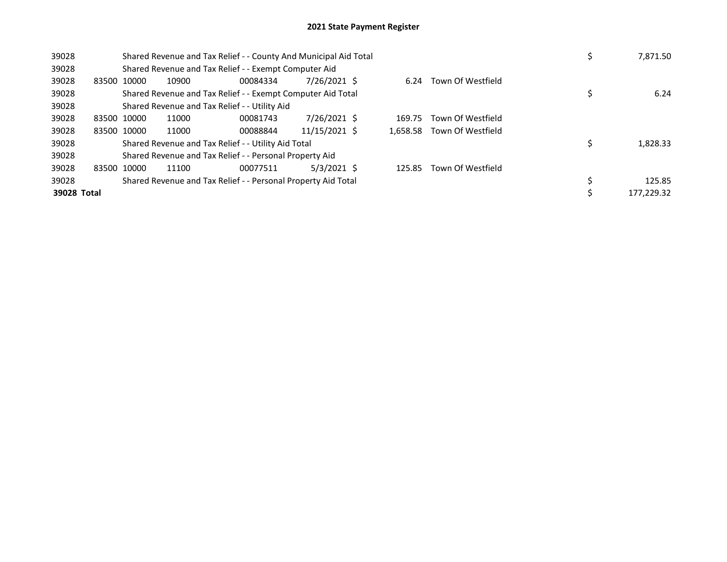| 39028       | Shared Revenue and Tax Relief - - County And Municipal Aid Total | 7,871.50                                      |                                                               |               |        |                            |            |
|-------------|------------------------------------------------------------------|-----------------------------------------------|---------------------------------------------------------------|---------------|--------|----------------------------|------------|
| 39028       |                                                                  |                                               | Shared Revenue and Tax Relief - - Exempt Computer Aid         |               |        |                            |            |
| 39028       | 83500 10000                                                      | 10900                                         | 00084334                                                      | 7/26/2021 \$  | 6.24   | Town Of Westfield          |            |
| 39028       |                                                                  |                                               | Shared Revenue and Tax Relief - - Exempt Computer Aid Total   |               |        |                            | 6.24       |
| 39028       |                                                                  | Shared Revenue and Tax Relief - - Utility Aid |                                                               |               |        |                            |            |
| 39028       | 83500 10000                                                      | 11000                                         | 00081743                                                      | 7/26/2021 \$  | 169.75 | Town Of Westfield          |            |
| 39028       | 83500 10000                                                      | 11000                                         | 00088844                                                      | 11/15/2021 \$ |        | 1,658.58 Town Of Westfield |            |
| 39028       |                                                                  |                                               | Shared Revenue and Tax Relief - - Utility Aid Total           |               |        |                            | 1,828.33   |
| 39028       |                                                                  |                                               | Shared Revenue and Tax Relief - - Personal Property Aid       |               |        |                            |            |
| 39028       | 83500 10000                                                      | 11100                                         | 00077511                                                      | $5/3/2021$ \$ | 125.85 | Town Of Westfield          |            |
| 39028       |                                                                  |                                               | Shared Revenue and Tax Relief - - Personal Property Aid Total |               |        |                            | 125.85     |
| 39028 Total |                                                                  |                                               |                                                               |               |        |                            | 177.229.32 |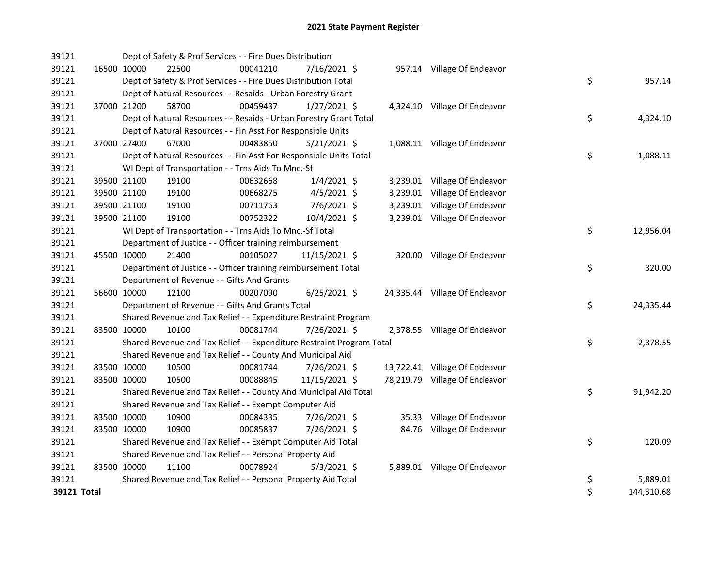| 39121 |             |             | Dept of Safety & Prof Services - - Fire Dues Distribution             |          |                |  |                               |    |            |
|-------|-------------|-------------|-----------------------------------------------------------------------|----------|----------------|--|-------------------------------|----|------------|
| 39121 |             | 16500 10000 | 22500                                                                 | 00041210 | 7/16/2021 \$   |  | 957.14 Village Of Endeavor    |    |            |
| 39121 |             |             | Dept of Safety & Prof Services - - Fire Dues Distribution Total       |          |                |  |                               | \$ | 957.14     |
| 39121 |             |             | Dept of Natural Resources - - Resaids - Urban Forestry Grant          |          |                |  |                               |    |            |
| 39121 |             | 37000 21200 | 58700                                                                 | 00459437 | $1/27/2021$ \$ |  | 4,324.10 Village Of Endeavor  |    |            |
| 39121 |             |             | Dept of Natural Resources - - Resaids - Urban Forestry Grant Total    |          |                |  |                               | \$ | 4,324.10   |
| 39121 |             |             | Dept of Natural Resources - - Fin Asst For Responsible Units          |          |                |  |                               |    |            |
| 39121 |             | 37000 27400 | 67000                                                                 | 00483850 | $5/21/2021$ \$ |  | 1,088.11 Village Of Endeavor  |    |            |
| 39121 |             |             | Dept of Natural Resources - - Fin Asst For Responsible Units Total    |          |                |  |                               | \$ | 1,088.11   |
| 39121 |             |             | WI Dept of Transportation - - Trns Aids To Mnc.-Sf                    |          |                |  |                               |    |            |
| 39121 |             | 39500 21100 | 19100                                                                 | 00632668 | $1/4/2021$ \$  |  | 3,239.01 Village Of Endeavor  |    |            |
| 39121 |             | 39500 21100 | 19100                                                                 | 00668275 | $4/5/2021$ \$  |  | 3,239.01 Village Of Endeavor  |    |            |
| 39121 |             | 39500 21100 | 19100                                                                 | 00711763 | 7/6/2021 \$    |  | 3,239.01 Village Of Endeavor  |    |            |
| 39121 |             | 39500 21100 | 19100                                                                 | 00752322 | 10/4/2021 \$   |  | 3,239.01 Village Of Endeavor  |    |            |
| 39121 |             |             | WI Dept of Transportation - - Trns Aids To Mnc.-Sf Total              |          |                |  |                               | \$ | 12,956.04  |
| 39121 |             |             | Department of Justice - - Officer training reimbursement              |          |                |  |                               |    |            |
| 39121 |             | 45500 10000 | 21400                                                                 | 00105027 | 11/15/2021 \$  |  | 320.00 Village Of Endeavor    |    |            |
| 39121 |             |             | Department of Justice - - Officer training reimbursement Total        |          |                |  |                               | \$ | 320.00     |
| 39121 |             |             | Department of Revenue - - Gifts And Grants                            |          |                |  |                               |    |            |
| 39121 |             | 56600 10000 | 12100                                                                 | 00207090 | $6/25/2021$ \$ |  | 24,335.44 Village Of Endeavor |    |            |
| 39121 |             |             | Department of Revenue - - Gifts And Grants Total                      |          |                |  |                               | \$ | 24,335.44  |
| 39121 |             |             | Shared Revenue and Tax Relief - - Expenditure Restraint Program       |          |                |  |                               |    |            |
| 39121 |             | 83500 10000 | 10100                                                                 | 00081744 | 7/26/2021 \$   |  | 2,378.55 Village Of Endeavor  |    |            |
| 39121 |             |             | Shared Revenue and Tax Relief - - Expenditure Restraint Program Total |          |                |  |                               | \$ | 2,378.55   |
| 39121 |             |             | Shared Revenue and Tax Relief - - County And Municipal Aid            |          |                |  |                               |    |            |
| 39121 |             | 83500 10000 | 10500                                                                 | 00081744 | 7/26/2021 \$   |  | 13,722.41 Village Of Endeavor |    |            |
| 39121 |             | 83500 10000 | 10500                                                                 | 00088845 | 11/15/2021 \$  |  | 78,219.79 Village Of Endeavor |    |            |
| 39121 |             |             | Shared Revenue and Tax Relief - - County And Municipal Aid Total      |          |                |  |                               | \$ | 91,942.20  |
| 39121 |             |             | Shared Revenue and Tax Relief - - Exempt Computer Aid                 |          |                |  |                               |    |            |
| 39121 |             | 83500 10000 | 10900                                                                 | 00084335 | 7/26/2021 \$   |  | 35.33 Village Of Endeavor     |    |            |
| 39121 |             | 83500 10000 | 10900                                                                 | 00085837 | 7/26/2021 \$   |  | 84.76 Village Of Endeavor     |    |            |
| 39121 |             |             | Shared Revenue and Tax Relief - - Exempt Computer Aid Total           |          |                |  |                               | \$ | 120.09     |
| 39121 |             |             | Shared Revenue and Tax Relief - - Personal Property Aid               |          |                |  |                               |    |            |
| 39121 |             | 83500 10000 | 11100                                                                 | 00078924 | $5/3/2021$ \$  |  | 5,889.01 Village Of Endeavor  |    |            |
| 39121 |             |             | Shared Revenue and Tax Relief - - Personal Property Aid Total         |          |                |  |                               | \$ | 5,889.01   |
|       | 39121 Total |             |                                                                       |          |                |  |                               | \$ | 144,310.68 |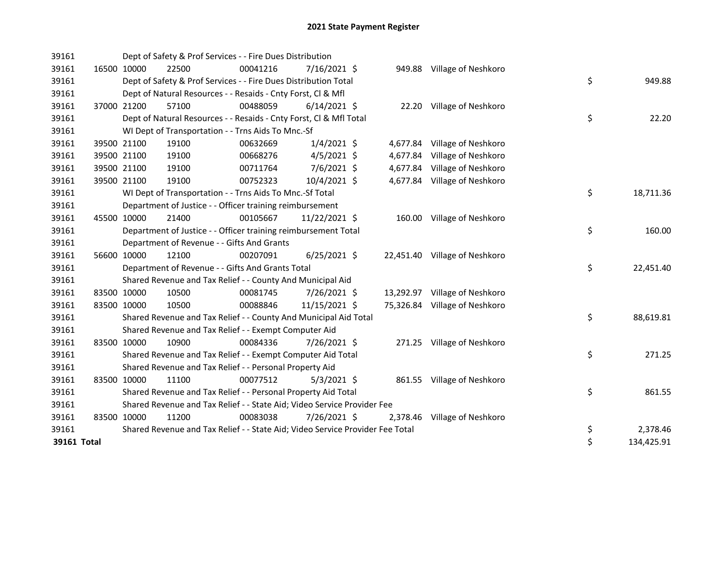| 39161       |             |       | Dept of Safety & Prof Services - - Fire Dues Distribution                     |                |  |                               |    |            |
|-------------|-------------|-------|-------------------------------------------------------------------------------|----------------|--|-------------------------------|----|------------|
| 39161       | 16500 10000 | 22500 | 00041216                                                                      | $7/16/2021$ \$ |  | 949.88 Village of Neshkoro    |    |            |
| 39161       |             |       | Dept of Safety & Prof Services - - Fire Dues Distribution Total               |                |  |                               | \$ | 949.88     |
| 39161       |             |       | Dept of Natural Resources - - Resaids - Cnty Forst, CI & Mfl                  |                |  |                               |    |            |
| 39161       | 37000 21200 | 57100 | 00488059                                                                      | $6/14/2021$ \$ |  | 22.20 Village of Neshkoro     |    |            |
| 39161       |             |       | Dept of Natural Resources - - Resaids - Cnty Forst, Cl & Mfl Total            |                |  |                               | \$ | 22.20      |
| 39161       |             |       | WI Dept of Transportation - - Trns Aids To Mnc.-Sf                            |                |  |                               |    |            |
| 39161       | 39500 21100 | 19100 | 00632669                                                                      | $1/4/2021$ \$  |  | 4,677.84 Village of Neshkoro  |    |            |
| 39161       | 39500 21100 | 19100 | 00668276                                                                      | $4/5/2021$ \$  |  | 4,677.84 Village of Neshkoro  |    |            |
| 39161       | 39500 21100 | 19100 | 00711764                                                                      | 7/6/2021 \$    |  | 4,677.84 Village of Neshkoro  |    |            |
| 39161       | 39500 21100 | 19100 | 00752323                                                                      | 10/4/2021 \$   |  | 4,677.84 Village of Neshkoro  |    |            |
| 39161       |             |       | WI Dept of Transportation - - Trns Aids To Mnc.-Sf Total                      |                |  |                               | \$ | 18,711.36  |
| 39161       |             |       | Department of Justice - - Officer training reimbursement                      |                |  |                               |    |            |
| 39161       | 45500 10000 | 21400 | 00105667                                                                      | 11/22/2021 \$  |  | 160.00 Village of Neshkoro    |    |            |
| 39161       |             |       | Department of Justice - - Officer training reimbursement Total                |                |  |                               | \$ | 160.00     |
| 39161       |             |       | Department of Revenue - - Gifts And Grants                                    |                |  |                               |    |            |
| 39161       | 56600 10000 | 12100 | 00207091                                                                      | $6/25/2021$ \$ |  | 22,451.40 Village of Neshkoro |    |            |
| 39161       |             |       | Department of Revenue - - Gifts And Grants Total                              |                |  |                               | \$ | 22,451.40  |
| 39161       |             |       | Shared Revenue and Tax Relief - - County And Municipal Aid                    |                |  |                               |    |            |
| 39161       | 83500 10000 | 10500 | 00081745                                                                      | 7/26/2021 \$   |  | 13,292.97 Village of Neshkoro |    |            |
| 39161       | 83500 10000 | 10500 | 00088846                                                                      | 11/15/2021 \$  |  | 75,326.84 Village of Neshkoro |    |            |
| 39161       |             |       | Shared Revenue and Tax Relief - - County And Municipal Aid Total              |                |  |                               | \$ | 88,619.81  |
| 39161       |             |       | Shared Revenue and Tax Relief - - Exempt Computer Aid                         |                |  |                               |    |            |
| 39161       | 83500 10000 | 10900 | 00084336                                                                      | 7/26/2021 \$   |  | 271.25 Village of Neshkoro    |    |            |
| 39161       |             |       | Shared Revenue and Tax Relief - - Exempt Computer Aid Total                   |                |  |                               | \$ | 271.25     |
| 39161       |             |       | Shared Revenue and Tax Relief - - Personal Property Aid                       |                |  |                               |    |            |
| 39161       | 83500 10000 | 11100 | 00077512                                                                      | $5/3/2021$ \$  |  | 861.55 Village of Neshkoro    |    |            |
| 39161       |             |       | Shared Revenue and Tax Relief - - Personal Property Aid Total                 |                |  |                               | \$ | 861.55     |
| 39161       |             |       | Shared Revenue and Tax Relief - - State Aid; Video Service Provider Fee       |                |  |                               |    |            |
| 39161       | 83500 10000 | 11200 | 00083038                                                                      | 7/26/2021 \$   |  | 2,378.46 Village of Neshkoro  |    |            |
| 39161       |             |       | Shared Revenue and Tax Relief - - State Aid; Video Service Provider Fee Total |                |  |                               | \$ | 2,378.46   |
| 39161 Total |             |       |                                                                               |                |  |                               | \$ | 134,425.91 |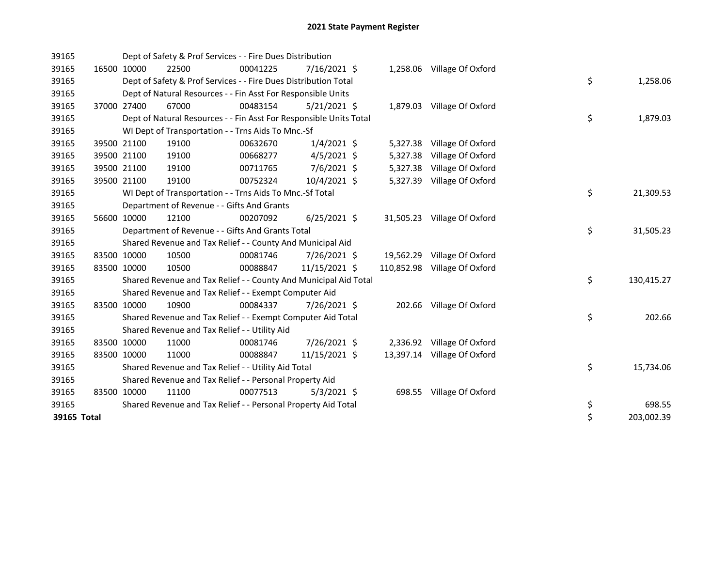| 39165       |             |             | Dept of Safety & Prof Services - - Fire Dues Distribution          |          |                |          |                              |    |            |
|-------------|-------------|-------------|--------------------------------------------------------------------|----------|----------------|----------|------------------------------|----|------------|
| 39165       |             | 16500 10000 | 22500                                                              | 00041225 | $7/16/2021$ \$ |          | 1,258.06 Village Of Oxford   |    |            |
| 39165       |             |             | Dept of Safety & Prof Services - - Fire Dues Distribution Total    |          |                |          |                              | \$ | 1,258.06   |
| 39165       |             |             | Dept of Natural Resources - - Fin Asst For Responsible Units       |          |                |          |                              |    |            |
| 39165       | 37000 27400 |             | 67000                                                              | 00483154 | $5/21/2021$ \$ |          | 1,879.03 Village Of Oxford   |    |            |
| 39165       |             |             | Dept of Natural Resources - - Fin Asst For Responsible Units Total |          |                |          |                              | \$ | 1,879.03   |
| 39165       |             |             | WI Dept of Transportation - - Trns Aids To Mnc.-Sf                 |          |                |          |                              |    |            |
| 39165       |             | 39500 21100 | 19100                                                              | 00632670 | $1/4/2021$ \$  |          | 5,327.38 Village Of Oxford   |    |            |
| 39165       |             | 39500 21100 | 19100                                                              | 00668277 | $4/5/2021$ \$  | 5,327.38 | Village Of Oxford            |    |            |
| 39165       |             | 39500 21100 | 19100                                                              | 00711765 | 7/6/2021 \$    | 5,327.38 | Village Of Oxford            |    |            |
| 39165       |             | 39500 21100 | 19100                                                              | 00752324 | 10/4/2021 \$   | 5,327.39 | Village Of Oxford            |    |            |
| 39165       |             |             | WI Dept of Transportation - - Trns Aids To Mnc.-Sf Total           |          |                |          |                              | \$ | 21,309.53  |
| 39165       |             |             | Department of Revenue - - Gifts And Grants                         |          |                |          |                              |    |            |
| 39165       |             | 56600 10000 | 12100                                                              | 00207092 | $6/25/2021$ \$ |          | 31,505.23 Village Of Oxford  |    |            |
| 39165       |             |             | Department of Revenue - - Gifts And Grants Total                   |          |                |          |                              | \$ | 31,505.23  |
| 39165       |             |             | Shared Revenue and Tax Relief - - County And Municipal Aid         |          |                |          |                              |    |            |
| 39165       |             | 83500 10000 | 10500                                                              | 00081746 | 7/26/2021 \$   |          | 19,562.29 Village Of Oxford  |    |            |
| 39165       |             | 83500 10000 | 10500                                                              | 00088847 | 11/15/2021 \$  |          | 110,852.98 Village Of Oxford |    |            |
| 39165       |             |             | Shared Revenue and Tax Relief - - County And Municipal Aid Total   |          |                |          |                              | \$ | 130,415.27 |
| 39165       |             |             | Shared Revenue and Tax Relief - - Exempt Computer Aid              |          |                |          |                              |    |            |
| 39165       |             | 83500 10000 | 10900                                                              | 00084337 | 7/26/2021 \$   |          | 202.66 Village Of Oxford     |    |            |
| 39165       |             |             | Shared Revenue and Tax Relief - - Exempt Computer Aid Total        |          |                |          |                              | \$ | 202.66     |
| 39165       |             |             | Shared Revenue and Tax Relief - - Utility Aid                      |          |                |          |                              |    |            |
| 39165       |             | 83500 10000 | 11000                                                              | 00081746 | 7/26/2021 \$   |          | 2,336.92 Village Of Oxford   |    |            |
| 39165       |             | 83500 10000 | 11000                                                              | 00088847 | 11/15/2021 \$  |          | 13,397.14 Village Of Oxford  |    |            |
| 39165       |             |             | Shared Revenue and Tax Relief - - Utility Aid Total                |          |                |          |                              | \$ | 15,734.06  |
| 39165       |             |             | Shared Revenue and Tax Relief - - Personal Property Aid            |          |                |          |                              |    |            |
| 39165       |             | 83500 10000 | 11100                                                              | 00077513 | $5/3/2021$ \$  |          | 698.55 Village Of Oxford     |    |            |
| 39165       |             |             | Shared Revenue and Tax Relief - - Personal Property Aid Total      |          |                |          |                              | \$ | 698.55     |
| 39165 Total |             |             |                                                                    |          |                |          |                              | \$ | 203,002.39 |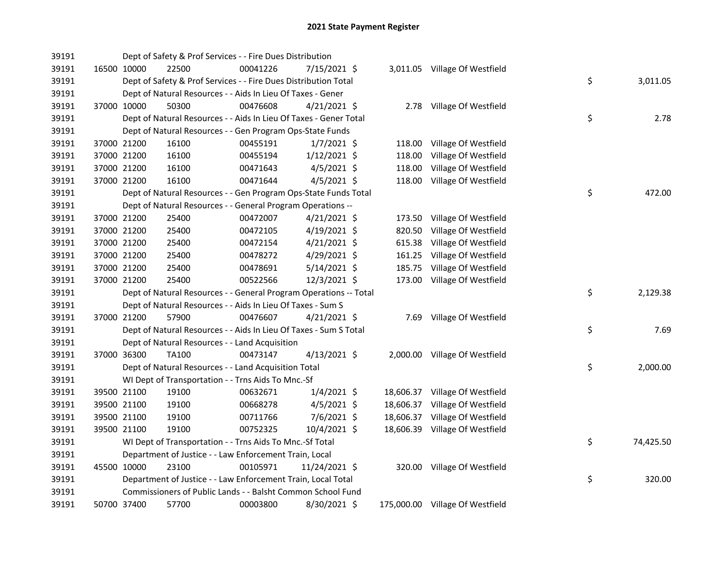| 39191 |             | Dept of Safety & Prof Services - - Fire Dues Distribution         |          |                |        |                                 |    |           |
|-------|-------------|-------------------------------------------------------------------|----------|----------------|--------|---------------------------------|----|-----------|
| 39191 | 16500 10000 | 22500                                                             | 00041226 | 7/15/2021 \$   |        | 3,011.05 Village Of Westfield   |    |           |
| 39191 |             | Dept of Safety & Prof Services - - Fire Dues Distribution Total   |          |                |        |                                 | \$ | 3,011.05  |
| 39191 |             | Dept of Natural Resources - - Aids In Lieu Of Taxes - Gener       |          |                |        |                                 |    |           |
| 39191 | 37000 10000 | 50300                                                             | 00476608 | $4/21/2021$ \$ |        | 2.78 Village Of Westfield       |    |           |
| 39191 |             | Dept of Natural Resources - - Aids In Lieu Of Taxes - Gener Total |          |                |        |                                 | \$ | 2.78      |
| 39191 |             | Dept of Natural Resources - - Gen Program Ops-State Funds         |          |                |        |                                 |    |           |
| 39191 | 37000 21200 | 16100                                                             | 00455191 | $1/7/2021$ \$  | 118.00 | Village Of Westfield            |    |           |
| 39191 | 37000 21200 | 16100                                                             | 00455194 | $1/12/2021$ \$ | 118.00 | Village Of Westfield            |    |           |
| 39191 | 37000 21200 | 16100                                                             | 00471643 | $4/5/2021$ \$  | 118.00 | Village Of Westfield            |    |           |
| 39191 | 37000 21200 | 16100                                                             | 00471644 | $4/5/2021$ \$  | 118.00 | Village Of Westfield            |    |           |
| 39191 |             | Dept of Natural Resources - - Gen Program Ops-State Funds Total   |          |                |        |                                 | \$ | 472.00    |
| 39191 |             | Dept of Natural Resources - - General Program Operations --       |          |                |        |                                 |    |           |
| 39191 | 37000 21200 | 25400                                                             | 00472007 | $4/21/2021$ \$ | 173.50 | Village Of Westfield            |    |           |
| 39191 | 37000 21200 | 25400                                                             | 00472105 | $4/19/2021$ \$ | 820.50 | Village Of Westfield            |    |           |
| 39191 | 37000 21200 | 25400                                                             | 00472154 | $4/21/2021$ \$ | 615.38 | Village Of Westfield            |    |           |
| 39191 | 37000 21200 | 25400                                                             | 00478272 | 4/29/2021 \$   | 161.25 | Village Of Westfield            |    |           |
| 39191 | 37000 21200 | 25400                                                             | 00478691 | $5/14/2021$ \$ | 185.75 | Village Of Westfield            |    |           |
| 39191 | 37000 21200 | 25400                                                             | 00522566 | 12/3/2021 \$   | 173.00 | Village Of Westfield            |    |           |
| 39191 |             | Dept of Natural Resources - - General Program Operations -- Total |          |                |        |                                 | \$ | 2,129.38  |
| 39191 |             | Dept of Natural Resources - - Aids In Lieu Of Taxes - Sum S       |          |                |        |                                 |    |           |
| 39191 | 37000 21200 | 57900                                                             | 00476607 | $4/21/2021$ \$ |        | 7.69 Village Of Westfield       |    |           |
| 39191 |             | Dept of Natural Resources - - Aids In Lieu Of Taxes - Sum S Total |          |                |        |                                 | \$ | 7.69      |
| 39191 |             | Dept of Natural Resources - - Land Acquisition                    |          |                |        |                                 |    |           |
| 39191 | 37000 36300 | <b>TA100</b>                                                      | 00473147 | $4/13/2021$ \$ |        | 2,000.00 Village Of Westfield   |    |           |
| 39191 |             | Dept of Natural Resources - - Land Acquisition Total              |          |                |        |                                 | \$ | 2,000.00  |
| 39191 |             | WI Dept of Transportation - - Trns Aids To Mnc.-Sf                |          |                |        |                                 |    |           |
| 39191 | 39500 21100 | 19100                                                             | 00632671 | $1/4/2021$ \$  |        | 18,606.37 Village Of Westfield  |    |           |
| 39191 | 39500 21100 | 19100                                                             | 00668278 | $4/5/2021$ \$  |        | 18,606.37 Village Of Westfield  |    |           |
| 39191 | 39500 21100 | 19100                                                             | 00711766 | 7/6/2021 \$    |        | 18,606.37 Village Of Westfield  |    |           |
| 39191 | 39500 21100 | 19100                                                             | 00752325 | 10/4/2021 \$   |        | 18,606.39 Village Of Westfield  |    |           |
| 39191 |             | WI Dept of Transportation - - Trns Aids To Mnc.-Sf Total          |          |                |        |                                 | \$ | 74,425.50 |
| 39191 |             | Department of Justice - - Law Enforcement Train, Local            |          |                |        |                                 |    |           |
| 39191 | 45500 10000 | 23100                                                             | 00105971 | 11/24/2021 \$  |        | 320.00 Village Of Westfield     |    |           |
| 39191 |             | Department of Justice - - Law Enforcement Train, Local Total      |          |                |        |                                 | \$ | 320.00    |
| 39191 |             | Commissioners of Public Lands - - Balsht Common School Fund       |          |                |        |                                 |    |           |
| 39191 | 50700 37400 | 57700                                                             | 00003800 | 8/30/2021 \$   |        | 175,000.00 Village Of Westfield |    |           |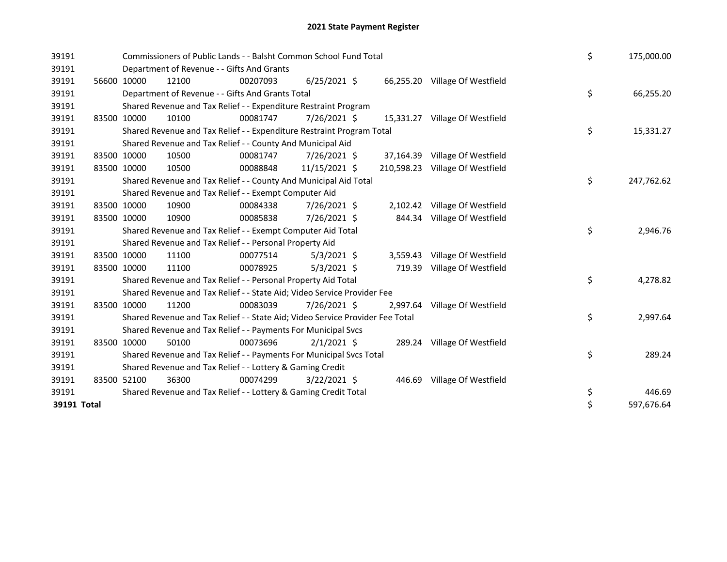| 39191       |             |             | Commissioners of Public Lands - - Balsht Common School Fund Total             | \$       | 175,000.00     |           |                                 |    |            |
|-------------|-------------|-------------|-------------------------------------------------------------------------------|----------|----------------|-----------|---------------------------------|----|------------|
| 39191       |             |             | Department of Revenue - - Gifts And Grants                                    |          |                |           |                                 |    |            |
| 39191       |             | 56600 10000 | 12100                                                                         | 00207093 | $6/25/2021$ \$ |           | 66,255.20 Village Of Westfield  |    |            |
| 39191       |             |             | Department of Revenue - - Gifts And Grants Total                              |          |                |           |                                 | \$ | 66,255.20  |
| 39191       |             |             | Shared Revenue and Tax Relief - - Expenditure Restraint Program               |          |                |           |                                 |    |            |
| 39191       |             | 83500 10000 | 10100                                                                         | 00081747 | 7/26/2021 \$   | 15,331.27 | Village Of Westfield            |    |            |
| 39191       |             |             | Shared Revenue and Tax Relief - - Expenditure Restraint Program Total         |          |                |           |                                 | \$ | 15,331.27  |
| 39191       |             |             | Shared Revenue and Tax Relief - - County And Municipal Aid                    |          |                |           |                                 |    |            |
| 39191       | 83500 10000 |             | 10500                                                                         | 00081747 | 7/26/2021 \$   | 37,164.39 | Village Of Westfield            |    |            |
| 39191       | 83500 10000 |             | 10500                                                                         | 00088848 | 11/15/2021 \$  |           | 210,598.23 Village Of Westfield |    |            |
| 39191       |             |             | Shared Revenue and Tax Relief - - County And Municipal Aid Total              |          |                | \$        | 247,762.62                      |    |            |
| 39191       |             |             | Shared Revenue and Tax Relief - - Exempt Computer Aid                         |          |                |           |                                 |    |            |
| 39191       | 83500 10000 |             | 10900                                                                         | 00084338 | 7/26/2021 \$   | 2,102.42  | Village Of Westfield            |    |            |
| 39191       | 83500 10000 |             | 10900                                                                         | 00085838 | 7/26/2021 \$   | 844.34    | Village Of Westfield            |    |            |
| 39191       |             |             | Shared Revenue and Tax Relief - - Exempt Computer Aid Total                   |          |                | \$        | 2,946.76                        |    |            |
| 39191       |             |             | Shared Revenue and Tax Relief - - Personal Property Aid                       |          |                |           |                                 |    |            |
| 39191       |             | 83500 10000 | 11100                                                                         | 00077514 | $5/3/2021$ \$  | 3.559.43  | Village Of Westfield            |    |            |
| 39191       | 83500 10000 |             | 11100                                                                         | 00078925 | $5/3/2021$ \$  | 719.39    | Village Of Westfield            |    |            |
| 39191       |             |             | Shared Revenue and Tax Relief - - Personal Property Aid Total                 |          |                |           |                                 | \$ | 4,278.82   |
| 39191       |             |             | Shared Revenue and Tax Relief - - State Aid; Video Service Provider Fee       |          |                |           |                                 |    |            |
| 39191       | 83500 10000 |             | 11200                                                                         | 00083039 | 7/26/2021 \$   | 2,997.64  | Village Of Westfield            |    |            |
| 39191       |             |             | Shared Revenue and Tax Relief - - State Aid; Video Service Provider Fee Total |          |                |           |                                 | \$ | 2,997.64   |
| 39191       |             |             | Shared Revenue and Tax Relief - - Payments For Municipal Svcs                 |          |                |           |                                 |    |            |
| 39191       |             | 83500 10000 | 50100                                                                         | 00073696 | $2/1/2021$ \$  |           | 289.24 Village Of Westfield     |    |            |
| 39191       |             |             | Shared Revenue and Tax Relief - - Payments For Municipal Svcs Total           |          |                |           |                                 | \$ | 289.24     |
| 39191       |             |             | Shared Revenue and Tax Relief - - Lottery & Gaming Credit                     |          |                |           |                                 |    |            |
| 39191       | 83500 52100 |             | 36300                                                                         | 00074299 | $3/22/2021$ \$ | 446.69    | Village Of Westfield            |    |            |
| 39191       |             |             | Shared Revenue and Tax Relief - - Lottery & Gaming Credit Total               |          |                | \$        | 446.69                          |    |            |
| 39191 Total |             |             |                                                                               |          |                |           |                                 | \$ | 597,676.64 |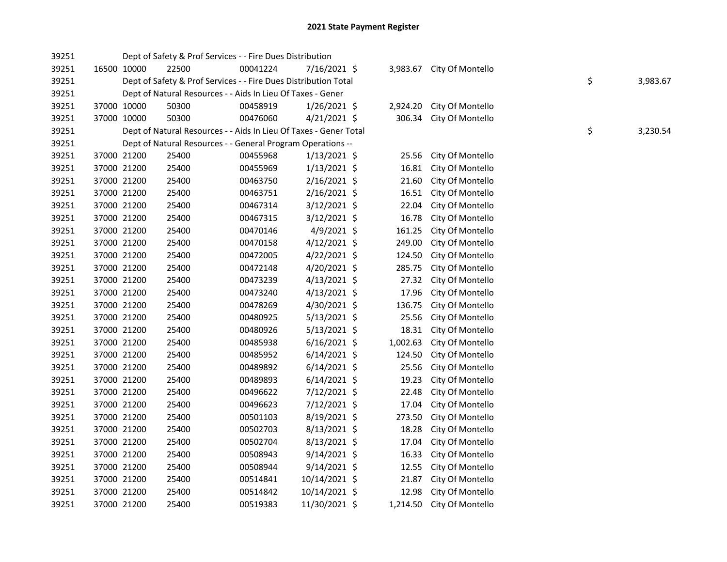| 39251 |             |             | Dept of Safety & Prof Services - - Fire Dues Distribution         |          |                |          |                           |    |          |
|-------|-------------|-------------|-------------------------------------------------------------------|----------|----------------|----------|---------------------------|----|----------|
| 39251 | 16500 10000 |             | 22500                                                             | 00041224 | 7/16/2021 \$   |          | 3,983.67 City Of Montello |    |          |
| 39251 |             |             | Dept of Safety & Prof Services - - Fire Dues Distribution Total   |          |                |          |                           | \$ | 3,983.67 |
| 39251 |             |             | Dept of Natural Resources - - Aids In Lieu Of Taxes - Gener       |          |                |          |                           |    |          |
| 39251 |             | 37000 10000 | 50300                                                             | 00458919 | $1/26/2021$ \$ | 2,924.20 | City Of Montello          |    |          |
| 39251 | 37000 10000 |             | 50300                                                             | 00476060 | $4/21/2021$ \$ | 306.34   | City Of Montello          |    |          |
| 39251 |             |             | Dept of Natural Resources - - Aids In Lieu Of Taxes - Gener Total |          |                |          |                           | \$ | 3,230.54 |
| 39251 |             |             | Dept of Natural Resources - - General Program Operations --       |          |                |          |                           |    |          |
| 39251 | 37000 21200 |             | 25400                                                             | 00455968 | $1/13/2021$ \$ | 25.56    | City Of Montello          |    |          |
| 39251 | 37000 21200 |             | 25400                                                             | 00455969 | $1/13/2021$ \$ | 16.81    | City Of Montello          |    |          |
| 39251 | 37000 21200 |             | 25400                                                             | 00463750 | $2/16/2021$ \$ | 21.60    | City Of Montello          |    |          |
| 39251 | 37000 21200 |             | 25400                                                             | 00463751 | 2/16/2021 \$   | 16.51    | City Of Montello          |    |          |
| 39251 | 37000 21200 |             | 25400                                                             | 00467314 | 3/12/2021 \$   | 22.04    | City Of Montello          |    |          |
| 39251 | 37000 21200 |             | 25400                                                             | 00467315 | 3/12/2021 \$   | 16.78    | City Of Montello          |    |          |
| 39251 | 37000 21200 |             | 25400                                                             | 00470146 | 4/9/2021 \$    | 161.25   | City Of Montello          |    |          |
| 39251 | 37000 21200 |             | 25400                                                             | 00470158 | 4/12/2021 \$   | 249.00   | City Of Montello          |    |          |
| 39251 | 37000 21200 |             | 25400                                                             | 00472005 | $4/22/2021$ \$ | 124.50   | City Of Montello          |    |          |
| 39251 | 37000 21200 |             | 25400                                                             | 00472148 | 4/20/2021 \$   | 285.75   | City Of Montello          |    |          |
| 39251 | 37000 21200 |             | 25400                                                             | 00473239 | $4/13/2021$ \$ | 27.32    | City Of Montello          |    |          |
| 39251 | 37000 21200 |             | 25400                                                             | 00473240 | $4/13/2021$ \$ | 17.96    | City Of Montello          |    |          |
| 39251 | 37000 21200 |             | 25400                                                             | 00478269 | 4/30/2021 \$   | 136.75   | City Of Montello          |    |          |
| 39251 | 37000 21200 |             | 25400                                                             | 00480925 | $5/13/2021$ \$ | 25.56    | City Of Montello          |    |          |
| 39251 | 37000 21200 |             | 25400                                                             | 00480926 | $5/13/2021$ \$ | 18.31    | City Of Montello          |    |          |
| 39251 | 37000 21200 |             | 25400                                                             | 00485938 | $6/16/2021$ \$ | 1,002.63 | City Of Montello          |    |          |
| 39251 | 37000 21200 |             | 25400                                                             | 00485952 | $6/14/2021$ \$ | 124.50   | City Of Montello          |    |          |
| 39251 | 37000 21200 |             | 25400                                                             | 00489892 | $6/14/2021$ \$ | 25.56    | City Of Montello          |    |          |
| 39251 | 37000 21200 |             | 25400                                                             | 00489893 | $6/14/2021$ \$ | 19.23    | City Of Montello          |    |          |
| 39251 | 37000 21200 |             | 25400                                                             | 00496622 | 7/12/2021 \$   | 22.48    | City Of Montello          |    |          |
| 39251 | 37000 21200 |             | 25400                                                             | 00496623 | 7/12/2021 \$   | 17.04    | City Of Montello          |    |          |
| 39251 | 37000 21200 |             | 25400                                                             | 00501103 | 8/19/2021 \$   | 273.50   | City Of Montello          |    |          |
| 39251 | 37000 21200 |             | 25400                                                             | 00502703 | $8/13/2021$ \$ | 18.28    | City Of Montello          |    |          |
| 39251 | 37000 21200 |             | 25400                                                             | 00502704 | 8/13/2021 \$   | 17.04    | City Of Montello          |    |          |
| 39251 | 37000 21200 |             | 25400                                                             | 00508943 | $9/14/2021$ \$ | 16.33    | City Of Montello          |    |          |
| 39251 | 37000 21200 |             | 25400                                                             | 00508944 | $9/14/2021$ \$ | 12.55    | City Of Montello          |    |          |
| 39251 | 37000 21200 |             | 25400                                                             | 00514841 | 10/14/2021 \$  | 21.87    | City Of Montello          |    |          |
| 39251 | 37000 21200 |             | 25400                                                             | 00514842 | 10/14/2021 \$  | 12.98    | City Of Montello          |    |          |
| 39251 | 37000 21200 |             | 25400                                                             | 00519383 | 11/30/2021 \$  |          | 1,214.50 City Of Montello |    |          |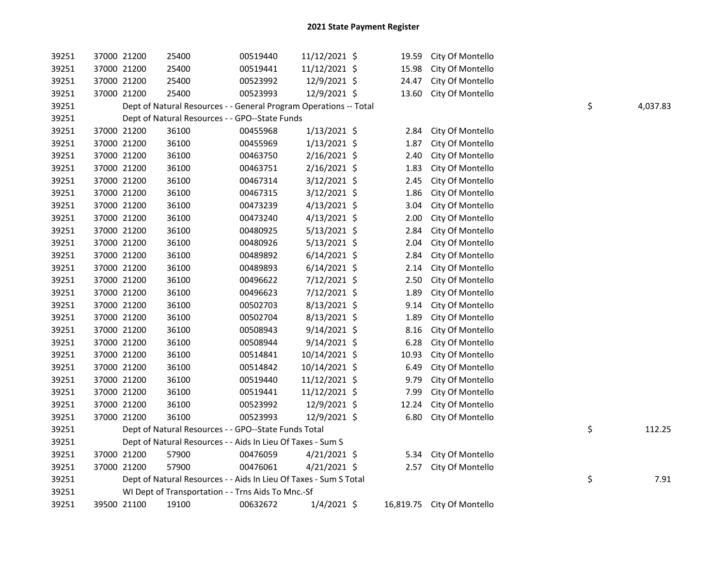| 39251 | 37000 21200 | 25400                                                             | 00519440 | 11/12/2021 \$  | 19.59 | City Of Montello           |    |          |
|-------|-------------|-------------------------------------------------------------------|----------|----------------|-------|----------------------------|----|----------|
| 39251 | 37000 21200 | 25400                                                             | 00519441 | 11/12/2021 \$  | 15.98 | City Of Montello           |    |          |
| 39251 | 37000 21200 | 25400                                                             | 00523992 | 12/9/2021 \$   | 24.47 | City Of Montello           |    |          |
| 39251 | 37000 21200 | 25400                                                             | 00523993 | 12/9/2021 \$   | 13.60 | City Of Montello           |    |          |
| 39251 |             | Dept of Natural Resources - - General Program Operations -- Total |          |                |       |                            | \$ | 4,037.83 |
| 39251 |             | Dept of Natural Resources - - GPO--State Funds                    |          |                |       |                            |    |          |
| 39251 | 37000 21200 | 36100                                                             | 00455968 | 1/13/2021 \$   | 2.84  | City Of Montello           |    |          |
| 39251 | 37000 21200 | 36100                                                             | 00455969 | $1/13/2021$ \$ | 1.87  | City Of Montello           |    |          |
| 39251 | 37000 21200 | 36100                                                             | 00463750 | $2/16/2021$ \$ | 2.40  | City Of Montello           |    |          |
| 39251 | 37000 21200 | 36100                                                             | 00463751 | $2/16/2021$ \$ | 1.83  | City Of Montello           |    |          |
| 39251 | 37000 21200 | 36100                                                             | 00467314 | 3/12/2021 \$   | 2.45  | City Of Montello           |    |          |
| 39251 | 37000 21200 | 36100                                                             | 00467315 | $3/12/2021$ \$ | 1.86  | City Of Montello           |    |          |
| 39251 | 37000 21200 | 36100                                                             | 00473239 | $4/13/2021$ \$ | 3.04  | City Of Montello           |    |          |
| 39251 | 37000 21200 | 36100                                                             | 00473240 | $4/13/2021$ \$ | 2.00  | City Of Montello           |    |          |
| 39251 | 37000 21200 | 36100                                                             | 00480925 | $5/13/2021$ \$ | 2.84  | City Of Montello           |    |          |
| 39251 | 37000 21200 | 36100                                                             | 00480926 | $5/13/2021$ \$ | 2.04  | City Of Montello           |    |          |
| 39251 | 37000 21200 | 36100                                                             | 00489892 | $6/14/2021$ \$ | 2.84  | City Of Montello           |    |          |
| 39251 | 37000 21200 | 36100                                                             | 00489893 | $6/14/2021$ \$ | 2.14  | City Of Montello           |    |          |
| 39251 | 37000 21200 | 36100                                                             | 00496622 | 7/12/2021 \$   | 2.50  | City Of Montello           |    |          |
| 39251 | 37000 21200 | 36100                                                             | 00496623 | 7/12/2021 \$   | 1.89  | City Of Montello           |    |          |
| 39251 | 37000 21200 | 36100                                                             | 00502703 | 8/13/2021 \$   | 9.14  | City Of Montello           |    |          |
| 39251 | 37000 21200 | 36100                                                             | 00502704 | 8/13/2021 \$   | 1.89  | City Of Montello           |    |          |
| 39251 | 37000 21200 | 36100                                                             | 00508943 | $9/14/2021$ \$ | 8.16  | City Of Montello           |    |          |
| 39251 | 37000 21200 | 36100                                                             | 00508944 | $9/14/2021$ \$ | 6.28  | City Of Montello           |    |          |
| 39251 | 37000 21200 | 36100                                                             | 00514841 | 10/14/2021 \$  | 10.93 | City Of Montello           |    |          |
| 39251 | 37000 21200 | 36100                                                             | 00514842 | 10/14/2021 \$  | 6.49  | City Of Montello           |    |          |
| 39251 | 37000 21200 | 36100                                                             | 00519440 | 11/12/2021 \$  | 9.79  | City Of Montello           |    |          |
| 39251 | 37000 21200 | 36100                                                             | 00519441 | 11/12/2021 \$  | 7.99  | City Of Montello           |    |          |
| 39251 | 37000 21200 | 36100                                                             | 00523992 | 12/9/2021 \$   | 12.24 | City Of Montello           |    |          |
| 39251 | 37000 21200 | 36100                                                             | 00523993 | 12/9/2021 \$   | 6.80  | City Of Montello           |    |          |
| 39251 |             | Dept of Natural Resources - - GPO--State Funds Total              |          |                |       |                            | \$ | 112.25   |
| 39251 |             | Dept of Natural Resources - - Aids In Lieu Of Taxes - Sum S       |          |                |       |                            |    |          |
| 39251 | 37000 21200 | 57900                                                             | 00476059 | $4/21/2021$ \$ | 5.34  | City Of Montello           |    |          |
| 39251 | 37000 21200 | 57900                                                             | 00476061 | $4/21/2021$ \$ | 2.57  | City Of Montello           |    |          |
| 39251 |             | Dept of Natural Resources - - Aids In Lieu Of Taxes - Sum S Total |          |                |       |                            | \$ | 7.91     |
| 39251 |             | WI Dept of Transportation - - Trns Aids To Mnc.-Sf                |          |                |       |                            |    |          |
| 39251 | 39500 21100 | 19100                                                             | 00632672 | $1/4/2021$ \$  |       | 16,819.75 City Of Montello |    |          |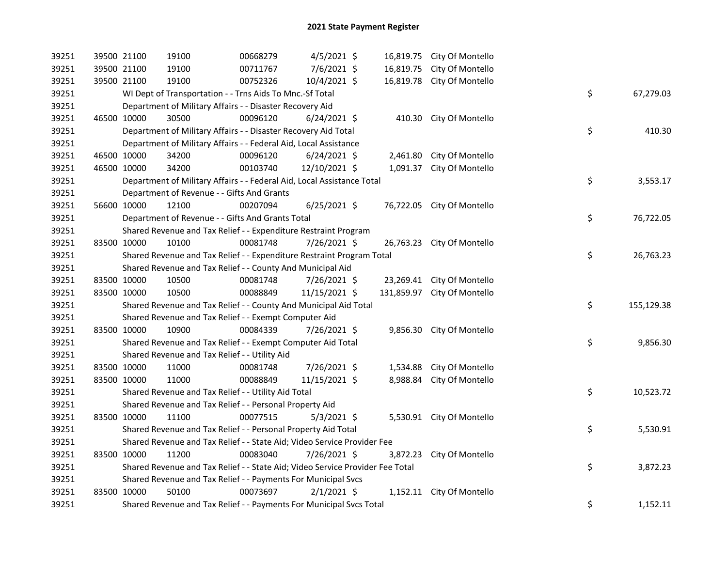| 39251 | 39500 21100 |                                                            | 19100                                                                         | 00668279 | $4/5/2021$ \$  |  |          | 16,819.75 City Of Montello  |  |    |            |
|-------|-------------|------------------------------------------------------------|-------------------------------------------------------------------------------|----------|----------------|--|----------|-----------------------------|--|----|------------|
| 39251 | 39500 21100 |                                                            | 19100                                                                         | 00711767 | 7/6/2021 \$    |  |          | 16,819.75 City Of Montello  |  |    |            |
| 39251 | 39500 21100 |                                                            | 19100                                                                         | 00752326 | 10/4/2021 \$   |  |          | 16,819.78 City Of Montello  |  |    |            |
| 39251 |             |                                                            | WI Dept of Transportation - - Trns Aids To Mnc.-Sf Total                      |          |                |  |          |                             |  | \$ | 67,279.03  |
| 39251 |             | Department of Military Affairs - - Disaster Recovery Aid   |                                                                               |          |                |  |          |                             |  |    |            |
| 39251 | 46500 10000 |                                                            | 30500                                                                         | 00096120 | $6/24/2021$ \$ |  |          | 410.30 City Of Montello     |  |    |            |
| 39251 |             |                                                            | Department of Military Affairs - - Disaster Recovery Aid Total                |          |                |  |          |                             |  | \$ | 410.30     |
| 39251 |             |                                                            | Department of Military Affairs - - Federal Aid, Local Assistance              |          |                |  |          |                             |  |    |            |
| 39251 |             | 46500 10000                                                | 34200                                                                         | 00096120 | $6/24/2021$ \$ |  |          | 2,461.80 City Of Montello   |  |    |            |
| 39251 | 46500 10000 |                                                            | 34200                                                                         | 00103740 | 12/10/2021 \$  |  |          | 1,091.37 City Of Montello   |  |    |            |
| 39251 |             |                                                            | Department of Military Affairs - - Federal Aid, Local Assistance Total        |          |                |  |          |                             |  | \$ | 3,553.17   |
| 39251 |             |                                                            | Department of Revenue - - Gifts And Grants                                    |          |                |  |          |                             |  |    |            |
| 39251 |             | 56600 10000                                                | 12100                                                                         | 00207094 | $6/25/2021$ \$ |  |          | 76,722.05 City Of Montello  |  |    |            |
| 39251 |             |                                                            | Department of Revenue - - Gifts And Grants Total                              |          |                |  |          |                             |  | \$ | 76,722.05  |
| 39251 |             |                                                            | Shared Revenue and Tax Relief - - Expenditure Restraint Program               |          |                |  |          |                             |  |    |            |
| 39251 | 83500 10000 |                                                            | 10100                                                                         | 00081748 | 7/26/2021 \$   |  |          | 26,763.23 City Of Montello  |  |    |            |
| 39251 |             |                                                            | Shared Revenue and Tax Relief - - Expenditure Restraint Program Total         |          |                |  |          |                             |  | \$ | 26,763.23  |
| 39251 |             | Shared Revenue and Tax Relief - - County And Municipal Aid |                                                                               |          |                |  |          |                             |  |    |            |
| 39251 | 83500 10000 |                                                            | 10500                                                                         | 00081748 | 7/26/2021 \$   |  |          | 23,269.41 City Of Montello  |  |    |            |
| 39251 | 83500 10000 |                                                            | 10500                                                                         | 00088849 | 11/15/2021 \$  |  |          | 131,859.97 City Of Montello |  |    |            |
| 39251 |             |                                                            | Shared Revenue and Tax Relief - - County And Municipal Aid Total              |          |                |  |          |                             |  | \$ | 155,129.38 |
| 39251 |             |                                                            | Shared Revenue and Tax Relief - - Exempt Computer Aid                         |          |                |  |          |                             |  |    |            |
| 39251 |             | 83500 10000                                                | 10900                                                                         | 00084339 | 7/26/2021 \$   |  |          | 9,856.30 City Of Montello   |  |    |            |
| 39251 |             |                                                            | Shared Revenue and Tax Relief - - Exempt Computer Aid Total                   |          |                |  |          |                             |  | \$ | 9,856.30   |
| 39251 |             |                                                            | Shared Revenue and Tax Relief - - Utility Aid                                 |          |                |  |          |                             |  |    |            |
| 39251 | 83500 10000 |                                                            | 11000                                                                         | 00081748 | 7/26/2021 \$   |  |          | 1,534.88 City Of Montello   |  |    |            |
| 39251 | 83500 10000 |                                                            | 11000                                                                         | 00088849 | 11/15/2021 \$  |  | 8,988.84 | City Of Montello            |  |    |            |
| 39251 |             |                                                            | Shared Revenue and Tax Relief - - Utility Aid Total                           |          |                |  |          |                             |  | \$ | 10,523.72  |
| 39251 |             |                                                            | Shared Revenue and Tax Relief - - Personal Property Aid                       |          |                |  |          |                             |  |    |            |
| 39251 |             | 83500 10000                                                | 11100                                                                         | 00077515 | $5/3/2021$ \$  |  |          | 5,530.91 City Of Montello   |  |    |            |
| 39251 |             |                                                            | Shared Revenue and Tax Relief - - Personal Property Aid Total                 |          |                |  |          |                             |  | \$ | 5,530.91   |
| 39251 |             |                                                            | Shared Revenue and Tax Relief - - State Aid; Video Service Provider Fee       |          |                |  |          |                             |  |    |            |
| 39251 | 83500 10000 |                                                            | 11200                                                                         | 00083040 | 7/26/2021 \$   |  |          | 3,872.23 City Of Montello   |  |    |            |
| 39251 |             |                                                            | Shared Revenue and Tax Relief - - State Aid; Video Service Provider Fee Total |          |                |  |          |                             |  | \$ | 3,872.23   |
| 39251 |             |                                                            | Shared Revenue and Tax Relief - - Payments For Municipal Svcs                 |          |                |  |          |                             |  |    |            |
| 39251 | 83500 10000 |                                                            | 50100                                                                         | 00073697 | $2/1/2021$ \$  |  |          | 1,152.11 City Of Montello   |  |    |            |
| 39251 |             |                                                            | Shared Revenue and Tax Relief - - Payments For Municipal Svcs Total           |          |                |  |          |                             |  | \$ | 1,152.11   |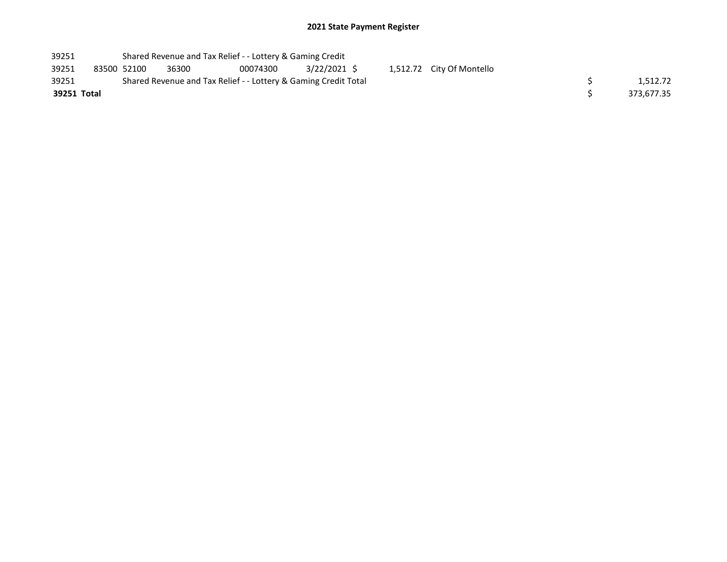| 39251       |             | Shared Revenue and Tax Relief - - Lottery & Gaming Credit       |       |          |             |  |  |                           |  |            |
|-------------|-------------|-----------------------------------------------------------------|-------|----------|-------------|--|--|---------------------------|--|------------|
| 39251       | 83500 52100 |                                                                 | 36300 | 00074300 | 3/22/2021 S |  |  | 1,512.72 City Of Montello |  |            |
| 39251       |             | Shared Revenue and Tax Relief - - Lottery & Gaming Credit Total |       |          |             |  |  |                           |  | 1.512.72   |
| 39251 Total |             |                                                                 |       |          |             |  |  |                           |  | 373.677.35 |
|             |             |                                                                 |       |          |             |  |  |                           |  |            |